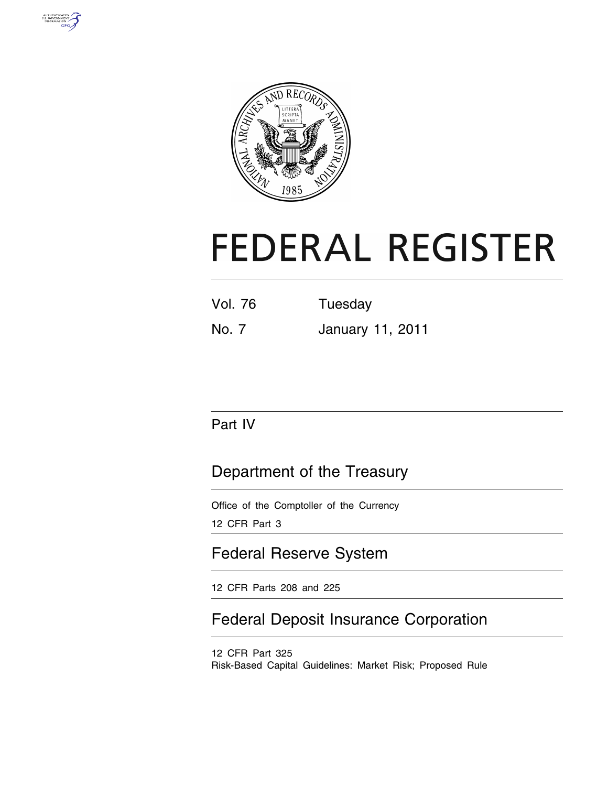



# **FEDERAL REGISTER**

| <b>Vol. 76</b> | Tuesday |
|----------------|---------|
|                |         |

No. 7 January 11, 2011

# Part IV

# Department of the Treasury

Office of the Comptoller of the Currency 12 CFR Part 3

# Federal Reserve System

12 CFR Parts 208 and 225

# Federal Deposit Insurance Corporation

12 CFR Part 325 Risk-Based Capital Guidelines: Market Risk; Proposed Rule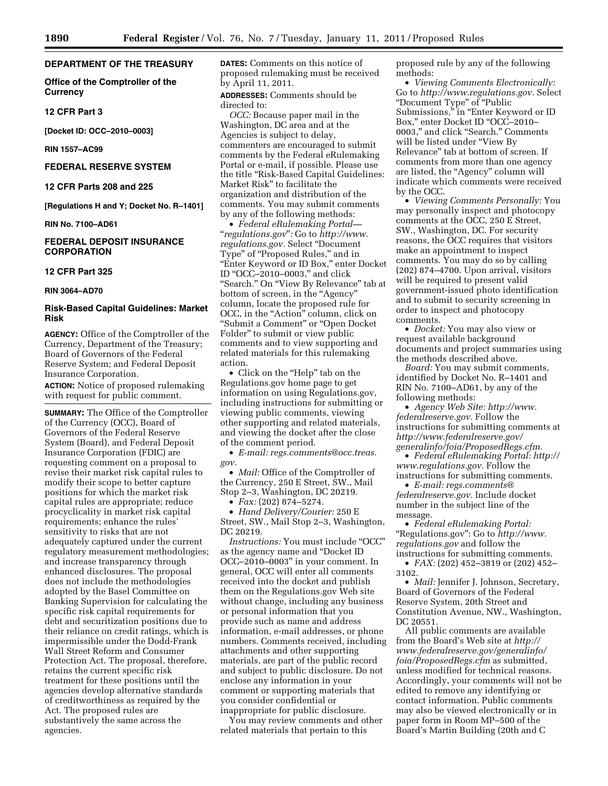## **DEPARTMENT OF THE TREASURY**

**Office of the Comptroller of the Currency** 

#### **12 CFR Part 3**

**[Docket ID: OCC–2010–0003]** 

**RIN 1557–AC99** 

#### **FEDERAL RESERVE SYSTEM**

**12 CFR Parts 208 and 225** 

**[Regulations H and Y; Docket No. R–1401]** 

**RIN No. 7100–AD61** 

# **FEDERAL DEPOSIT INSURANCE CORPORATION**

# **12 CFR Part 325**

**RIN 3064–AD70** 

# **Risk-Based Capital Guidelines: Market Risk**

**AGENCY:** Office of the Comptroller of the Currency, Department of the Treasury; Board of Governors of the Federal Reserve System; and Federal Deposit Insurance Corporation.

**ACTION:** Notice of proposed rulemaking with request for public comment.

**SUMMARY:** The Office of the Comptroller of the Currency (OCC), Board of Governors of the Federal Reserve System (Board), and Federal Deposit Insurance Corporation (FDIC) are requesting comment on a proposal to revise their market risk capital rules to modify their scope to better capture positions for which the market risk capital rules are appropriate; reduce procyclicality in market risk capital requirements; enhance the rules' sensitivity to risks that are not adequately captured under the current regulatory measurement methodologies; and increase transparency through enhanced disclosures. The proposal does not include the methodologies adopted by the Basel Committee on Banking Supervision for calculating the specific risk capital requirements for debt and securitization positions due to their reliance on credit ratings, which is impermissible under the Dodd-Frank Wall Street Reform and Consumer Protection Act. The proposal, therefore, retains the current specific risk treatment for these positions until the agencies develop alternative standards of creditworthiness as required by the Act. The proposed rules are substantively the same across the agencies.

**DATES:** Comments on this notice of proposed rulemaking must be received by April 11, 2011.

**ADDRESSES:** Comments should be directed to:

*OCC:* Because paper mail in the Washington, DC area and at the Agencies is subject to delay, commenters are encouraged to submit comments by the Federal eRulemaking Portal or e-mail, if possible. Please use the title "Risk-Based Capital Guidelines: Market Risk'' to facilitate the organization and distribution of the comments. You may submit comments by any of the following methods:

• *Federal eRulemaking Portal—*  ''*regulations.gov*''*:* Go to *[http://www.](http://www.regulations.gov) [regulations.gov.](http://www.regulations.gov)* Select ''Document Type" of "Proposed Rules," and in ''Enter Keyword or ID Box,'' enter Docket ID ''OCC–2010–0003,'' and click "Search." On "View By Relevance" tab at bottom of screen, in the "Agency" column, locate the proposed rule for OCC, in the "Action" column, click on ''Submit a Comment'' or ''Open Docket Folder'' to submit or view public comments and to view supporting and related materials for this rulemaking action.

• Click on the "Help" tab on the Regulations.gov home page to get information on using Regulations.gov, including instructions for submitting or viewing public comments, viewing other supporting and related materials, and viewing the docket after the close of the comment period.

• *E-mail: [regs.comments@occ.treas.](mailto:regs.comments@occ.treas.gov) [gov.](mailto:regs.comments@occ.treas.gov)* 

• *Mail:* Office of the Comptroller of the Currency, 250 E Street, SW., Mail Stop 2–3, Washington, DC 20219.

• *Fax:* (202) 874–5274.

• *Hand Delivery/Courier:* 250 E Street, SW., Mail Stop 2–3, Washington, DC 20219.

*Instructions:* You must include "OCC" as the agency name and ''Docket ID OCC–2010–0003'' in your comment. In general, OCC will enter all comments received into the docket and publish them on the Regulations.gov Web site without change, including any business or personal information that you provide such as name and address information, e-mail addresses, or phone numbers. Comments received, including attachments and other supporting materials, are part of the public record and subject to public disclosure. Do not enclose any information in your comment or supporting materials that you consider confidential or inappropriate for public disclosure.

You may review comments and other related materials that pertain to this

proposed rule by any of the following methods:

• *Viewing Comments Electronically:*  Go to *[http://www.regulations.gov.](http://www.regulations.gov)* Select ''Document Type'' of ''Public Submissions," in "Enter Keyword or ID Box," enter Docket ID "OCC–2010– 0003,'' and click ''Search.'' Comments will be listed under ''View By Relevance'' tab at bottom of screen. If comments from more than one agency are listed, the ''Agency'' column will indicate which comments were received by the OCC.

• *Viewing Comments Personally:* You may personally inspect and photocopy comments at the OCC, 250 E Street, SW., Washington, DC. For security reasons, the OCC requires that visitors make an appointment to inspect comments. You may do so by calling (202) 874–4700. Upon arrival, visitors will be required to present valid government-issued photo identification and to submit to security screening in order to inspect and photocopy comments.

• *Docket:* You may also view or request available background documents and project summaries using the methods described above.

*Board:* You may submit comments, identified by Docket No. R–1401 and RIN No. 7100–AD61, by any of the following methods:

• *Agency Web Site: [http://www.](http://www.federalreserve.gov) [federalreserve.gov.](http://www.federalreserve.gov)* Follow the instructions for submitting comments at *[http://www.federalreserve.gov/](http://www.federalreserve.gov/generalinfo/foia/ProposedRegs.cfm) [generalinfo/foia/ProposedRegs.cfm.](http://www.federalreserve.gov/generalinfo/foia/ProposedRegs.cfm)* 

• *Federal eRulemaking Portal: [http://](http://www.regulations.gov)  [www.regulations.gov.](http://www.regulations.gov)* Follow the instructions for submitting comments.

• *E-mail: [regs.comments@](mailto:regs.comments@federalreserve.gov) [federalreserve.gov.](mailto:regs.comments@federalreserve.gov)* Include docket number in the subject line of the message.

• *Federal eRulemaking Portal:*  ''Regulations.gov'': Go to *[http://www.](http://www.regulations.gov) [regulations.gov](http://www.regulations.gov)* and follow the instructions for submitting comments.

• *FAX:* (202) 452–3819 or (202) 452– 3102.

• *Mail:* Jennifer J. Johnson, Secretary, Board of Governors of the Federal Reserve System, 20th Street and Constitution Avenue, NW., Washington, DC 20551.

All public comments are available from the Board's Web site at *[http://](http://www.federalreserve.gov/generalinfo/foia/ProposedRegs.cfm) [www.federalreserve.gov/generalinfo/](http://www.federalreserve.gov/generalinfo/foia/ProposedRegs.cfm) [foia/ProposedRegs.cfm](http://www.federalreserve.gov/generalinfo/foia/ProposedRegs.cfm)* as submitted, unless modified for technical reasons. Accordingly, your comments will not be edited to remove any identifying or contact information. Public comments may also be viewed electronically or in paper form in Room MP–500 of the Board's Martin Building (20th and C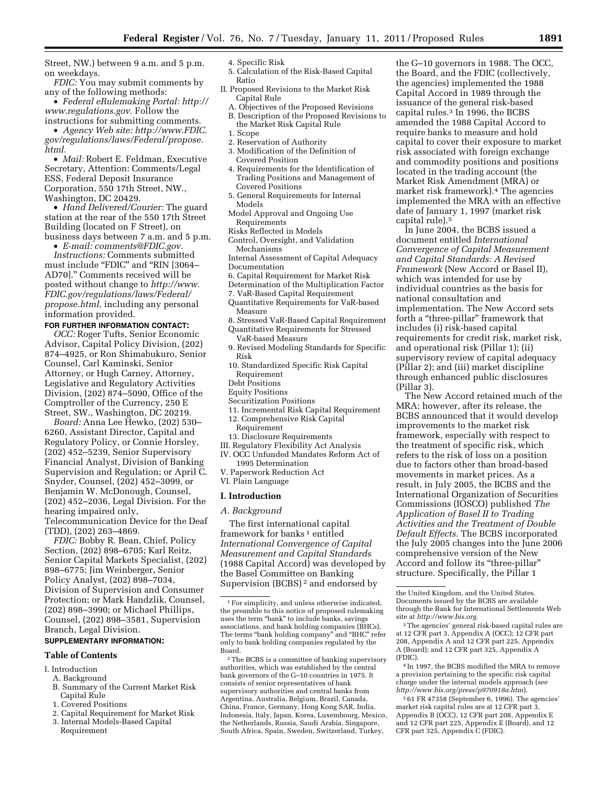Street, NW.) between 9 a.m. and 5 p.m. on weekdays.

*FDIC:* You may submit comments by any of the following methods:

• *Federal eRulemaking Portal: [http://](http://www.regulations.gov)  [www.regulations.gov.](http://www.regulations.gov)* Follow the instructions for submitting comments.

• *Agency Web site: [http://www.FDIC.](http://www.FDIC.gov/regulations/laws/Federal/propose.html) [gov/regulations/laws/Federal/propose.](http://www.FDIC.gov/regulations/laws/Federal/propose.html) [html.](http://www.FDIC.gov/regulations/laws/Federal/propose.html)* 

• *Mail:* Robert E. Feldman, Executive Secretary, Attention: Comments/Legal ESS, Federal Deposit Insurance Corporation, 550 17th Street, NW., Washington, DC 20429.

• *Hand Delivered/Courier:* The guard station at the rear of the 550 17th Street Building (located on F Street), on business days between 7 a.m. and 5 p.m.

• *E-mail: [comments@FDIC.gov.](mailto:comments@FDIC.gov)* 

*Instructions:* Comments submitted must include "FDIC" and "RIN [3064-AD70].'' Comments received will be posted without change to *http://www. [FDIC.gov/regulations/laws/Federal/](http://www.FDIC.gov/regulations/laws/Federal/propose.html) propose.html,* including any personal information provided.

#### **FOR FURTHER INFORMATION CONTACT:**

*OCC:* Roger Tufts, Senior Economic Advisor, Capital Policy Division, (202) 874–4925, or Ron Shimabukuro, Senior Counsel, Carl Kaminski, Senior Attorney, or Hugh Carney, Attorney, Legislative and Regulatory Activities Division, (202) 874–5090, Office of the Comptroller of the Currency, 250 E Street, SW., Washington, DC 20219.

*Board:* Anna Lee Hewko, (202) 530– 6260, Assistant Director, Capital and Regulatory Policy, or Connie Horsley, (202) 452–5239, Senior Supervisory Financial Analyst, Division of Banking Supervision and Regulation; or April C. Snyder, Counsel, (202) 452–3099, or Benjamin W. McDonough, Counsel, (202) 452–2036, Legal Division. For the hearing impaired only, Telecommunication Device for the Deaf (TDD), (202) 263–4869.

*FDIC:* Bobby R. Bean, Chief, Policy Section, (202) 898–6705; Karl Reitz, Senior Capital Markets Specialist, (202) 898–6775; Jim Weinberger, Senior Policy Analyst, (202) 898–7034, Division of Supervision and Consumer Protection; or Mark Handzlik, Counsel, (202) 898–3990; or Michael Phillips, Counsel, (202) 898–3581, Supervision Branch, Legal Division.

# **SUPPLEMENTARY INFORMATION:**

#### **Table of Contents**

# I. Introduction

- A. Background B. Summary of the Current Market Risk Capital Rule
- 1. Covered Positions
- 
- 2. Capital Requirement for Market Risk
- 3. Internal Models-Based Capital Requirement

#### 4. Specific Risk

- 5. Calculation of the Risk-Based Capital Ratio
- II. Proposed Revisions to the Market Risk Capital Rule
	- A. Objectives of the Proposed Revisions B. Description of the Proposed Revisions to
	- the Market Risk Capital Rule
	- 1. Scope
	- 2. Reservation of Authority
	- 3. Modification of the Definition of Covered Position
	- 4. Requirements for the Identification of Trading Positions and Management of Covered Positions
	- 5. General Requirements for Internal Models
	- Model Approval and Ongoing Use Requirements
	- Risks Reflected in Models
	- Control, Oversight, and Validation Mechanisms
	- Internal Assessment of Capital Adequacy
	- Documentation
	- 6. Capital Requirement for Market Risk
	- Determination of the Multiplication Factor
- 7. VaR-Based Capital Requirement Quantitative Requirements for VaR-based
- Measure 8. Stressed VaR-Based Capital Requirement
- Quantitative Requirements for Stressed VaR-based Measure
- 9. Revised Modeling Standards for Specific Risk
- 10. Standardized Specific Risk Capital Requirement
- Debt Positions
- Equity Positions
- Securitization Positions
- 11. Incremental Risk Capital Requirement
- 12. Comprehensive Risk Capital
- Requirement
- 13. Disclosure Requirements
- III. Regulatory Flexibility Act Analysis IV. OCC Unfunded Mandates Reform Act of 1995 Determination
- V. Paperwork Reduction Act
- VI. Plain Language

#### **I. Introduction**

#### *A. Background*

The first international capital framework for banks<sup>1</sup> entitled *International Convergence of Capital Measurement and Capital Standards*  (1988 Capital Accord) was developed by the Basel Committee on Banking Supervision (BCBS) 2 and endorsed by

2The BCBS is a committee of banking supervisory authorities, which was established by the central bank governors of the G–10 countries in 1975. It consists of senior representatives of bank supervisory authorities and central banks from Argentina, Australia, Belgium, Brazil, Canada, China, France, Germany, Hong Kong SAR, India, Indonesia, Italy, Japan, Korea, Luxembourg, Mexico, the Netherlands, Russia, Saudi Arabia, Singapore, South Africa, Spain, Sweden, Switzerland, Turkey,

the G–10 governors in 1988. The OCC, the Board, and the FDIC (collectively, the agencies) implemented the 1988 Capital Accord in 1989 through the issuance of the general risk-based capital rules.3 In 1996, the BCBS amended the 1988 Capital Accord to require banks to measure and hold capital to cover their exposure to market risk associated with foreign exchange and commodity positions and positions located in the trading account (the Market Risk Amendment (MRA) or market risk framework).4 The agencies implemented the MRA with an effective date of January 1, 1997 (market risk capital rule).5

In June 2004, the BCBS issued a document entitled *International Convergence of Capital Measurement and Capital Standards: A Revised Framework* (New Accord or Basel II), which was intended for use by individual countries as the basis for national consultation and implementation. The New Accord sets forth a "three-pillar" framework that includes (i) risk-based capital requirements for credit risk, market risk, and operational risk (Pillar 1); (ii) supervisory review of capital adequacy (Pillar 2); and (iii) market discipline through enhanced public disclosures (Pillar 3).

The New Accord retained much of the MRA; however, after its release, the BCBS announced that it would develop improvements to the market risk framework, especially with respect to the treatment of specific risk, which refers to the risk of loss on a position due to factors other than broad-based movements in market prices. As a result, in July 2005, the BCBS and the International Organization of Securities Commissions (IOSCO) published *The Application of Basel II to Trading Activities and the Treatment of Double Default Effects.* The BCBS incorporated the July 2005 changes into the June 2006 comprehensive version of the New Accord and follow its ''three-pillar'' structure. Specifically, the Pillar 1

4 In 1997, the BCBS modified the MRA to remove a provision pertaining to the specific risk capital charge under the internal models approach (*see <http://www.bis.org/press/p970918a.htm>*).

<sup>1</sup>For simplicity, and unless otherwise indicated, the preamble to this notice of proposed rulemaking uses the term "bank" to include banks, savings associations, and bank holding companies (BHCs). The terms "bank holding company" and "BHC" refer only to bank holding companies regulated by the Board.

the United Kingdom, and the United States. Documents issued by the BCBS are available through the Bank for International Settlements Web site at *[http://www.bis.org.](http://www.bis.org)* 

<sup>3</sup>The agencies' general risk-based capital rules are at 12 CFR part 3, Appendix A (OCC); 12 CFR part 208, Appendix A and 12 CFR part 225, Appendix A (Board); and 12 CFR part 325, Appendix A (FDIC).

<sup>5</sup> 61 FR 47358 (September 6, 1996). The agencies' market risk capital rules are at 12 CFR part 3, Appendix B (OCC), 12 CFR part 208, Appendix E and 12 CFR part 225, Appendix E (Board), and 12 CFR part 325, Appendix C (FDIC).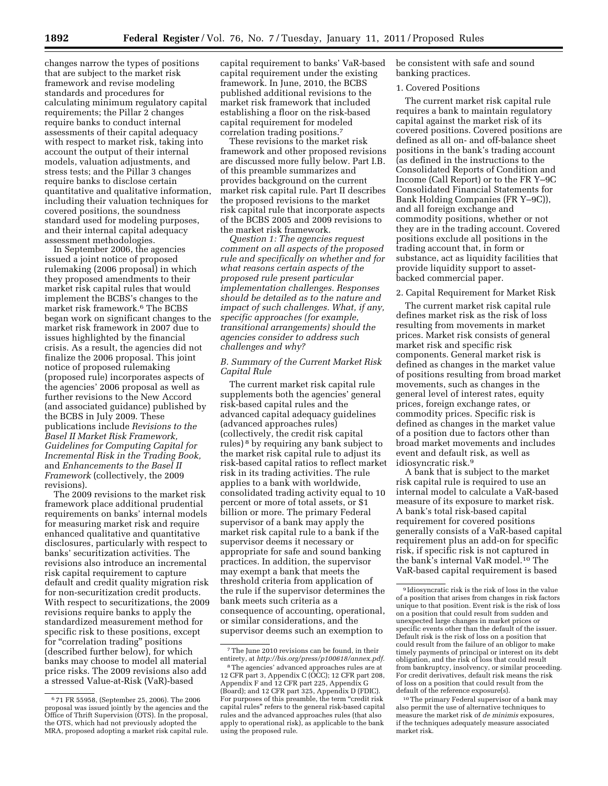changes narrow the types of positions that are subject to the market risk framework and revise modeling standards and procedures for calculating minimum regulatory capital requirements; the Pillar 2 changes require banks to conduct internal assessments of their capital adequacy with respect to market risk, taking into account the output of their internal models, valuation adjustments, and stress tests; and the Pillar 3 changes require banks to disclose certain quantitative and qualitative information, including their valuation techniques for covered positions, the soundness standard used for modeling purposes, and their internal capital adequacy assessment methodologies.

In September 2006, the agencies issued a joint notice of proposed rulemaking (2006 proposal) in which they proposed amendments to their market risk capital rules that would implement the BCBS's changes to the market risk framework.6 The BCBS began work on significant changes to the market risk framework in 2007 due to issues highlighted by the financial crisis. As a result, the agencies did not finalize the 2006 proposal. This joint notice of proposed rulemaking (proposed rule) incorporates aspects of the agencies' 2006 proposal as well as further revisions to the New Accord (and associated guidance) published by the BCBS in July 2009. These publications include *Revisions to the Basel II Market Risk Framework, Guidelines for Computing Capital for Incremental Risk in the Trading Book,*  and *Enhancements to the Basel II Framework* (collectively, the 2009 revisions).

The 2009 revisions to the market risk framework place additional prudential requirements on banks' internal models for measuring market risk and require enhanced qualitative and quantitative disclosures, particularly with respect to banks' securitization activities. The revisions also introduce an incremental risk capital requirement to capture default and credit quality migration risk for non-securitization credit products. With respect to securitizations, the 2009 revisions require banks to apply the standardized measurement method for specific risk to these positions, except for "correlation trading" positions (described further below), for which banks may choose to model all material price risks. The 2009 revisions also add a stressed Value-at-Risk (VaR)-based

capital requirement to banks' VaR-based capital requirement under the existing framework. In June, 2010, the BCBS published additional revisions to the market risk framework that included establishing a floor on the risk-based capital requirement for modeled correlation trading positions.7

These revisions to the market risk framework and other proposed revisions are discussed more fully below. Part I.B. of this preamble summarizes and provides background on the current market risk capital rule. Part II describes the proposed revisions to the market risk capital rule that incorporate aspects of the BCBS 2005 and 2009 revisions to the market risk framework.

*Question 1: The agencies request comment on all aspects of the proposed rule and specifically on whether and for what reasons certain aspects of the proposed rule present particular implementation challenges. Responses should be detailed as to the nature and impact of such challenges. What, if any, specific approaches (for example, transitional arrangements) should the agencies consider to address such challenges and why?* 

# *B. Summary of the Current Market Risk Capital Rule*

The current market risk capital rule supplements both the agencies' general risk-based capital rules and the advanced capital adequacy guidelines (advanced approaches rules) (collectively, the credit risk capital rules) 8 by requiring any bank subject to the market risk capital rule to adjust its risk-based capital ratios to reflect market risk in its trading activities. The rule applies to a bank with worldwide, consolidated trading activity equal to 10 percent or more of total assets, or \$1 billion or more. The primary Federal supervisor of a bank may apply the market risk capital rule to a bank if the supervisor deems it necessary or appropriate for safe and sound banking practices. In addition, the supervisor may exempt a bank that meets the threshold criteria from application of the rule if the supervisor determines the bank meets such criteria as a consequence of accounting, operational, or similar considerations, and the supervisor deems such an exemption to

be consistent with safe and sound banking practices.

#### 1. Covered Positions

The current market risk capital rule requires a bank to maintain regulatory capital against the market risk of its covered positions. Covered positions are defined as all on- and off-balance sheet positions in the bank's trading account (as defined in the instructions to the Consolidated Reports of Condition and Income (Call Report) or to the FR Y–9C Consolidated Financial Statements for Bank Holding Companies (FR Y–9C)), and all foreign exchange and commodity positions, whether or not they are in the trading account. Covered positions exclude all positions in the trading account that, in form or substance, act as liquidity facilities that provide liquidity support to assetbacked commercial paper.

# 2. Capital Requirement for Market Risk

The current market risk capital rule defines market risk as the risk of loss resulting from movements in market prices. Market risk consists of general market risk and specific risk components. General market risk is defined as changes in the market value of positions resulting from broad market movements, such as changes in the general level of interest rates, equity prices, foreign exchange rates, or commodity prices. Specific risk is defined as changes in the market value of a position due to factors other than broad market movements and includes event and default risk, as well as idiosyncratic risk.9

A bank that is subject to the market risk capital rule is required to use an internal model to calculate a VaR-based measure of its exposure to market risk. A bank's total risk-based capital requirement for covered positions generally consists of a VaR-based capital requirement plus an add-on for specific risk, if specific risk is not captured in the bank's internal VaR model.10 The VaR-based capital requirement is based

<sup>6</sup> 71 FR 55958, (September 25, 2006). The 2006 proposal was issued jointly by the agencies and the Office of Thrift Supervision (OTS). In the proposal, the OTS, which had not previously adopted the MRA, proposed adopting a market risk capital rule.

<sup>7</sup>The June 2010 revisions can be found, in their entirety, at *[http://bis.org/press/p100618/annex.pdf.](http://bis.org/press/p100618/annex.pdf)* 

<sup>8</sup>The agencies' advanced approaches rules are at 12 CFR part 3, Appendix C (OCC); 12 CFR part 208, Appendix F and 12 CFR part 225, Appendix G (Board); and 12 CFR part 325, Appendix D (FDIC). For purposes of this preamble, the term "credit risk capital rules'' refers to the general risk-based capital rules and the advanced approaches rules (that also apply to operational risk), as applicable to the bank using the proposed rule.

<sup>9</sup> Idiosyncratic risk is the risk of loss in the value of a position that arises from changes in risk factors unique to that position. Event risk is the risk of loss on a position that could result from sudden and unexpected large changes in market prices or specific events other than the default of the issuer. Default risk is the risk of loss on a position that could result from the failure of an obligor to make timely payments of principal or interest on its debt obligation, and the risk of loss that could result from bankruptcy, insolvency, or similar proceeding. For credit derivatives, default risk means the risk of loss on a position that could result from the default of the reference exposure(s).

<sup>10</sup>The primary Federal supervisor of a bank may also permit the use of alternative techniques to measure the market risk of *de minimis* exposures, if the techniques adequately measure associated market risk.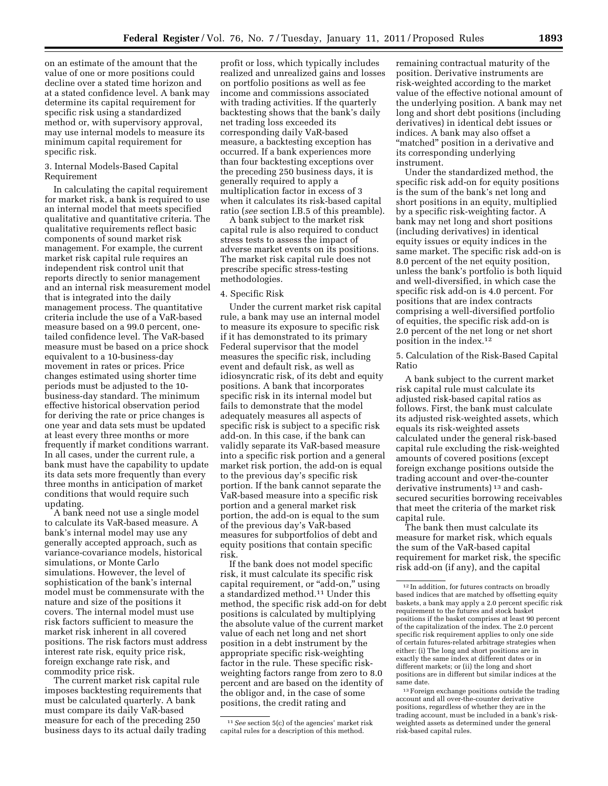on an estimate of the amount that the value of one or more positions could decline over a stated time horizon and at a stated confidence level. A bank may determine its capital requirement for specific risk using a standardized method or, with supervisory approval, may use internal models to measure its minimum capital requirement for specific risk.

#### 3. Internal Models-Based Capital Requirement

In calculating the capital requirement for market risk, a bank is required to use an internal model that meets specified qualitative and quantitative criteria. The qualitative requirements reflect basic components of sound market risk management. For example, the current market risk capital rule requires an independent risk control unit that reports directly to senior management and an internal risk measurement model that is integrated into the daily management process. The quantitative criteria include the use of a VaR-based measure based on a 99.0 percent, onetailed confidence level. The VaR-based measure must be based on a price shock equivalent to a 10-business-day movement in rates or prices. Price changes estimated using shorter time periods must be adjusted to the 10 business-day standard. The minimum effective historical observation period for deriving the rate or price changes is one year and data sets must be updated at least every three months or more frequently if market conditions warrant. In all cases, under the current rule, a bank must have the capability to update its data sets more frequently than every three months in anticipation of market conditions that would require such updating.

A bank need not use a single model to calculate its VaR-based measure. A bank's internal model may use any generally accepted approach, such as variance-covariance models, historical simulations, or Monte Carlo simulations. However, the level of sophistication of the bank's internal model must be commensurate with the nature and size of the positions it covers. The internal model must use risk factors sufficient to measure the market risk inherent in all covered positions. The risk factors must address interest rate risk, equity price risk, foreign exchange rate risk, and commodity price risk.

The current market risk capital rule imposes backtesting requirements that must be calculated quarterly. A bank must compare its daily VaR-based measure for each of the preceding 250 business days to its actual daily trading

profit or loss, which typically includes realized and unrealized gains and losses on portfolio positions as well as fee income and commissions associated with trading activities. If the quarterly backtesting shows that the bank's daily net trading loss exceeded its corresponding daily VaR-based measure, a backtesting exception has occurred. If a bank experiences more than four backtesting exceptions over the preceding 250 business days, it is generally required to apply a multiplication factor in excess of 3 when it calculates its risk-based capital ratio (*see* section I.B.5 of this preamble).

A bank subject to the market risk capital rule is also required to conduct stress tests to assess the impact of adverse market events on its positions. The market risk capital rule does not prescribe specific stress-testing methodologies.

#### 4. Specific Risk

Under the current market risk capital rule, a bank may use an internal model to measure its exposure to specific risk if it has demonstrated to its primary Federal supervisor that the model measures the specific risk, including event and default risk, as well as idiosyncratic risk, of its debt and equity positions. A bank that incorporates specific risk in its internal model but fails to demonstrate that the model adequately measures all aspects of specific risk is subject to a specific risk add-on. In this case, if the bank can validly separate its VaR-based measure into a specific risk portion and a general market risk portion, the add-on is equal to the previous day's specific risk portion. If the bank cannot separate the VaR-based measure into a specific risk portion and a general market risk portion, the add-on is equal to the sum of the previous day's VaR-based measures for subportfolios of debt and equity positions that contain specific risk.

If the bank does not model specific risk, it must calculate its specific risk capital requirement, or "add-on," using a standardized method.11 Under this method, the specific risk add-on for debt positions is calculated by multiplying the absolute value of the current market value of each net long and net short position in a debt instrument by the appropriate specific risk-weighting factor in the rule. These specific riskweighting factors range from zero to 8.0 percent and are based on the identity of the obligor and, in the case of some positions, the credit rating and

remaining contractual maturity of the position. Derivative instruments are risk-weighted according to the market value of the effective notional amount of the underlying position. A bank may net long and short debt positions (including derivatives) in identical debt issues or indices. A bank may also offset a "matched" position in a derivative and its corresponding underlying instrument.

Under the standardized method, the specific risk add-on for equity positions is the sum of the bank's net long and short positions in an equity, multiplied by a specific risk-weighting factor. A bank may net long and short positions (including derivatives) in identical equity issues or equity indices in the same market. The specific risk add-on is 8.0 percent of the net equity position, unless the bank's portfolio is both liquid and well-diversified, in which case the specific risk add-on is 4.0 percent. For positions that are index contracts comprising a well-diversified portfolio of equities, the specific risk add-on is 2.0 percent of the net long or net short position in the index.12

5. Calculation of the Risk-Based Capital Ratio

A bank subject to the current market risk capital rule must calculate its adjusted risk-based capital ratios as follows. First, the bank must calculate its adjusted risk-weighted assets, which equals its risk-weighted assets calculated under the general risk-based capital rule excluding the risk-weighted amounts of covered positions (except foreign exchange positions outside the trading account and over-the-counter derivative instruments) 13 and cashsecured securities borrowing receivables that meet the criteria of the market risk capital rule.

The bank then must calculate its measure for market risk, which equals the sum of the VaR-based capital requirement for market risk, the specific risk add-on (if any), and the capital

13Foreign exchange positions outside the trading account and all over-the-counter derivative positions, regardless of whether they are in the trading account, must be included in a bank's riskweighted assets as determined under the general risk-based capital rules.

<sup>11</sup>*See* section 5(c) of the agencies' market risk capital rules for a description of this method.

<sup>12</sup> In addition, for futures contracts on broadly based indices that are matched by offsetting equity baskets, a bank may apply a 2.0 percent specific risk requirement to the futures and stock basket positions if the basket comprises at least 90 percent of the capitalization of the index. The 2.0 percent specific risk requirement applies to only one side of certain futures-related arbitrage strategies when either: (i) The long and short positions are in exactly the same index at different dates or in different markets; or (ii) the long and short positions are in different but similar indices at the same date.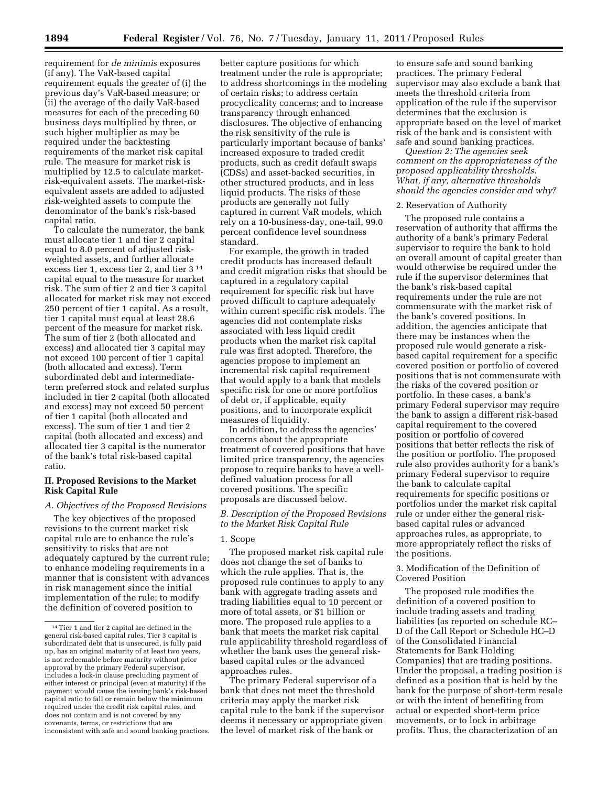requirement for *de minimis* exposures (if any). The VaR-based capital requirement equals the greater of (i) the previous day's VaR-based measure; or (ii) the average of the daily VaR-based measures for each of the preceding 60 business days multiplied by three, or such higher multiplier as may be required under the backtesting requirements of the market risk capital rule. The measure for market risk is multiplied by 12.5 to calculate marketrisk-equivalent assets. The market-riskequivalent assets are added to adjusted risk-weighted assets to compute the denominator of the bank's risk-based capital ratio.

To calculate the numerator, the bank must allocate tier 1 and tier 2 capital equal to 8.0 percent of adjusted riskweighted assets, and further allocate excess tier 1, excess tier 2, and tier 3 14 capital equal to the measure for market risk. The sum of tier 2 and tier 3 capital allocated for market risk may not exceed 250 percent of tier 1 capital. As a result, tier 1 capital must equal at least 28.6 percent of the measure for market risk. The sum of tier 2 (both allocated and excess) and allocated tier 3 capital may not exceed 100 percent of tier 1 capital (both allocated and excess). Term subordinated debt and intermediateterm preferred stock and related surplus included in tier 2 capital (both allocated and excess) may not exceed 50 percent of tier 1 capital (both allocated and excess). The sum of tier 1 and tier 2 capital (both allocated and excess) and allocated tier 3 capital is the numerator of the bank's total risk-based capital ratio.

# **II. Proposed Revisions to the Market Risk Capital Rule**

# *A. Objectives of the Proposed Revisions*

The key objectives of the proposed revisions to the current market risk capital rule are to enhance the rule's sensitivity to risks that are not adequately captured by the current rule; to enhance modeling requirements in a manner that is consistent with advances in risk management since the initial implementation of the rule; to modify the definition of covered position to

better capture positions for which treatment under the rule is appropriate; to address shortcomings in the modeling of certain risks; to address certain procyclicality concerns; and to increase transparency through enhanced disclosures. The objective of enhancing the risk sensitivity of the rule is particularly important because of banks' increased exposure to traded credit products, such as credit default swaps (CDSs) and asset-backed securities, in other structured products, and in less liquid products. The risks of these products are generally not fully captured in current VaR models, which rely on a 10-business-day, one-tail, 99.0 percent confidence level soundness standard.

For example, the growth in traded credit products has increased default and credit migration risks that should be captured in a regulatory capital requirement for specific risk but have proved difficult to capture adequately within current specific risk models. The agencies did not contemplate risks associated with less liquid credit products when the market risk capital rule was first adopted. Therefore, the agencies propose to implement an incremental risk capital requirement that would apply to a bank that models specific risk for one or more portfolios of debt or, if applicable, equity positions, and to incorporate explicit measures of liquidity.

In addition, to address the agencies' concerns about the appropriate treatment of covered positions that have limited price transparency, the agencies propose to require banks to have a welldefined valuation process for all covered positions. The specific proposals are discussed below.

## *B. Description of the Proposed Revisions to the Market Risk Capital Rule*

# 1. Scope

The proposed market risk capital rule does not change the set of banks to which the rule applies. That is, the proposed rule continues to apply to any bank with aggregate trading assets and trading liabilities equal to 10 percent or more of total assets, or \$1 billion or more. The proposed rule applies to a bank that meets the market risk capital rule applicability threshold regardless of whether the bank uses the general riskbased capital rules or the advanced approaches rules.

The primary Federal supervisor of a bank that does not meet the threshold criteria may apply the market risk capital rule to the bank if the supervisor deems it necessary or appropriate given the level of market risk of the bank or

to ensure safe and sound banking practices. The primary Federal supervisor may also exclude a bank that meets the threshold criteria from application of the rule if the supervisor determines that the exclusion is appropriate based on the level of market risk of the bank and is consistent with safe and sound banking practices.

*Question 2: The agencies seek comment on the appropriateness of the proposed applicability thresholds. What, if any, alternative thresholds should the agencies consider and why?* 

# 2. Reservation of Authority

The proposed rule contains a reservation of authority that affirms the authority of a bank's primary Federal supervisor to require the bank to hold an overall amount of capital greater than would otherwise be required under the rule if the supervisor determines that the bank's risk-based capital requirements under the rule are not commensurate with the market risk of the bank's covered positions. In addition, the agencies anticipate that there may be instances when the proposed rule would generate a riskbased capital requirement for a specific covered position or portfolio of covered positions that is not commensurate with the risks of the covered position or portfolio. In these cases, a bank's primary Federal supervisor may require the bank to assign a different risk-based capital requirement to the covered position or portfolio of covered positions that better reflects the risk of the position or portfolio. The proposed rule also provides authority for a bank's primary Federal supervisor to require the bank to calculate capital requirements for specific positions or portfolios under the market risk capital rule or under either the general riskbased capital rules or advanced approaches rules, as appropriate, to more appropriately reflect the risks of the positions.

# 3. Modification of the Definition of Covered Position

The proposed rule modifies the definition of a covered position to include trading assets and trading liabilities (as reported on schedule RC– D of the Call Report or Schedule HC–D of the Consolidated Financial Statements for Bank Holding Companies) that are trading positions. Under the proposal, a trading position is defined as a position that is held by the bank for the purpose of short-term resale or with the intent of benefiting from actual or expected short-term price movements, or to lock in arbitrage profits. Thus, the characterization of an

<sup>14</sup>Tier 1 and tier 2 capital are defined in the general risk-based capital rules. Tier 3 capital is subordinated debt that is unsecured, is fully paid up, has an original maturity of at least two years, is not redeemable before maturity without prior approval by the primary Federal supervisor, includes a lock-in clause precluding payment of either interest or principal (even at maturity) if the payment would cause the issuing bank's risk-based capital ratio to fall or remain below the minimum required under the credit risk capital rules, and does not contain and is not covered by any covenants, terms, or restrictions that are inconsistent with safe and sound banking practices.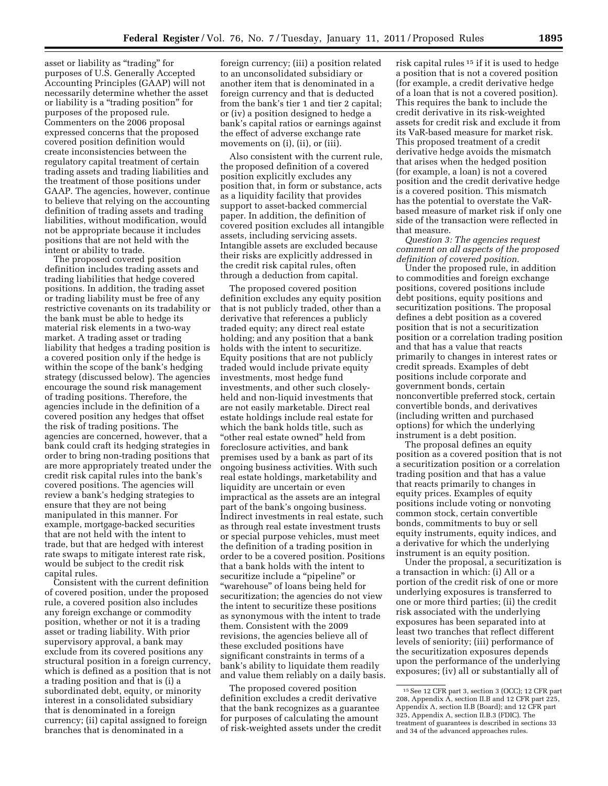asset or liability as ''trading'' for purposes of U.S. Generally Accepted Accounting Principles (GAAP) will not necessarily determine whether the asset or liability is a "trading position" for purposes of the proposed rule. Commenters on the 2006 proposal expressed concerns that the proposed covered position definition would create inconsistencies between the regulatory capital treatment of certain trading assets and trading liabilities and the treatment of those positions under GAAP. The agencies, however, continue to believe that relying on the accounting definition of trading assets and trading liabilities, without modification, would not be appropriate because it includes positions that are not held with the intent or ability to trade.

The proposed covered position definition includes trading assets and trading liabilities that hedge covered positions. In addition, the trading asset or trading liability must be free of any restrictive covenants on its tradability or the bank must be able to hedge its material risk elements in a two-way market. A trading asset or trading liability that hedges a trading position is a covered position only if the hedge is within the scope of the bank's hedging strategy (discussed below). The agencies encourage the sound risk management of trading positions. Therefore, the agencies include in the definition of a covered position any hedges that offset the risk of trading positions. The agencies are concerned, however, that a bank could craft its hedging strategies in order to bring non-trading positions that are more appropriately treated under the credit risk capital rules into the bank's covered positions. The agencies will review a bank's hedging strategies to ensure that they are not being manipulated in this manner. For example, mortgage-backed securities that are not held with the intent to trade, but that are hedged with interest rate swaps to mitigate interest rate risk, would be subject to the credit risk capital rules.

Consistent with the current definition of covered position, under the proposed rule, a covered position also includes any foreign exchange or commodity position, whether or not it is a trading asset or trading liability. With prior supervisory approval, a bank may exclude from its covered positions any structural position in a foreign currency, which is defined as a position that is not a trading position and that is (i) a subordinated debt, equity, or minority interest in a consolidated subsidiary that is denominated in a foreign currency; (ii) capital assigned to foreign branches that is denominated in a

foreign currency; (iii) a position related to an unconsolidated subsidiary or another item that is denominated in a foreign currency and that is deducted from the bank's tier 1 and tier 2 capital; or (iv) a position designed to hedge a bank's capital ratios or earnings against the effect of adverse exchange rate movements on (i), (ii), or (iii).

Also consistent with the current rule, the proposed definition of a covered position explicitly excludes any position that, in form or substance, acts as a liquidity facility that provides support to asset-backed commercial paper. In addition, the definition of covered position excludes all intangible assets, including servicing assets. Intangible assets are excluded because their risks are explicitly addressed in the credit risk capital rules, often through a deduction from capital.

The proposed covered position definition excludes any equity position that is not publicly traded, other than a derivative that references a publicly traded equity; any direct real estate holding; and any position that a bank holds with the intent to securitize. Equity positions that are not publicly traded would include private equity investments, most hedge fund investments, and other such closelyheld and non-liquid investments that are not easily marketable. Direct real estate holdings include real estate for which the bank holds title, such as ''other real estate owned'' held from foreclosure activities, and bank premises used by a bank as part of its ongoing business activities. With such real estate holdings, marketability and liquidity are uncertain or even impractical as the assets are an integral part of the bank's ongoing business. Indirect investments in real estate, such as through real estate investment trusts or special purpose vehicles, must meet the definition of a trading position in order to be a covered position. Positions that a bank holds with the intent to securitize include a ''pipeline'' or ''warehouse'' of loans being held for securitization; the agencies do not view the intent to securitize these positions as synonymous with the intent to trade them. Consistent with the 2009 revisions, the agencies believe all of these excluded positions have significant constraints in terms of a bank's ability to liquidate them readily and value them reliably on a daily basis.

The proposed covered position definition excludes a credit derivative that the bank recognizes as a guarantee for purposes of calculating the amount of risk-weighted assets under the credit

risk capital rules 15 if it is used to hedge a position that is not a covered position (for example, a credit derivative hedge of a loan that is not a covered position). This requires the bank to include the credit derivative in its risk-weighted assets for credit risk and exclude it from its VaR-based measure for market risk. This proposed treatment of a credit derivative hedge avoids the mismatch that arises when the hedged position (for example, a loan) is not a covered position and the credit derivative hedge is a covered position. This mismatch has the potential to overstate the VaRbased measure of market risk if only one side of the transaction were reflected in that measure.

*Question 3: The agencies request comment on all aspects of the proposed definition of covered position.* 

Under the proposed rule, in addition to commodities and foreign exchange positions, covered positions include debt positions, equity positions and securitization positions. The proposal defines a debt position as a covered position that is not a securitization position or a correlation trading position and that has a value that reacts primarily to changes in interest rates or credit spreads. Examples of debt positions include corporate and government bonds, certain nonconvertible preferred stock, certain convertible bonds, and derivatives (including written and purchased options) for which the underlying instrument is a debt position.

The proposal defines an equity position as a covered position that is not a securitization position or a correlation trading position and that has a value that reacts primarily to changes in equity prices. Examples of equity positions include voting or nonvoting common stock, certain convertible bonds, commitments to buy or sell equity instruments, equity indices, and a derivative for which the underlying instrument is an equity position.

Under the proposal, a securitization is a transaction in which: (i) All or a portion of the credit risk of one or more underlying exposures is transferred to one or more third parties; (ii) the credit risk associated with the underlying exposures has been separated into at least two tranches that reflect different levels of seniority; (iii) performance of the securitization exposures depends upon the performance of the underlying exposures; (iv) all or substantially all of

<sup>15</sup>See 12 CFR part 3, section 3 (OCC); 12 CFR part 208, Appendix A, section II.B and 12 CFR part 225, Appendix A, section II.B (Board); and 12 CFR part 325, Appendix A, section II.B.3 (FDIC). The treatment of guarantees is described in sections 33 and 34 of the advanced approaches rules.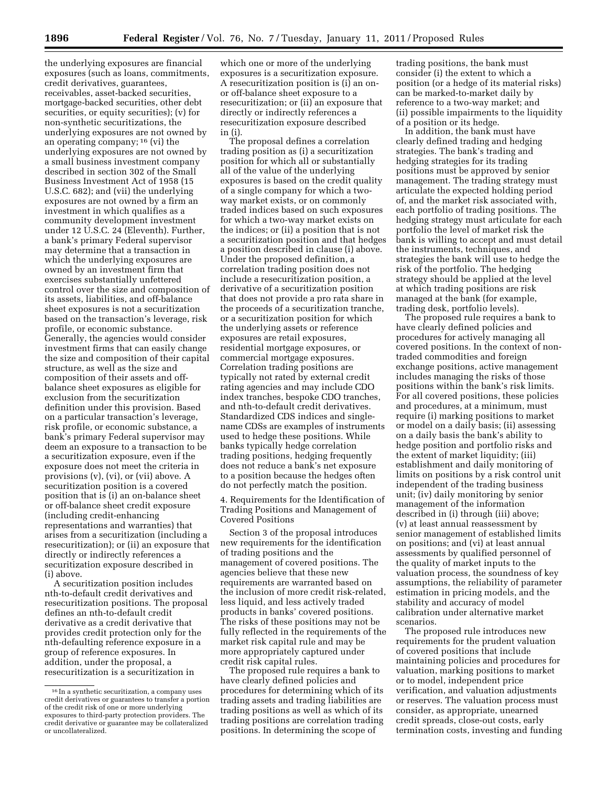the underlying exposures are financial exposures (such as loans, commitments, credit derivatives, guarantees, receivables, asset-backed securities, mortgage-backed securities, other debt securities, or equity securities); (v) for non-synthetic securitizations, the underlying exposures are not owned by an operating company; 16 (vi) the underlying exposures are not owned by a small business investment company described in section 302 of the Small Business Investment Act of 1958 (15 U.S.C. 682); and (vii) the underlying exposures are not owned by a firm an investment in which qualifies as a community development investment under 12 U.S.C. 24 (Eleventh). Further, a bank's primary Federal supervisor may determine that a transaction in which the underlying exposures are owned by an investment firm that exercises substantially unfettered control over the size and composition of its assets, liabilities, and off-balance sheet exposures is not a securitization based on the transaction's leverage, risk profile, or economic substance. Generally, the agencies would consider investment firms that can easily change the size and composition of their capital structure, as well as the size and composition of their assets and offbalance sheet exposures as eligible for exclusion from the securitization definition under this provision. Based on a particular transaction's leverage, risk profile, or economic substance, a bank's primary Federal supervisor may deem an exposure to a transaction to be a securitization exposure, even if the exposure does not meet the criteria in provisions (v), (vi), or (vii) above. A securitization position is a covered position that is (i) an on-balance sheet or off-balance sheet credit exposure (including credit-enhancing representations and warranties) that arises from a securitization (including a resecuritization); or (ii) an exposure that directly or indirectly references a securitization exposure described in (i) above.

A securitization position includes nth-to-default credit derivatives and resecuritization positions. The proposal defines an nth-to-default credit derivative as a credit derivative that provides credit protection only for the nth-defaulting reference exposure in a group of reference exposures. In addition, under the proposal, a resecuritization is a securitization in

which one or more of the underlying exposures is a securitization exposure. A resecuritization position is (i) an onor off-balance sheet exposure to a resecuritization; or (ii) an exposure that directly or indirectly references a resecuritization exposure described in (i).

The proposal defines a correlation trading position as (i) a securitization position for which all or substantially all of the value of the underlying exposures is based on the credit quality of a single company for which a twoway market exists, or on commonly traded indices based on such exposures for which a two-way market exists on the indices; or (ii) a position that is not a securitization position and that hedges a position described in clause (i) above. Under the proposed definition, a correlation trading position does not include a resecuritization position, a derivative of a securitization position that does not provide a pro rata share in the proceeds of a securitization tranche, or a securitization position for which the underlying assets or reference exposures are retail exposures, residential mortgage exposures, or commercial mortgage exposures. Correlation trading positions are typically not rated by external credit rating agencies and may include CDO index tranches, bespoke CDO tranches, and nth-to-default credit derivatives. Standardized CDS indices and singlename CDSs are examples of instruments used to hedge these positions. While banks typically hedge correlation trading positions, hedging frequently does not reduce a bank's net exposure to a position because the hedges often do not perfectly match the position.

4. Requirements for the Identification of Trading Positions and Management of Covered Positions

Section 3 of the proposal introduces new requirements for the identification of trading positions and the management of covered positions. The agencies believe that these new requirements are warranted based on the inclusion of more credit risk-related, less liquid, and less actively traded products in banks' covered positions. The risks of these positions may not be fully reflected in the requirements of the market risk capital rule and may be more appropriately captured under credit risk capital rules.

The proposed rule requires a bank to have clearly defined policies and procedures for determining which of its trading assets and trading liabilities are trading positions as well as which of its trading positions are correlation trading positions. In determining the scope of

trading positions, the bank must consider (i) the extent to which a position (or a hedge of its material risks) can be marked-to-market daily by reference to a two-way market; and (ii) possible impairments to the liquidity of a position or its hedge.

In addition, the bank must have clearly defined trading and hedging strategies. The bank's trading and hedging strategies for its trading positions must be approved by senior management. The trading strategy must articulate the expected holding period of, and the market risk associated with, each portfolio of trading positions. The hedging strategy must articulate for each portfolio the level of market risk the bank is willing to accept and must detail the instruments, techniques, and strategies the bank will use to hedge the risk of the portfolio. The hedging strategy should be applied at the level at which trading positions are risk managed at the bank (for example, trading desk, portfolio levels).

The proposed rule requires a bank to have clearly defined policies and procedures for actively managing all covered positions. In the context of nontraded commodities and foreign exchange positions, active management includes managing the risks of those positions within the bank's risk limits. For all covered positions, these policies and procedures, at a minimum, must require (i) marking positions to market or model on a daily basis; (ii) assessing on a daily basis the bank's ability to hedge position and portfolio risks and the extent of market liquidity; (iii) establishment and daily monitoring of limits on positions by a risk control unit independent of the trading business unit; (iv) daily monitoring by senior management of the information described in (i) through (iii) above; (v) at least annual reassessment by senior management of established limits on positions; and (vi) at least annual assessments by qualified personnel of the quality of market inputs to the valuation process, the soundness of key assumptions, the reliability of parameter estimation in pricing models, and the stability and accuracy of model calibration under alternative market scenarios.

The proposed rule introduces new requirements for the prudent valuation of covered positions that include maintaining policies and procedures for valuation, marking positions to market or to model, independent price verification, and valuation adjustments or reserves. The valuation process must consider, as appropriate, unearned credit spreads, close-out costs, early termination costs, investing and funding

<sup>16</sup> In a synthetic securitization, a company uses credit derivatives or guarantees to transfer a portion of the credit risk of one or more underlying exposures to third-party protection providers. The credit derivative or guarantee may be collateralized or uncollateralized.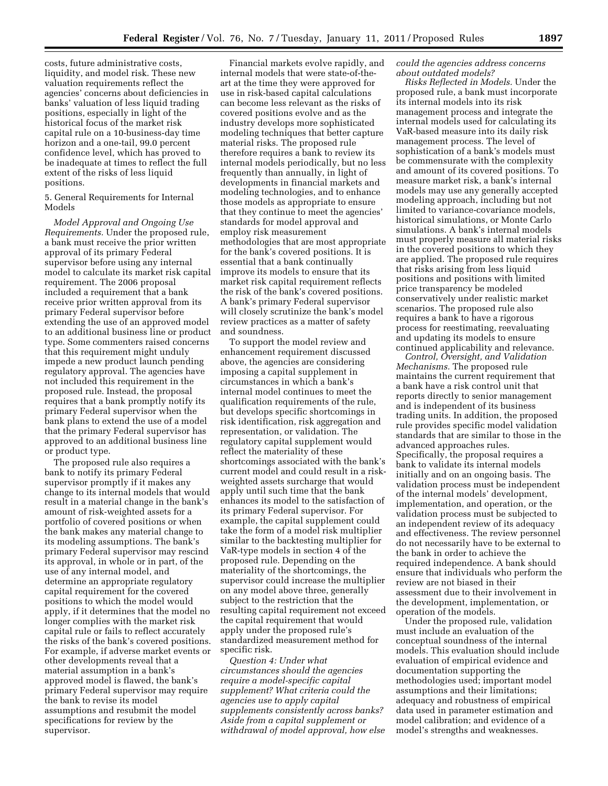costs, future administrative costs, liquidity, and model risk. These new valuation requirements reflect the agencies' concerns about deficiencies in banks' valuation of less liquid trading positions, especially in light of the historical focus of the market risk capital rule on a 10-business-day time horizon and a one-tail, 99.0 percent confidence level, which has proved to be inadequate at times to reflect the full extent of the risks of less liquid positions.

5. General Requirements for Internal Models

*Model Approval and Ongoing Use Requirements.* Under the proposed rule, a bank must receive the prior written approval of its primary Federal supervisor before using any internal model to calculate its market risk capital requirement. The 2006 proposal included a requirement that a bank receive prior written approval from its primary Federal supervisor before extending the use of an approved model to an additional business line or product type. Some commenters raised concerns that this requirement might unduly impede a new product launch pending regulatory approval. The agencies have not included this requirement in the proposed rule. Instead, the proposal requires that a bank promptly notify its primary Federal supervisor when the bank plans to extend the use of a model that the primary Federal supervisor has approved to an additional business line or product type.

The proposed rule also requires a bank to notify its primary Federal supervisor promptly if it makes any change to its internal models that would result in a material change in the bank's amount of risk-weighted assets for a portfolio of covered positions or when the bank makes any material change to its modeling assumptions. The bank's primary Federal supervisor may rescind its approval, in whole or in part, of the use of any internal model, and determine an appropriate regulatory capital requirement for the covered positions to which the model would apply, if it determines that the model no longer complies with the market risk capital rule or fails to reflect accurately the risks of the bank's covered positions. For example, if adverse market events or other developments reveal that a material assumption in a bank's approved model is flawed, the bank's primary Federal supervisor may require the bank to revise its model assumptions and resubmit the model specifications for review by the supervisor.

Financial markets evolve rapidly, and internal models that were state-of-theart at the time they were approved for use in risk-based capital calculations can become less relevant as the risks of covered positions evolve and as the industry develops more sophisticated modeling techniques that better capture material risks. The proposed rule therefore requires a bank to review its internal models periodically, but no less frequently than annually, in light of developments in financial markets and modeling technologies, and to enhance those models as appropriate to ensure that they continue to meet the agencies' standards for model approval and employ risk measurement methodologies that are most appropriate for the bank's covered positions. It is essential that a bank continually improve its models to ensure that its market risk capital requirement reflects the risk of the bank's covered positions. A bank's primary Federal supervisor will closely scrutinize the bank's model review practices as a matter of safety and soundness.

To support the model review and enhancement requirement discussed above, the agencies are considering imposing a capital supplement in circumstances in which a bank's internal model continues to meet the qualification requirements of the rule, but develops specific shortcomings in risk identification, risk aggregation and representation, or validation. The regulatory capital supplement would reflect the materiality of these shortcomings associated with the bank's current model and could result in a riskweighted assets surcharge that would apply until such time that the bank enhances its model to the satisfaction of its primary Federal supervisor. For example, the capital supplement could take the form of a model risk multiplier similar to the backtesting multiplier for VaR-type models in section 4 of the proposed rule. Depending on the materiality of the shortcomings, the supervisor could increase the multiplier on any model above three, generally subject to the restriction that the resulting capital requirement not exceed the capital requirement that would apply under the proposed rule's standardized measurement method for specific risk.

*Question 4: Under what circumstances should the agencies require a model-specific capital supplement? What criteria could the agencies use to apply capital supplements consistently across banks? Aside from a capital supplement or withdrawal of model approval, how else*  *could the agencies address concerns about outdated models?* 

*Risks Reflected in Models.* Under the proposed rule, a bank must incorporate its internal models into its risk management process and integrate the internal models used for calculating its VaR-based measure into its daily risk management process. The level of sophistication of a bank's models must be commensurate with the complexity and amount of its covered positions. To measure market risk, a bank's internal models may use any generally accepted modeling approach, including but not limited to variance-covariance models, historical simulations, or Monte Carlo simulations. A bank's internal models must properly measure all material risks in the covered positions to which they are applied. The proposed rule requires that risks arising from less liquid positions and positions with limited price transparency be modeled conservatively under realistic market scenarios. The proposed rule also requires a bank to have a rigorous process for reestimating, reevaluating and updating its models to ensure continued applicability and relevance.

*Control, Oversight, and Validation Mechanisms.* The proposed rule maintains the current requirement that a bank have a risk control unit that reports directly to senior management and is independent of its business trading units. In addition, the proposed rule provides specific model validation standards that are similar to those in the advanced approaches rules. Specifically, the proposal requires a bank to validate its internal models initially and on an ongoing basis. The validation process must be independent of the internal models' development, implementation, and operation, or the validation process must be subjected to an independent review of its adequacy and effectiveness. The review personnel do not necessarily have to be external to the bank in order to achieve the required independence. A bank should ensure that individuals who perform the review are not biased in their assessment due to their involvement in the development, implementation, or operation of the models.

Under the proposed rule, validation must include an evaluation of the conceptual soundness of the internal models. This evaluation should include evaluation of empirical evidence and documentation supporting the methodologies used; important model assumptions and their limitations; adequacy and robustness of empirical data used in parameter estimation and model calibration; and evidence of a model's strengths and weaknesses.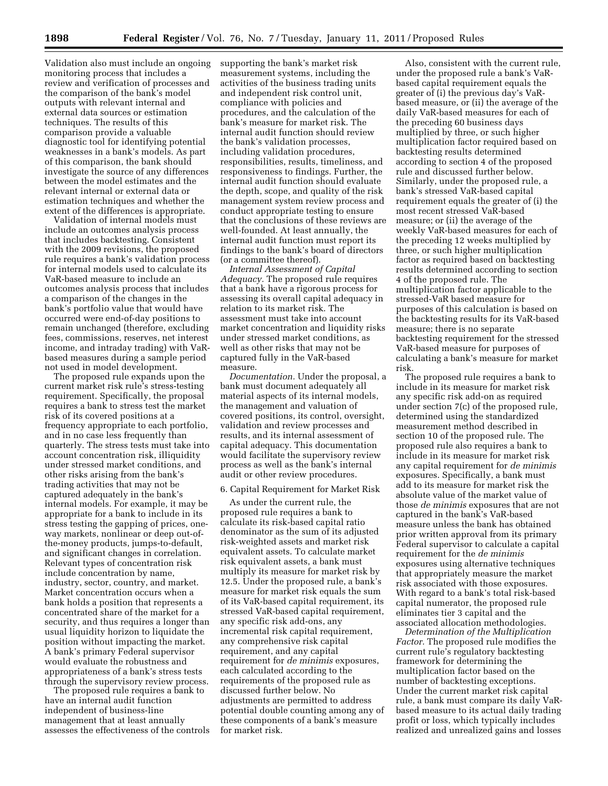Validation also must include an ongoing monitoring process that includes a review and verification of processes and the comparison of the bank's model outputs with relevant internal and external data sources or estimation techniques. The results of this comparison provide a valuable diagnostic tool for identifying potential weaknesses in a bank's models. As part of this comparison, the bank should investigate the source of any differences between the model estimates and the relevant internal or external data or estimation techniques and whether the extent of the differences is appropriate.

Validation of internal models must include an outcomes analysis process that includes backtesting. Consistent with the 2009 revisions, the proposed rule requires a bank's validation process for internal models used to calculate its VaR-based measure to include an outcomes analysis process that includes a comparison of the changes in the bank's portfolio value that would have occurred were end-of-day positions to remain unchanged (therefore, excluding fees, commissions, reserves, net interest income, and intraday trading) with VaRbased measures during a sample period not used in model development.

The proposed rule expands upon the current market risk rule's stress-testing requirement. Specifically, the proposal requires a bank to stress test the market risk of its covered positions at a frequency appropriate to each portfolio, and in no case less frequently than quarterly. The stress tests must take into account concentration risk, illiquidity under stressed market conditions, and other risks arising from the bank's trading activities that may not be captured adequately in the bank's internal models. For example, it may be appropriate for a bank to include in its stress testing the gapping of prices, oneway markets, nonlinear or deep out-ofthe-money products, jumps-to-default, and significant changes in correlation. Relevant types of concentration risk include concentration by name, industry, sector, country, and market. Market concentration occurs when a bank holds a position that represents a concentrated share of the market for a security, and thus requires a longer than usual liquidity horizon to liquidate the position without impacting the market. A bank's primary Federal supervisor would evaluate the robustness and appropriateness of a bank's stress tests through the supervisory review process.

The proposed rule requires a bank to have an internal audit function independent of business-line management that at least annually assesses the effectiveness of the controls supporting the bank's market risk measurement systems, including the activities of the business trading units and independent risk control unit, compliance with policies and procedures, and the calculation of the bank's measure for market risk. The internal audit function should review the bank's validation processes, including validation procedures, responsibilities, results, timeliness, and responsiveness to findings. Further, the internal audit function should evaluate the depth, scope, and quality of the risk management system review process and conduct appropriate testing to ensure that the conclusions of these reviews are well-founded. At least annually, the internal audit function must report its findings to the bank's board of directors (or a committee thereof).

*Internal Assessment of Capital Adequacy.* The proposed rule requires that a bank have a rigorous process for assessing its overall capital adequacy in relation to its market risk. The assessment must take into account market concentration and liquidity risks under stressed market conditions, as well as other risks that may not be captured fully in the VaR-based measure.

*Documentation.* Under the proposal, a bank must document adequately all material aspects of its internal models, the management and valuation of covered positions, its control, oversight, validation and review processes and results, and its internal assessment of capital adequacy. This documentation would facilitate the supervisory review process as well as the bank's internal audit or other review procedures.

#### 6. Capital Requirement for Market Risk

As under the current rule, the proposed rule requires a bank to calculate its risk-based capital ratio denominator as the sum of its adjusted risk-weighted assets and market risk equivalent assets. To calculate market risk equivalent assets, a bank must multiply its measure for market risk by 12.5. Under the proposed rule, a bank's measure for market risk equals the sum of its VaR-based capital requirement, its stressed VaR-based capital requirement, any specific risk add-ons, any incremental risk capital requirement, any comprehensive risk capital requirement, and any capital requirement for *de minimis* exposures, each calculated according to the requirements of the proposed rule as discussed further below. No adjustments are permitted to address potential double counting among any of these components of a bank's measure for market risk.

Also, consistent with the current rule, under the proposed rule a bank's VaRbased capital requirement equals the greater of (i) the previous day's VaRbased measure, or (ii) the average of the daily VaR-based measures for each of the preceding 60 business days multiplied by three, or such higher multiplication factor required based on backtesting results determined according to section 4 of the proposed rule and discussed further below. Similarly, under the proposed rule, a bank's stressed VaR-based capital requirement equals the greater of (i) the most recent stressed VaR-based measure; or (ii) the average of the weekly VaR-based measures for each of the preceding 12 weeks multiplied by three, or such higher multiplication factor as required based on backtesting results determined according to section 4 of the proposed rule. The multiplication factor applicable to the stressed-VaR based measure for purposes of this calculation is based on the backtesting results for its VaR-based measure; there is no separate backtesting requirement for the stressed VaR-based measure for purposes of calculating a bank's measure for market risk.

The proposed rule requires a bank to include in its measure for market risk any specific risk add-on as required under section 7(c) of the proposed rule, determined using the standardized measurement method described in section 10 of the proposed rule. The proposed rule also requires a bank to include in its measure for market risk any capital requirement for *de minimis*  exposures. Specifically, a bank must add to its measure for market risk the absolute value of the market value of those *de minimis* exposures that are not captured in the bank's VaR-based measure unless the bank has obtained prior written approval from its primary Federal supervisor to calculate a capital requirement for the *de minimis*  exposures using alternative techniques that appropriately measure the market risk associated with those exposures. With regard to a bank's total risk-based capital numerator, the proposed rule eliminates tier 3 capital and the associated allocation methodologies.

*Determination of the Multiplication Factor.* The proposed rule modifies the current rule's regulatory backtesting framework for determining the multiplication factor based on the number of backtesting exceptions. Under the current market risk capital rule, a bank must compare its daily VaRbased measure to its actual daily trading profit or loss, which typically includes realized and unrealized gains and losses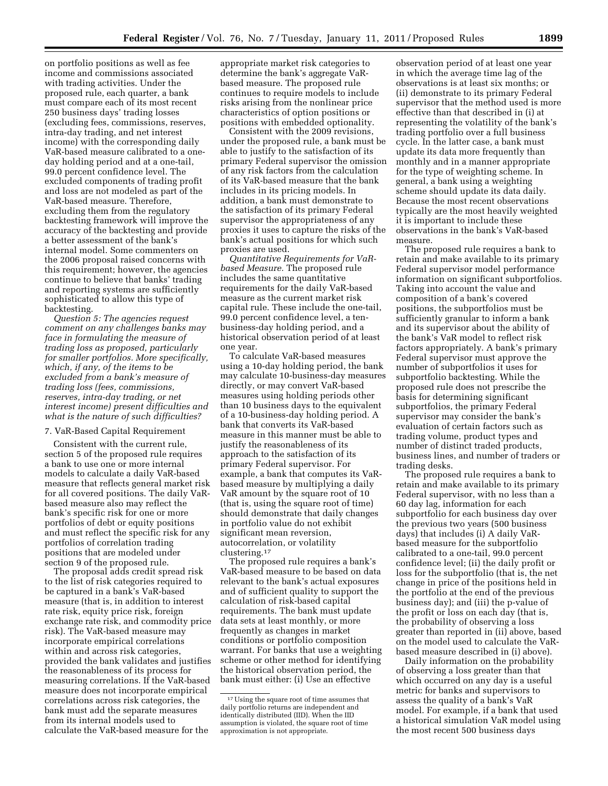on portfolio positions as well as fee income and commissions associated with trading activities. Under the proposed rule, each quarter, a bank must compare each of its most recent 250 business days' trading losses (excluding fees, commissions, reserves, intra-day trading, and net interest income) with the corresponding daily VaR-based measure calibrated to a oneday holding period and at a one-tail, 99.0 percent confidence level. The excluded components of trading profit and loss are not modeled as part of the VaR-based measure. Therefore, excluding them from the regulatory backtesting framework will improve the accuracy of the backtesting and provide a better assessment of the bank's internal model. Some commenters on the 2006 proposal raised concerns with this requirement; however, the agencies continue to believe that banks' trading and reporting systems are sufficiently sophisticated to allow this type of backtesting.

*Question 5: The agencies request comment on any challenges banks may face in formulating the measure of trading loss as proposed, particularly for smaller portfolios. More specifically, which, if any, of the items to be excluded from a bank's measure of trading loss (fees, commissions, reserves, intra-day trading, or net interest income) present difficulties and what is the nature of such difficulties?* 

#### 7. VaR-Based Capital Requirement

Consistent with the current rule, section 5 of the proposed rule requires a bank to use one or more internal models to calculate a daily VaR-based measure that reflects general market risk for all covered positions. The daily VaRbased measure also may reflect the bank's specific risk for one or more portfolios of debt or equity positions and must reflect the specific risk for any portfolios of correlation trading positions that are modeled under section 9 of the proposed rule.

The proposal adds credit spread risk to the list of risk categories required to be captured in a bank's VaR-based measure (that is, in addition to interest rate risk, equity price risk, foreign exchange rate risk, and commodity price risk). The VaR-based measure may incorporate empirical correlations within and across risk categories, provided the bank validates and justifies the reasonableness of its process for measuring correlations. If the VaR-based measure does not incorporate empirical correlations across risk categories, the bank must add the separate measures from its internal models used to calculate the VaR-based measure for the

appropriate market risk categories to determine the bank's aggregate VaRbased measure. The proposed rule continues to require models to include risks arising from the nonlinear price characteristics of option positions or positions with embedded optionality.

Consistent with the 2009 revisions, under the proposed rule, a bank must be able to justify to the satisfaction of its primary Federal supervisor the omission of any risk factors from the calculation of its VaR-based measure that the bank includes in its pricing models. In addition, a bank must demonstrate to the satisfaction of its primary Federal supervisor the appropriateness of any proxies it uses to capture the risks of the bank's actual positions for which such proxies are used.

*Quantitative Requirements for VaRbased Measure.* The proposed rule includes the same quantitative requirements for the daily VaR-based measure as the current market risk capital rule. These include the one-tail, 99.0 percent confidence level, a tenbusiness-day holding period, and a historical observation period of at least one year.

To calculate VaR-based measures using a 10-day holding period, the bank may calculate 10-business-day measures directly, or may convert VaR-based measures using holding periods other than 10 business days to the equivalent of a 10-business-day holding period. A bank that converts its VaR-based measure in this manner must be able to justify the reasonableness of its approach to the satisfaction of its primary Federal supervisor. For example, a bank that computes its VaRbased measure by multiplying a daily VaR amount by the square root of 10 (that is, using the square root of time) should demonstrate that daily changes in portfolio value do not exhibit significant mean reversion, autocorrelation, or volatility clustering.17

The proposed rule requires a bank's VaR-based measure to be based on data relevant to the bank's actual exposures and of sufficient quality to support the calculation of risk-based capital requirements. The bank must update data sets at least monthly, or more frequently as changes in market conditions or portfolio composition warrant. For banks that use a weighting scheme or other method for identifying the historical observation period, the bank must either: (i) Use an effective

observation period of at least one year in which the average time lag of the observations is at least six months; or (ii) demonstrate to its primary Federal supervisor that the method used is more effective than that described in (i) at representing the volatility of the bank's trading portfolio over a full business cycle. In the latter case, a bank must update its data more frequently than monthly and in a manner appropriate for the type of weighting scheme. In general, a bank using a weighting scheme should update its data daily. Because the most recent observations typically are the most heavily weighted it is important to include these observations in the bank's VaR-based measure.

The proposed rule requires a bank to retain and make available to its primary Federal supervisor model performance information on significant subportfolios. Taking into account the value and composition of a bank's covered positions, the subportfolios must be sufficiently granular to inform a bank and its supervisor about the ability of the bank's VaR model to reflect risk factors appropriately. A bank's primary Federal supervisor must approve the number of subportfolios it uses for subportfolio backtesting. While the proposed rule does not prescribe the basis for determining significant subportfolios, the primary Federal supervisor may consider the bank's evaluation of certain factors such as trading volume, product types and number of distinct traded products, business lines, and number of traders or trading desks.

The proposed rule requires a bank to retain and make available to its primary Federal supervisor, with no less than a 60 day lag, information for each subportfolio for each business day over the previous two years (500 business days) that includes (i) A daily VaRbased measure for the subportfolio calibrated to a one-tail, 99.0 percent confidence level; (ii) the daily profit or loss for the subportfolio (that is, the net change in price of the positions held in the portfolio at the end of the previous business day); and (iii) the p-value of the profit or loss on each day (that is, the probability of observing a loss greater than reported in (ii) above, based on the model used to calculate the VaRbased measure described in (i) above).

Daily information on the probability of observing a loss greater than that which occurred on any day is a useful metric for banks and supervisors to assess the quality of a bank's VaR model. For example, if a bank that used a historical simulation VaR model using the most recent 500 business days

<sup>&</sup>lt;sup>17</sup> Using the square root of time assumes that daily portfolio returns are independent and identically distributed (IID). When the IID assumption is violated, the square root of time approximation is not appropriate.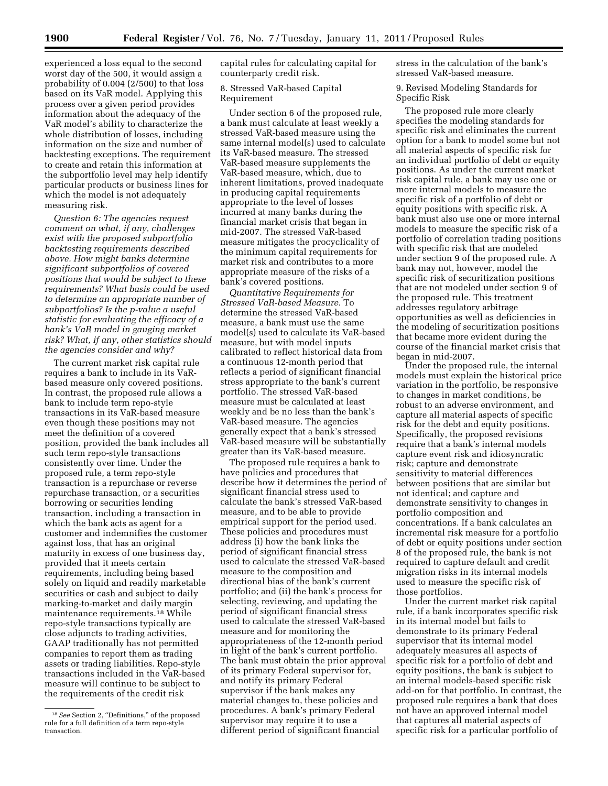experienced a loss equal to the second worst day of the 500, it would assign a probability of 0.004 (2/500) to that loss based on its VaR model. Applying this process over a given period provides information about the adequacy of the VaR model's ability to characterize the whole distribution of losses, including information on the size and number of backtesting exceptions. The requirement to create and retain this information at the subportfolio level may help identify particular products or business lines for which the model is not adequately measuring risk.

*Question 6: The agencies request comment on what, if any, challenges exist with the proposed subportfolio backtesting requirements described above. How might banks determine significant subportfolios of covered positions that would be subject to these requirements? What basis could be used to determine an appropriate number of subportfolios? Is the p-value a useful statistic for evaluating the efficacy of a bank's VaR model in gauging market risk? What, if any, other statistics should the agencies consider and why?* 

The current market risk capital rule requires a bank to include in its VaRbased measure only covered positions. In contrast, the proposed rule allows a bank to include term repo-style transactions in its VaR-based measure even though these positions may not meet the definition of a covered position, provided the bank includes all such term repo-style transactions consistently over time. Under the proposed rule, a term repo-style transaction is a repurchase or reverse repurchase transaction, or a securities borrowing or securities lending transaction, including a transaction in which the bank acts as agent for a customer and indemnifies the customer against loss, that has an original maturity in excess of one business day, provided that it meets certain requirements, including being based solely on liquid and readily marketable securities or cash and subject to daily marking-to-market and daily margin maintenance requirements.18 While repo-style transactions typically are close adjuncts to trading activities, GAAP traditionally has not permitted companies to report them as trading assets or trading liabilities. Repo-style transactions included in the VaR-based measure will continue to be subject to the requirements of the credit risk

capital rules for calculating capital for counterparty credit risk.

#### 8. Stressed VaR-based Capital Requirement

Under section 6 of the proposed rule, a bank must calculate at least weekly a stressed VaR-based measure using the same internal model(s) used to calculate its VaR-based measure. The stressed VaR-based measure supplements the VaR-based measure, which, due to inherent limitations, proved inadequate in producing capital requirements appropriate to the level of losses incurred at many banks during the financial market crisis that began in mid-2007. The stressed VaR-based measure mitigates the procyclicality of the minimum capital requirements for market risk and contributes to a more appropriate measure of the risks of a bank's covered positions.

*Quantitative Requirements for Stressed VaR-based Measure.* To determine the stressed VaR-based measure, a bank must use the same model(s) used to calculate its VaR-based measure, but with model inputs calibrated to reflect historical data from a continuous 12-month period that reflects a period of significant financial stress appropriate to the bank's current portfolio. The stressed VaR-based measure must be calculated at least weekly and be no less than the bank's VaR-based measure. The agencies generally expect that a bank's stressed VaR-based measure will be substantially greater than its VaR-based measure.

The proposed rule requires a bank to have policies and procedures that describe how it determines the period of significant financial stress used to calculate the bank's stressed VaR-based measure, and to be able to provide empirical support for the period used. These policies and procedures must address (i) how the bank links the period of significant financial stress used to calculate the stressed VaR-based measure to the composition and directional bias of the bank's current portfolio; and (ii) the bank's process for selecting, reviewing, and updating the period of significant financial stress used to calculate the stressed VaR-based measure and for monitoring the appropriateness of the 12-month period in light of the bank's current portfolio. The bank must obtain the prior approval of its primary Federal supervisor for, and notify its primary Federal supervisor if the bank makes any material changes to, these policies and procedures. A bank's primary Federal supervisor may require it to use a different period of significant financial

stress in the calculation of the bank's stressed VaR-based measure.

9. Revised Modeling Standards for Specific Risk

The proposed rule more clearly specifies the modeling standards for specific risk and eliminates the current option for a bank to model some but not all material aspects of specific risk for an individual portfolio of debt or equity positions. As under the current market risk capital rule, a bank may use one or more internal models to measure the specific risk of a portfolio of debt or equity positions with specific risk. A bank must also use one or more internal models to measure the specific risk of a portfolio of correlation trading positions with specific risk that are modeled under section 9 of the proposed rule. A bank may not, however, model the specific risk of securitization positions that are not modeled under section 9 of the proposed rule. This treatment addresses regulatory arbitrage opportunities as well as deficiencies in the modeling of securitization positions that became more evident during the course of the financial market crisis that began in mid-2007.

Under the proposed rule, the internal models must explain the historical price variation in the portfolio, be responsive to changes in market conditions, be robust to an adverse environment, and capture all material aspects of specific risk for the debt and equity positions. Specifically, the proposed revisions require that a bank's internal models capture event risk and idiosyncratic risk; capture and demonstrate sensitivity to material differences between positions that are similar but not identical; and capture and demonstrate sensitivity to changes in portfolio composition and concentrations. If a bank calculates an incremental risk measure for a portfolio of debt or equity positions under section 8 of the proposed rule, the bank is not required to capture default and credit migration risks in its internal models used to measure the specific risk of those portfolios.

Under the current market risk capital rule, if a bank incorporates specific risk in its internal model but fails to demonstrate to its primary Federal supervisor that its internal model adequately measures all aspects of specific risk for a portfolio of debt and equity positions, the bank is subject to an internal models-based specific risk add-on for that portfolio. In contrast, the proposed rule requires a bank that does not have an approved internal model that captures all material aspects of specific risk for a particular portfolio of

<sup>&</sup>lt;sup>18</sup> See Section 2, "Definitions," of the proposed rule for a full definition of a term repo-style transaction.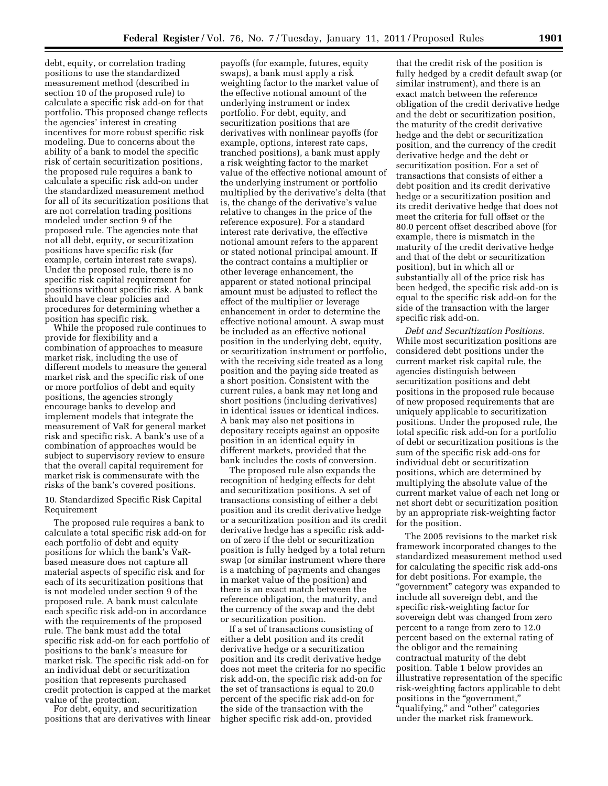debt, equity, or correlation trading positions to use the standardized measurement method (described in section 10 of the proposed rule) to calculate a specific risk add-on for that portfolio. This proposed change reflects the agencies' interest in creating incentives for more robust specific risk modeling. Due to concerns about the ability of a bank to model the specific risk of certain securitization positions, the proposed rule requires a bank to calculate a specific risk add-on under the standardized measurement method for all of its securitization positions that are not correlation trading positions modeled under section 9 of the proposed rule. The agencies note that not all debt, equity, or securitization positions have specific risk (for example, certain interest rate swaps). Under the proposed rule, there is no specific risk capital requirement for positions without specific risk. A bank should have clear policies and procedures for determining whether a position has specific risk.

While the proposed rule continues to provide for flexibility and a combination of approaches to measure market risk, including the use of different models to measure the general market risk and the specific risk of one or more portfolios of debt and equity positions, the agencies strongly encourage banks to develop and implement models that integrate the measurement of VaR for general market risk and specific risk. A bank's use of a combination of approaches would be subject to supervisory review to ensure that the overall capital requirement for market risk is commensurate with the risks of the bank's covered positions.

10. Standardized Specific Risk Capital Requirement

The proposed rule requires a bank to calculate a total specific risk add-on for each portfolio of debt and equity positions for which the bank's VaRbased measure does not capture all material aspects of specific risk and for each of its securitization positions that is not modeled under section 9 of the proposed rule. A bank must calculate each specific risk add-on in accordance with the requirements of the proposed rule. The bank must add the total specific risk add-on for each portfolio of positions to the bank's measure for market risk. The specific risk add-on for an individual debt or securitization position that represents purchased credit protection is capped at the market value of the protection.

For debt, equity, and securitization positions that are derivatives with linear

payoffs (for example, futures, equity swaps), a bank must apply a risk weighting factor to the market value of the effective notional amount of the underlying instrument or index portfolio. For debt, equity, and securitization positions that are derivatives with nonlinear payoffs (for example, options, interest rate caps, tranched positions), a bank must apply a risk weighting factor to the market value of the effective notional amount of the underlying instrument or portfolio multiplied by the derivative's delta (that is, the change of the derivative's value relative to changes in the price of the reference exposure). For a standard interest rate derivative, the effective notional amount refers to the apparent or stated notional principal amount. If the contract contains a multiplier or other leverage enhancement, the apparent or stated notional principal amount must be adjusted to reflect the effect of the multiplier or leverage enhancement in order to determine the effective notional amount. A swap must be included as an effective notional position in the underlying debt, equity, or securitization instrument or portfolio, with the receiving side treated as a long position and the paying side treated as a short position. Consistent with the current rules, a bank may net long and short positions (including derivatives) in identical issues or identical indices. A bank may also net positions in depositary receipts against an opposite position in an identical equity in different markets, provided that the bank includes the costs of conversion.

The proposed rule also expands the recognition of hedging effects for debt and securitization positions. A set of transactions consisting of either a debt position and its credit derivative hedge or a securitization position and its credit derivative hedge has a specific risk addon of zero if the debt or securitization position is fully hedged by a total return swap (or similar instrument where there is a matching of payments and changes in market value of the position) and there is an exact match between the reference obligation, the maturity, and the currency of the swap and the debt or securitization position.

If a set of transactions consisting of either a debt position and its credit derivative hedge or a securitization position and its credit derivative hedge does not meet the criteria for no specific risk add-on, the specific risk add-on for the set of transactions is equal to 20.0 percent of the specific risk add-on for the side of the transaction with the higher specific risk add-on, provided

that the credit risk of the position is fully hedged by a credit default swap (or similar instrument), and there is an exact match between the reference obligation of the credit derivative hedge and the debt or securitization position, the maturity of the credit derivative hedge and the debt or securitization position, and the currency of the credit derivative hedge and the debt or securitization position. For a set of transactions that consists of either a debt position and its credit derivative hedge or a securitization position and its credit derivative hedge that does not meet the criteria for full offset or the 80.0 percent offset described above (for example, there is mismatch in the maturity of the credit derivative hedge and that of the debt or securitization position), but in which all or substantially all of the price risk has been hedged, the specific risk add-on is equal to the specific risk add-on for the side of the transaction with the larger specific risk add-on.

*Debt and Securitization Positions.*  While most securitization positions are considered debt positions under the current market risk capital rule, the agencies distinguish between securitization positions and debt positions in the proposed rule because of new proposed requirements that are uniquely applicable to securitization positions. Under the proposed rule, the total specific risk add-on for a portfolio of debt or securitization positions is the sum of the specific risk add-ons for individual debt or securitization positions, which are determined by multiplying the absolute value of the current market value of each net long or net short debt or securitization position by an appropriate risk-weighting factor for the position.

The 2005 revisions to the market risk framework incorporated changes to the standardized measurement method used for calculating the specific risk add-ons for debt positions. For example, the ''government'' category was expanded to include all sovereign debt, and the specific risk-weighting factor for sovereign debt was changed from zero percent to a range from zero to 12.0 percent based on the external rating of the obligor and the remaining contractual maturity of the debt position. Table 1 below provides an illustrative representation of the specific risk-weighting factors applicable to debt positions in the "government," "qualifying," and "other" categories under the market risk framework.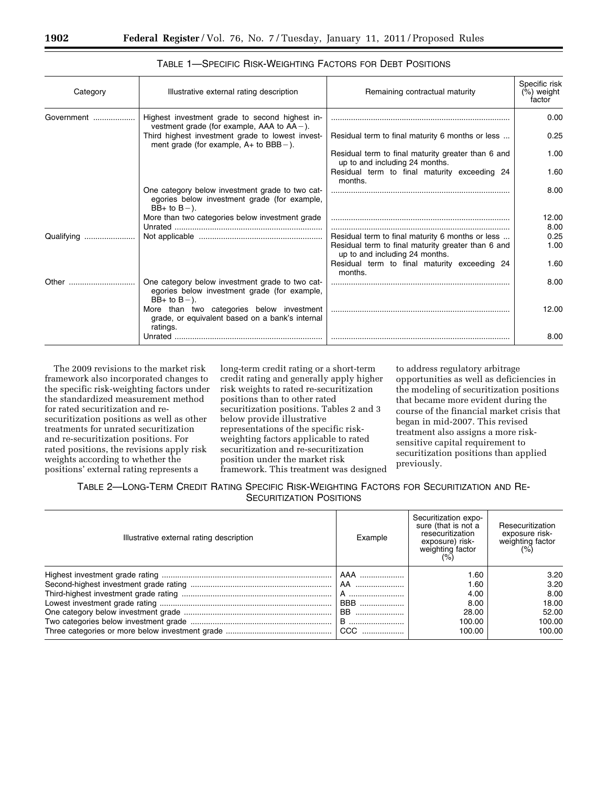| Category   | Illustrative external rating description                                                                            | Remaining contractual maturity                                                                                                           | Specific risk<br>$(\%)$ weight<br>factor |
|------------|---------------------------------------------------------------------------------------------------------------------|------------------------------------------------------------------------------------------------------------------------------------------|------------------------------------------|
| Government | Highest investment grade to second highest in-<br>vestment grade (for example, AAA to $AA -$ ).                     |                                                                                                                                          | 0.00                                     |
|            | Third highest investment grade to lowest invest-<br>ment grade (for example, $A+$ to $BBB-$ ).                      | Residual term to final maturity 6 months or less                                                                                         | 0.25                                     |
|            |                                                                                                                     | Residual term to final maturity greater than 6 and<br>up to and including 24 months.                                                     | 1.00                                     |
|            |                                                                                                                     | Residual term to final maturity exceeding 24<br>months.                                                                                  | 1.60                                     |
|            | One category below investment grade to two cat-<br>egories below investment grade (for example,<br>$BB+$ to $B-$ ). |                                                                                                                                          | 8.00                                     |
|            | More than two categories below investment grade                                                                     |                                                                                                                                          | 12.00<br>8.00                            |
| Qualifying |                                                                                                                     | Residual term to final maturity 6 months or less<br>Residual term to final maturity greater than 6 and<br>up to and including 24 months. | 0.25<br>1.00                             |
|            |                                                                                                                     | Residual term to final maturity exceeding 24<br>months.                                                                                  | 1.60                                     |
| Other      | One category below investment grade to two cat-<br>egories below investment grade (for example,<br>$BB+$ to $B-$ ). |                                                                                                                                          | 8.00                                     |
|            | More than two categories below investment<br>grade, or equivalent based on a bank's internal<br>ratings.            |                                                                                                                                          | 12.00                                    |
|            | Unrated.                                                                                                            |                                                                                                                                          | 8.00                                     |

TABLE 1—SPECIFIC RISK-WEIGHTING FACTORS FOR DEBT POSITIONS

The 2009 revisions to the market risk framework also incorporated changes to the specific risk-weighting factors under the standardized measurement method for rated securitization and resecuritization positions as well as other treatments for unrated securitization and re-securitization positions. For rated positions, the revisions apply risk weights according to whether the positions' external rating represents a

long-term credit rating or a short-term credit rating and generally apply higher risk weights to rated re-securitization positions than to other rated securitization positions. Tables 2 and 3 below provide illustrative representations of the specific riskweighting factors applicable to rated securitization and re-securitization position under the market risk framework. This treatment was designed to address regulatory arbitrage opportunities as well as deficiencies in the modeling of securitization positions that became more evident during the course of the financial market crisis that began in mid-2007. This revised treatment also assigns a more risksensitive capital requirement to securitization positions than applied previously.

# TABLE 2—LONG-TERM CREDIT RATING SPECIFIC RISK-WEIGHTING FACTORS FOR SECURITIZATION AND RE-SECURITIZATION POSITIONS

| Illustrative external rating description | Example   | Securitization expo-<br>sure (that is not a<br>resecuritization<br>exposure) risk-<br>weighting factor<br>(% ) | Resecuritization<br>exposure risk-<br>weighting factor<br>(% ) |
|------------------------------------------|-----------|----------------------------------------------------------------------------------------------------------------|----------------------------------------------------------------|
|                                          |           | 1.60                                                                                                           | 3.20                                                           |
|                                          |           | 1.60                                                                                                           | 3.20                                                           |
|                                          |           | 4.00                                                                                                           | 8.00                                                           |
|                                          |           | 8.00                                                                                                           | 18.00                                                          |
|                                          | <b>BB</b> | 28.00                                                                                                          | 52.00                                                          |
|                                          |           | 100.00                                                                                                         | 100.00                                                         |
|                                          |           | 100.00                                                                                                         | 100.00                                                         |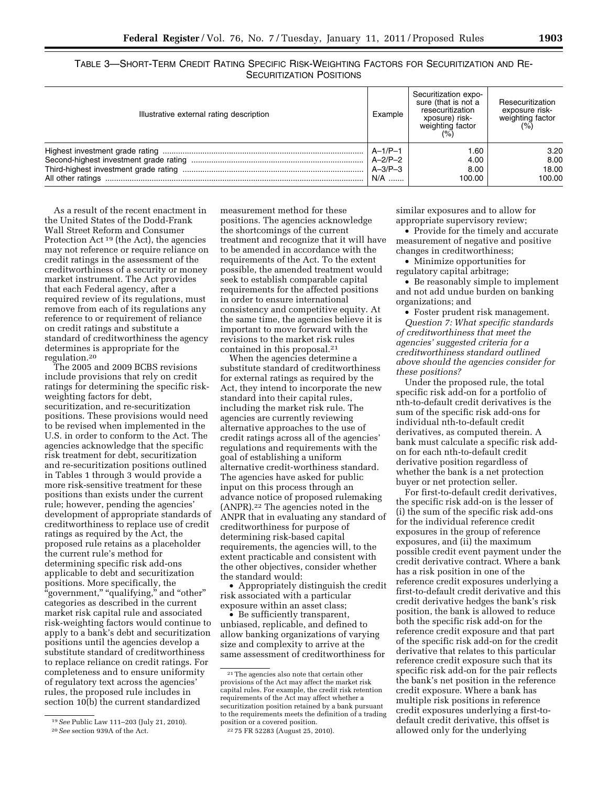TABLE 3—SHORT-TERM CREDIT RATING SPECIFIC RISK-WEIGHTING FACTORS FOR SECURITIZATION AND RE-SECURITIZATION POSITIONS

| Illustrative external rating description | Example       | Securitization expo-<br>sure (that is not a<br>resecuritization<br>xposure) risk-<br>weighting factor<br>(%) | Resecuritization<br>exposure risk-<br>weighting factor<br>(%) |
|------------------------------------------|---------------|--------------------------------------------------------------------------------------------------------------|---------------------------------------------------------------|
|                                          | $A-1/P-1$     | 1.60                                                                                                         | 3.20                                                          |
|                                          | $A-2/P-2$     | 4.00                                                                                                         | 8.00                                                          |
|                                          | $A - 3/P - 3$ | 8.00                                                                                                         | 18.00                                                         |
|                                          | N/A           | 100.00                                                                                                       | 100.00                                                        |

As a result of the recent enactment in the United States of the Dodd-Frank Wall Street Reform and Consumer Protection Act 19 (the Act), the agencies may not reference or require reliance on credit ratings in the assessment of the creditworthiness of a security or money market instrument. The Act provides that each Federal agency, after a required review of its regulations, must remove from each of its regulations any reference to or requirement of reliance on credit ratings and substitute a standard of creditworthiness the agency determines is appropriate for the regulation.20

The 2005 and 2009 BCBS revisions include provisions that rely on credit ratings for determining the specific riskweighting factors for debt, securitization, and re-securitization positions. These provisions would need to be revised when implemented in the U.S. in order to conform to the Act. The agencies acknowledge that the specific risk treatment for debt, securitization and re-securitization positions outlined in Tables 1 through 3 would provide a more risk-sensitive treatment for these positions than exists under the current rule; however, pending the agencies' development of appropriate standards of creditworthiness to replace use of credit ratings as required by the Act, the proposed rule retains as a placeholder the current rule's method for determining specific risk add-ons applicable to debt and securitization positions. More specifically, the ''government,'' ''qualifying,'' and ''other'' categories as described in the current market risk capital rule and associated risk-weighting factors would continue to apply to a bank's debt and securitization positions until the agencies develop a substitute standard of creditworthiness to replace reliance on credit ratings. For completeness and to ensure uniformity of regulatory text across the agencies' rules, the proposed rule includes in section 10(b) the current standardized

19*See* Public Law 111–203 (July 21, 2010). 20*See* section 939A of the Act.

measurement method for these positions. The agencies acknowledge the shortcomings of the current treatment and recognize that it will have to be amended in accordance with the requirements of the Act. To the extent possible, the amended treatment would seek to establish comparable capital requirements for the affected positions in order to ensure international consistency and competitive equity. At the same time, the agencies believe it is important to move forward with the revisions to the market risk rules contained in this proposal.21

When the agencies determine a substitute standard of creditworthiness for external ratings as required by the Act, they intend to incorporate the new standard into their capital rules, including the market risk rule. The agencies are currently reviewing alternative approaches to the use of credit ratings across all of the agencies' regulations and requirements with the goal of establishing a uniform alternative credit-worthiness standard. The agencies have asked for public input on this process through an advance notice of proposed rulemaking (ANPR).22 The agencies noted in the ANPR that in evaluating any standard of creditworthiness for purpose of determining risk-based capital requirements, the agencies will, to the extent practicable and consistent with the other objectives, consider whether the standard would:

• Appropriately distinguish the credit risk associated with a particular exposure within an asset class;

• Be sufficiently transparent, unbiased, replicable, and defined to allow banking organizations of varying size and complexity to arrive at the same assessment of creditworthiness for similar exposures and to allow for appropriate supervisory review;

• Provide for the timely and accurate measurement of negative and positive changes in creditworthiness;

• Minimize opportunities for regulatory capital arbitrage;

• Be reasonably simple to implement and not add undue burden on banking organizations; and

• Foster prudent risk management. *Question 7: What specific standards of creditworthiness that meet the agencies' suggested criteria for a creditworthiness standard outlined above should the agencies consider for these positions?* 

Under the proposed rule, the total specific risk add-on for a portfolio of nth-to-default credit derivatives is the sum of the specific risk add-ons for individual nth-to-default credit derivatives, as computed therein. A bank must calculate a specific risk addon for each nth-to-default credit derivative position regardless of whether the bank is a net protection buyer or net protection seller.

For first-to-default credit derivatives, the specific risk add-on is the lesser of (i) the sum of the specific risk add-ons for the individual reference credit exposures in the group of reference exposures, and (ii) the maximum possible credit event payment under the credit derivative contract. Where a bank has a risk position in one of the reference credit exposures underlying a first-to-default credit derivative and this credit derivative hedges the bank's risk position, the bank is allowed to reduce both the specific risk add-on for the reference credit exposure and that part of the specific risk add-on for the credit derivative that relates to this particular reference credit exposure such that its specific risk add-on for the pair reflects the bank's net position in the reference credit exposure. Where a bank has multiple risk positions in reference credit exposures underlying a first-todefault credit derivative, this offset is allowed only for the underlying

<sup>21</sup>The agencies also note that certain other provisions of the Act may affect the market risk capital rules. For example, the credit risk retention requirements of the Act may affect whether a securitization position retained by a bank pursuant to the requirements meets the definition of a trading position or a covered position.

<sup>22</sup> 75 FR 52283 (August 25, 2010).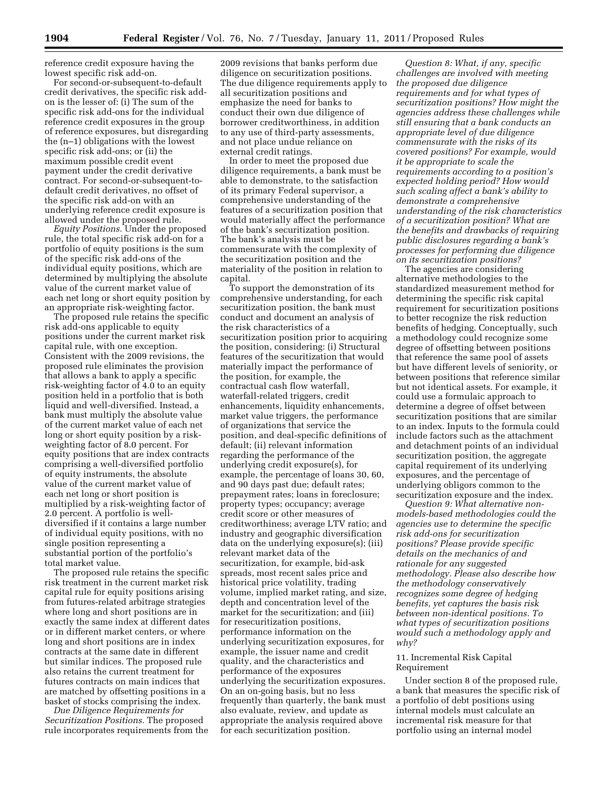reference credit exposure having the lowest specific risk add-on.

For second-or-subsequent-to-default credit derivatives, the specific risk addon is the lesser of: (i) The sum of the specific risk add-ons for the individual reference credit exposures in the group of reference exposures, but disregarding the (n–1) obligations with the lowest specific risk add-ons; or (ii) the maximum possible credit event payment under the credit derivative contract. For second-or-subsequent-todefault credit derivatives, no offset of the specific risk add-on with an underlying reference credit exposure is allowed under the proposed rule.

*Equity Positions.* Under the proposed rule, the total specific risk add-on for a portfolio of equity positions is the sum of the specific risk add-ons of the individual equity positions, which are determined by multiplying the absolute value of the current market value of each net long or short equity position by an appropriate risk-weighting factor.

The proposed rule retains the specific risk add-ons applicable to equity positions under the current market risk capital rule, with one exception. Consistent with the 2009 revisions, the proposed rule eliminates the provision that allows a bank to apply a specific risk-weighting factor of 4.0 to an equity position held in a portfolio that is both liquid and well-diversified. Instead, a bank must multiply the absolute value of the current market value of each net long or short equity position by a riskweighting factor of 8.0 percent. For equity positions that are index contracts comprising a well-diversified portfolio of equity instruments, the absolute value of the current market value of each net long or short position is multiplied by a risk-weighting factor of 2.0 percent. A portfolio is welldiversified if it contains a large number of individual equity positions, with no single position representing a substantial portion of the portfolio's total market value.

The proposed rule retains the specific risk treatment in the current market risk capital rule for equity positions arising from futures-related arbitrage strategies where long and short positions are in exactly the same index at different dates or in different market centers, or where long and short positions are in index contracts at the same date in different but similar indices. The proposed rule also retains the current treatment for futures contracts on main indices that are matched by offsetting positions in a basket of stocks comprising the index.

*Due Diligence Requirements for Securitization Positions.* The proposed rule incorporates requirements from the

2009 revisions that banks perform due diligence on securitization positions. The due diligence requirements apply to all securitization positions and emphasize the need for banks to conduct their own due diligence of borrower creditworthiness, in addition to any use of third-party assessments, and not place undue reliance on external credit ratings.

In order to meet the proposed due diligence requirements, a bank must be able to demonstrate, to the satisfaction of its primary Federal supervisor, a comprehensive understanding of the features of a securitization position that would materially affect the performance of the bank's securitization position. The bank's analysis must be commensurate with the complexity of the securitization position and the materiality of the position in relation to capital.

To support the demonstration of its comprehensive understanding, for each securitization position, the bank must conduct and document an analysis of the risk characteristics of a securitization position prior to acquiring the position, considering: (i) Structural features of the securitization that would materially impact the performance of the position, for example, the contractual cash flow waterfall, waterfall-related triggers, credit enhancements, liquidity enhancements, market value triggers, the performance of organizations that service the position, and deal-specific definitions of default; (ii) relevant information regarding the performance of the underlying credit exposure(s), for example, the percentage of loans 30, 60, and 90 days past due; default rates; prepayment rates; loans in foreclosure; property types; occupancy; average credit score or other measures of creditworthiness; average LTV ratio; and industry and geographic diversification data on the underlying exposure(s); (iii) relevant market data of the securitization, for example, bid-ask spreads, most recent sales price and historical price volatility, trading volume, implied market rating, and size, depth and concentration level of the market for the securitization; and (iii) for resecuritization positions, performance information on the underlying securitization exposures, for example, the issuer name and credit quality, and the characteristics and performance of the exposures underlying the securitization exposures. On an on-going basis, but no less frequently than quarterly, the bank must also evaluate, review, and update as appropriate the analysis required above for each securitization position.

*Question 8: What, if any, specific challenges are involved with meeting the proposed due diligence requirements and for what types of securitization positions? How might the agencies address these challenges while still ensuring that a bank conducts an appropriate level of due diligence commensurate with the risks of its covered positions? For example, would it be appropriate to scale the requirements according to a position's expected holding period? How would such scaling affect a bank's ability to demonstrate a comprehensive understanding of the risk characteristics of a securitization position? What are the benefits and drawbacks of requiring public disclosures regarding a bank's processes for performing due diligence on its securitization positions?* 

The agencies are considering alternative methodologies to the standardized measurement method for determining the specific risk capital requirement for securitization positions to better recognize the risk reduction benefits of hedging. Conceptually, such a methodology could recognize some degree of offsetting between positions that reference the same pool of assets but have different levels of seniority, or between positions that reference similar but not identical assets. For example, it could use a formulaic approach to determine a degree of offset between securitization positions that are similar to an index. Inputs to the formula could include factors such as the attachment and detachment points of an individual securitization position, the aggregate capital requirement of its underlying exposures, and the percentage of underlying obligors common to the securitization exposure and the index.

*Question 9: What alternative nonmodels-based methodologies could the agencies use to determine the specific risk add-ons for securitization positions? Please provide specific details on the mechanics of and rationale for any suggested methodology. Please also describe how the methodology conservatively recognizes some degree of hedging benefits, yet captures the basis risk between non-identical positions. To what types of securitization positions would such a methodology apply and why?* 

#### 11. Incremental Risk Capital Requirement

Under section 8 of the proposed rule, a bank that measures the specific risk of a portfolio of debt positions using internal models must calculate an incremental risk measure for that portfolio using an internal model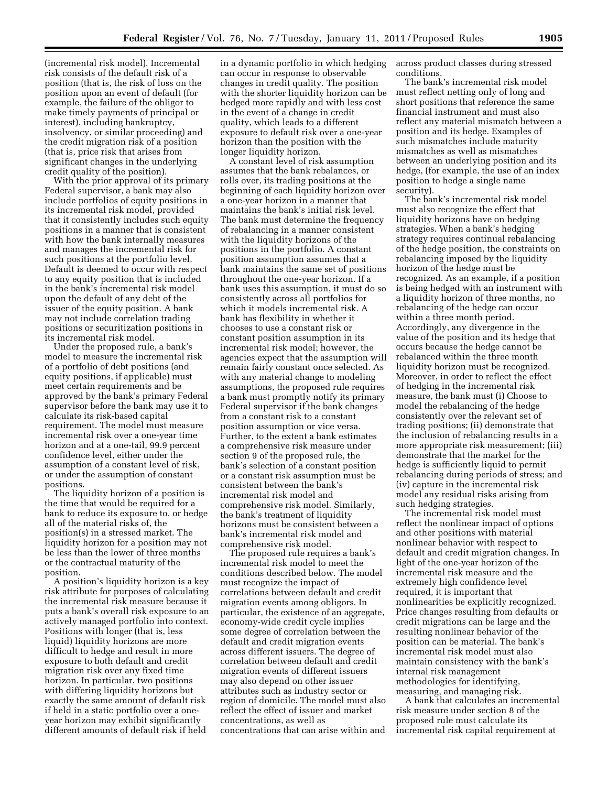(incremental risk model). Incremental risk consists of the default risk of a position (that is, the risk of loss on the position upon an event of default (for example, the failure of the obligor to make timely payments of principal or interest), including bankruptcy, insolvency, or similar proceeding) and the credit migration risk of a position (that is, price risk that arises from significant changes in the underlying credit quality of the position).

With the prior approval of its primary Federal supervisor, a bank may also include portfolios of equity positions in its incremental risk model, provided that it consistently includes such equity positions in a manner that is consistent with how the bank internally measures and manages the incremental risk for such positions at the portfolio level. Default is deemed to occur with respect to any equity position that is included in the bank's incremental risk model upon the default of any debt of the issuer of the equity position. A bank may not include correlation trading positions or securitization positions in its incremental risk model.

Under the proposed rule, a bank's model to measure the incremental risk of a portfolio of debt positions (and equity positions, if applicable) must meet certain requirements and be approved by the bank's primary Federal supervisor before the bank may use it to calculate its risk-based capital requirement. The model must measure incremental risk over a one-year time horizon and at a one-tail, 99.9 percent confidence level, either under the assumption of a constant level of risk, or under the assumption of constant positions.

The liquidity horizon of a position is the time that would be required for a bank to reduce its exposure to, or hedge all of the material risks of, the position(s) in a stressed market. The liquidity horizon for a position may not be less than the lower of three months or the contractual maturity of the position.

A position's liquidity horizon is a key risk attribute for purposes of calculating the incremental risk measure because it puts a bank's overall risk exposure to an actively managed portfolio into context. Positions with longer (that is, less liquid) liquidity horizons are more difficult to hedge and result in more exposure to both default and credit migration risk over any fixed time horizon. In particular, two positions with differing liquidity horizons but exactly the same amount of default risk if held in a static portfolio over a oneyear horizon may exhibit significantly different amounts of default risk if held

in a dynamic portfolio in which hedging can occur in response to observable changes in credit quality. The position with the shorter liquidity horizon can be hedged more rapidly and with less cost in the event of a change in credit quality, which leads to a different exposure to default risk over a one-year horizon than the position with the longer liquidity horizon.

A constant level of risk assumption assumes that the bank rebalances, or rolls over, its trading positions at the beginning of each liquidity horizon over a one-year horizon in a manner that maintains the bank's initial risk level. The bank must determine the frequency of rebalancing in a manner consistent with the liquidity horizons of the positions in the portfolio. A constant position assumption assumes that a bank maintains the same set of positions throughout the one-year horizon. If a bank uses this assumption, it must do so consistently across all portfolios for which it models incremental risk. A bank has flexibility in whether it chooses to use a constant risk or constant position assumption in its incremental risk model; however, the agencies expect that the assumption will remain fairly constant once selected. As with any material change to modeling assumptions, the proposed rule requires a bank must promptly notify its primary Federal supervisor if the bank changes from a constant risk to a constant position assumption or vice versa. Further, to the extent a bank estimates a comprehensive risk measure under section 9 of the proposed rule, the bank's selection of a constant position or a constant risk assumption must be consistent between the bank's incremental risk model and comprehensive risk model. Similarly, the bank's treatment of liquidity horizons must be consistent between a bank's incremental risk model and comprehensive risk model.

The proposed rule requires a bank's incremental risk model to meet the conditions described below. The model must recognize the impact of correlations between default and credit migration events among obligors. In particular, the existence of an aggregate, economy-wide credit cycle implies some degree of correlation between the default and credit migration events across different issuers. The degree of correlation between default and credit migration events of different issuers may also depend on other issuer attributes such as industry sector or region of domicile. The model must also reflect the effect of issuer and market concentrations, as well as concentrations that can arise within and

across product classes during stressed conditions.

The bank's incremental risk model must reflect netting only of long and short positions that reference the same financial instrument and must also reflect any material mismatch between a position and its hedge. Examples of such mismatches include maturity mismatches as well as mismatches between an underlying position and its hedge, (for example, the use of an index position to hedge a single name security).

The bank's incremental risk model must also recognize the effect that liquidity horizons have on hedging strategies. When a bank's hedging strategy requires continual rebalancing of the hedge position, the constraints on rebalancing imposed by the liquidity horizon of the hedge must be recognized. As an example, if a position is being hedged with an instrument with a liquidity horizon of three months, no rebalancing of the hedge can occur within a three month period. Accordingly, any divergence in the value of the position and its hedge that occurs because the hedge cannot be rebalanced within the three month liquidity horizon must be recognized. Moreover, in order to reflect the effect of hedging in the incremental risk measure, the bank must (i) Choose to model the rebalancing of the hedge consistently over the relevant set of trading positions; (ii) demonstrate that the inclusion of rebalancing results in a more appropriate risk measurement; (iii) demonstrate that the market for the hedge is sufficiently liquid to permit rebalancing during periods of stress; and (iv) capture in the incremental risk model any residual risks arising from such hedging strategies.

The incremental risk model must reflect the nonlinear impact of options and other positions with material nonlinear behavior with respect to default and credit migration changes. In light of the one-year horizon of the incremental risk measure and the extremely high confidence level required, it is important that nonlinearities be explicitly recognized. Price changes resulting from defaults or credit migrations can be large and the resulting nonlinear behavior of the position can be material. The bank's incremental risk model must also maintain consistency with the bank's internal risk management methodologies for identifying, measuring, and managing risk.

A bank that calculates an incremental risk measure under section 8 of the proposed rule must calculate its incremental risk capital requirement at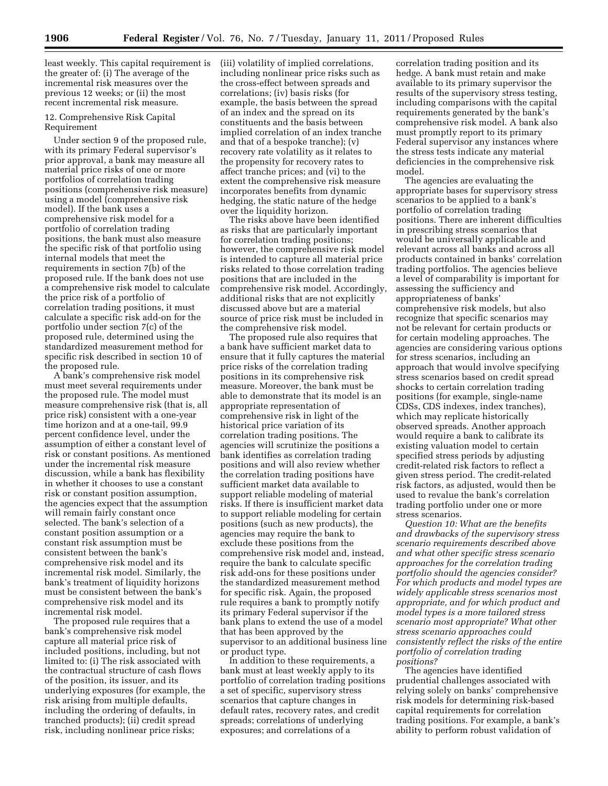least weekly. This capital requirement is the greater of: (i) The average of the incremental risk measures over the previous 12 weeks; or (ii) the most recent incremental risk measure.

## 12. Comprehensive Risk Capital Requirement

Under section 9 of the proposed rule, with its primary Federal supervisor's prior approval, a bank may measure all material price risks of one or more portfolios of correlation trading positions (comprehensive risk measure) using a model (comprehensive risk model). If the bank uses a comprehensive risk model for a portfolio of correlation trading positions, the bank must also measure the specific risk of that portfolio using internal models that meet the requirements in section 7(b) of the proposed rule. If the bank does not use a comprehensive risk model to calculate the price risk of a portfolio of correlation trading positions, it must calculate a specific risk add-on for the portfolio under section 7(c) of the proposed rule, determined using the standardized measurement method for specific risk described in section 10 of the proposed rule.

A bank's comprehensive risk model must meet several requirements under the proposed rule. The model must measure comprehensive risk (that is, all price risk) consistent with a one-year time horizon and at a one-tail, 99.9 percent confidence level, under the assumption of either a constant level of risk or constant positions. As mentioned under the incremental risk measure discussion, while a bank has flexibility in whether it chooses to use a constant risk or constant position assumption, the agencies expect that the assumption will remain fairly constant once selected. The bank's selection of a constant position assumption or a constant risk assumption must be consistent between the bank's comprehensive risk model and its incremental risk model. Similarly, the bank's treatment of liquidity horizons must be consistent between the bank's comprehensive risk model and its incremental risk model.

The proposed rule requires that a bank's comprehensive risk model capture all material price risk of included positions, including, but not limited to: (i) The risk associated with the contractual structure of cash flows of the position, its issuer, and its underlying exposures (for example, the risk arising from multiple defaults, including the ordering of defaults, in tranched products); (ii) credit spread risk, including nonlinear price risks;

(iii) volatility of implied correlations, including nonlinear price risks such as the cross-effect between spreads and correlations; (iv) basis risks (for example, the basis between the spread of an index and the spread on its constituents and the basis between implied correlation of an index tranche and that of a bespoke tranche); (v) recovery rate volatility as it relates to the propensity for recovery rates to affect tranche prices; and (vi) to the extent the comprehensive risk measure incorporates benefits from dynamic hedging, the static nature of the hedge over the liquidity horizon.

The risks above have been identified as risks that are particularly important for correlation trading positions; however, the comprehensive risk model is intended to capture all material price risks related to those correlation trading positions that are included in the comprehensive risk model. Accordingly, additional risks that are not explicitly discussed above but are a material source of price risk must be included in the comprehensive risk model.

The proposed rule also requires that a bank have sufficient market data to ensure that it fully captures the material price risks of the correlation trading positions in its comprehensive risk measure. Moreover, the bank must be able to demonstrate that its model is an appropriate representation of comprehensive risk in light of the historical price variation of its correlation trading positions. The agencies will scrutinize the positions a bank identifies as correlation trading positions and will also review whether the correlation trading positions have sufficient market data available to support reliable modeling of material risks. If there is insufficient market data to support reliable modeling for certain positions (such as new products), the agencies may require the bank to exclude these positions from the comprehensive risk model and, instead, require the bank to calculate specific risk add-ons for these positions under the standardized measurement method for specific risk. Again, the proposed rule requires a bank to promptly notify its primary Federal supervisor if the bank plans to extend the use of a model that has been approved by the supervisor to an additional business line or product type.

In addition to these requirements, a bank must at least weekly apply to its portfolio of correlation trading positions a set of specific, supervisory stress scenarios that capture changes in default rates, recovery rates, and credit spreads; correlations of underlying exposures; and correlations of a

correlation trading position and its hedge. A bank must retain and make available to its primary supervisor the results of the supervisory stress testing, including comparisons with the capital requirements generated by the bank's comprehensive risk model. A bank also must promptly report to its primary Federal supervisor any instances where the stress tests indicate any material deficiencies in the comprehensive risk model.

The agencies are evaluating the appropriate bases for supervisory stress scenarios to be applied to a bank's portfolio of correlation trading positions. There are inherent difficulties in prescribing stress scenarios that would be universally applicable and relevant across all banks and across all products contained in banks' correlation trading portfolios. The agencies believe a level of comparability is important for assessing the sufficiency and appropriateness of banks' comprehensive risk models, but also recognize that specific scenarios may not be relevant for certain products or for certain modeling approaches. The agencies are considering various options for stress scenarios, including an approach that would involve specifying stress scenarios based on credit spread shocks to certain correlation trading positions (for example, single-name CDSs, CDS indexes, index tranches), which may replicate historically observed spreads. Another approach would require a bank to calibrate its existing valuation model to certain specified stress periods by adjusting credit-related risk factors to reflect a given stress period. The credit-related risk factors, as adjusted, would then be used to revalue the bank's correlation trading portfolio under one or more stress scenarios.

*Question 10: What are the benefits and drawbacks of the supervisory stress scenario requirements described above and what other specific stress scenario approaches for the correlation trading portfolio should the agencies consider? For which products and model types are widely applicable stress scenarios most appropriate, and for which product and model types is a more tailored stress scenario most appropriate? What other stress scenario approaches could consistently reflect the risks of the entire portfolio of correlation trading positions?* 

The agencies have identified prudential challenges associated with relying solely on banks' comprehensive risk models for determining risk-based capital requirements for correlation trading positions. For example, a bank's ability to perform robust validation of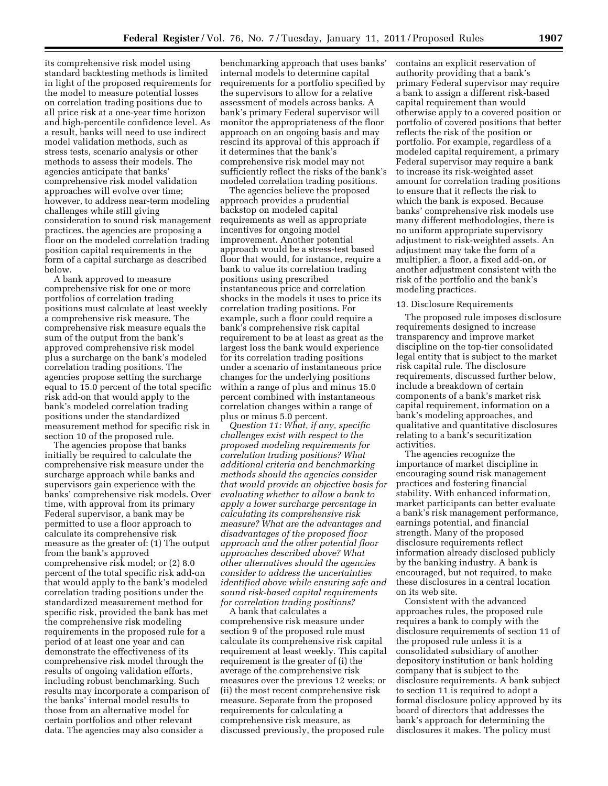its comprehensive risk model using standard backtesting methods is limited in light of the proposed requirements for the model to measure potential losses on correlation trading positions due to all price risk at a one-year time horizon and high-percentile confidence level. As a result, banks will need to use indirect model validation methods, such as stress tests, scenario analysis or other methods to assess their models. The agencies anticipate that banks' comprehensive risk model validation approaches will evolve over time; however, to address near-term modeling challenges while still giving consideration to sound risk management practices, the agencies are proposing a floor on the modeled correlation trading position capital requirements in the form of a capital surcharge as described below.

A bank approved to measure comprehensive risk for one or more portfolios of correlation trading positions must calculate at least weekly a comprehensive risk measure. The comprehensive risk measure equals the sum of the output from the bank's approved comprehensive risk model plus a surcharge on the bank's modeled correlation trading positions. The agencies propose setting the surcharge equal to 15.0 percent of the total specific risk add-on that would apply to the bank's modeled correlation trading positions under the standardized measurement method for specific risk in section 10 of the proposed rule.

The agencies propose that banks initially be required to calculate the comprehensive risk measure under the surcharge approach while banks and supervisors gain experience with the banks' comprehensive risk models. Over time, with approval from its primary Federal supervisor, a bank may be permitted to use a floor approach to calculate its comprehensive risk measure as the greater of: (1) The output from the bank's approved comprehensive risk model; or (2) 8.0 percent of the total specific risk add-on that would apply to the bank's modeled correlation trading positions under the standardized measurement method for specific risk, provided the bank has met the comprehensive risk modeling requirements in the proposed rule for a period of at least one year and can demonstrate the effectiveness of its comprehensive risk model through the results of ongoing validation efforts, including robust benchmarking. Such results may incorporate a comparison of the banks' internal model results to those from an alternative model for certain portfolios and other relevant data. The agencies may also consider a

benchmarking approach that uses banks' internal models to determine capital requirements for a portfolio specified by the supervisors to allow for a relative assessment of models across banks. A bank's primary Federal supervisor will monitor the appropriateness of the floor approach on an ongoing basis and may rescind its approval of this approach if it determines that the bank's comprehensive risk model may not sufficiently reflect the risks of the bank's modeled correlation trading positions.

The agencies believe the proposed approach provides a prudential backstop on modeled capital requirements as well as appropriate incentives for ongoing model improvement. Another potential approach would be a stress-test based floor that would, for instance, require a bank to value its correlation trading positions using prescribed instantaneous price and correlation shocks in the models it uses to price its correlation trading positions. For example, such a floor could require a bank's comprehensive risk capital requirement to be at least as great as the largest loss the bank would experience for its correlation trading positions under a scenario of instantaneous price changes for the underlying positions within a range of plus and minus 15.0 percent combined with instantaneous correlation changes within a range of plus or minus 5.0 percent.

*Question 11: What, if any, specific challenges exist with respect to the proposed modeling requirements for correlation trading positions? What additional criteria and benchmarking methods should the agencies consider that would provide an objective basis for evaluating whether to allow a bank to apply a lower surcharge percentage in calculating its comprehensive risk measure? What are the advantages and disadvantages of the proposed floor approach and the other potential floor approaches described above? What other alternatives should the agencies consider to address the uncertainties identified above while ensuring safe and sound risk-based capital requirements for correlation trading positions?* 

A bank that calculates a comprehensive risk measure under section 9 of the proposed rule must calculate its comprehensive risk capital requirement at least weekly. This capital requirement is the greater of (i) the average of the comprehensive risk measures over the previous 12 weeks; or (ii) the most recent comprehensive risk measure. Separate from the proposed requirements for calculating a comprehensive risk measure, as discussed previously, the proposed rule

contains an explicit reservation of authority providing that a bank's primary Federal supervisor may require a bank to assign a different risk-based capital requirement than would otherwise apply to a covered position or portfolio of covered positions that better reflects the risk of the position or portfolio. For example, regardless of a modeled capital requirement, a primary Federal supervisor may require a bank to increase its risk-weighted asset amount for correlation trading positions to ensure that it reflects the risk to which the bank is exposed. Because banks' comprehensive risk models use many different methodologies, there is no uniform appropriate supervisory adjustment to risk-weighted assets. An adjustment may take the form of a multiplier, a floor, a fixed add-on, or another adjustment consistent with the risk of the portfolio and the bank's modeling practices.

#### 13. Disclosure Requirements

The proposed rule imposes disclosure requirements designed to increase transparency and improve market discipline on the top-tier consolidated legal entity that is subject to the market risk capital rule. The disclosure requirements, discussed further below, include a breakdown of certain components of a bank's market risk capital requirement, information on a bank's modeling approaches, and qualitative and quantitative disclosures relating to a bank's securitization activities.

The agencies recognize the importance of market discipline in encouraging sound risk management practices and fostering financial stability. With enhanced information, market participants can better evaluate a bank's risk management performance, earnings potential, and financial strength. Many of the proposed disclosure requirements reflect information already disclosed publicly by the banking industry. A bank is encouraged, but not required, to make these disclosures in a central location on its web site.

Consistent with the advanced approaches rules, the proposed rule requires a bank to comply with the disclosure requirements of section 11 of the proposed rule unless it is a consolidated subsidiary of another depository institution or bank holding company that is subject to the disclosure requirements. A bank subject to section 11 is required to adopt a formal disclosure policy approved by its board of directors that addresses the bank's approach for determining the disclosures it makes. The policy must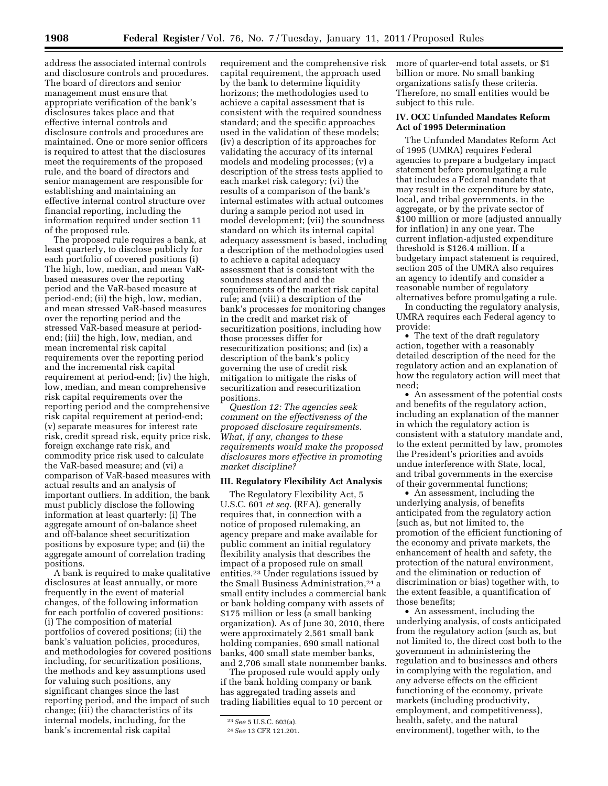address the associated internal controls and disclosure controls and procedures. The board of directors and senior management must ensure that appropriate verification of the bank's disclosures takes place and that effective internal controls and disclosure controls and procedures are maintained. One or more senior officers is required to attest that the disclosures meet the requirements of the proposed rule, and the board of directors and senior management are responsible for establishing and maintaining an effective internal control structure over financial reporting, including the information required under section 11 of the proposed rule.

The proposed rule requires a bank, at least quarterly, to disclose publicly for each portfolio of covered positions (i) The high, low, median, and mean VaRbased measures over the reporting period and the VaR-based measure at period-end; (ii) the high, low, median, and mean stressed VaR-based measures over the reporting period and the stressed VaR-based measure at periodend; (iii) the high, low, median, and mean incremental risk capital requirements over the reporting period and the incremental risk capital requirement at period-end; (iv) the high, low, median, and mean comprehensive risk capital requirements over the reporting period and the comprehensive risk capital requirement at period-end; (v) separate measures for interest rate risk, credit spread risk, equity price risk, foreign exchange rate risk, and commodity price risk used to calculate the VaR-based measure; and (vi) a comparison of VaR-based measures with actual results and an analysis of important outliers. In addition, the bank must publicly disclose the following information at least quarterly: (i) The aggregate amount of on-balance sheet and off-balance sheet securitization positions by exposure type; and (ii) the aggregate amount of correlation trading positions.

A bank is required to make qualitative disclosures at least annually, or more frequently in the event of material changes, of the following information for each portfolio of covered positions: (i) The composition of material portfolios of covered positions; (ii) the bank's valuation policies, procedures, and methodologies for covered positions including, for securitization positions, the methods and key assumptions used for valuing such positions, any significant changes since the last reporting period, and the impact of such change; (iii) the characteristics of its internal models, including, for the bank's incremental risk capital

requirement and the comprehensive risk capital requirement, the approach used by the bank to determine liquidity horizons; the methodologies used to achieve a capital assessment that is consistent with the required soundness standard; and the specific approaches used in the validation of these models; (iv) a description of its approaches for validating the accuracy of its internal models and modeling processes; (v) a description of the stress tests applied to each market risk category; (vi) the results of a comparison of the bank's internal estimates with actual outcomes during a sample period not used in model development; (vii) the soundness standard on which its internal capital adequacy assessment is based, including a description of the methodologies used to achieve a capital adequacy assessment that is consistent with the soundness standard and the requirements of the market risk capital rule; and (viii) a description of the bank's processes for monitoring changes in the credit and market risk of securitization positions, including how those processes differ for resecuritization positions; and (ix) a description of the bank's policy governing the use of credit risk mitigation to mitigate the risks of securitization and resecuritization positions.

*Question 12: The agencies seek comment on the effectiveness of the proposed disclosure requirements. What, if any, changes to these requirements would make the proposed disclosures more effective in promoting market discipline?* 

# **III. Regulatory Flexibility Act Analysis**

The Regulatory Flexibility Act, 5 U.S.C. 601 *et seq.* (RFA), generally requires that, in connection with a notice of proposed rulemaking, an agency prepare and make available for public comment an initial regulatory flexibility analysis that describes the impact of a proposed rule on small entities.23 Under regulations issued by the Small Business Administration,<sup>24</sup> a small entity includes a commercial bank or bank holding company with assets of \$175 million or less (a small banking organization). As of June 30, 2010, there were approximately 2,561 small bank holding companies, 690 small national banks, 400 small state member banks, and 2,706 small state nonmember banks.

The proposed rule would apply only if the bank holding company or bank has aggregated trading assets and trading liabilities equal to 10 percent or more of quarter-end total assets, or \$1 billion or more. No small banking organizations satisfy these criteria. Therefore, no small entities would be subject to this rule.

#### **IV. OCC Unfunded Mandates Reform Act of 1995 Determination**

The Unfunded Mandates Reform Act of 1995 (UMRA) requires Federal agencies to prepare a budgetary impact statement before promulgating a rule that includes a Federal mandate that may result in the expenditure by state, local, and tribal governments, in the aggregate, or by the private sector of \$100 million or more (adjusted annually for inflation) in any one year. The current inflation-adjusted expenditure threshold is \$126.4 million. If a budgetary impact statement is required, section 205 of the UMRA also requires an agency to identify and consider a reasonable number of regulatory alternatives before promulgating a rule.

In conducting the regulatory analysis, UMRA requires each Federal agency to provide:

• The text of the draft regulatory action, together with a reasonably detailed description of the need for the regulatory action and an explanation of how the regulatory action will meet that need;

• An assessment of the potential costs and benefits of the regulatory action, including an explanation of the manner in which the regulatory action is consistent with a statutory mandate and, to the extent permitted by law, promotes the President's priorities and avoids undue interference with State, local, and tribal governments in the exercise of their governmental functions;

• An assessment, including the underlying analysis, of benefits anticipated from the regulatory action (such as, but not limited to, the promotion of the efficient functioning of the economy and private markets, the enhancement of health and safety, the protection of the natural environment, and the elimination or reduction of discrimination or bias) together with, to the extent feasible, a quantification of those benefits;

• An assessment, including the underlying analysis, of costs anticipated from the regulatory action (such as, but not limited to, the direct cost both to the government in administering the regulation and to businesses and others in complying with the regulation, and any adverse effects on the efficient functioning of the economy, private markets (including productivity, employment, and competitiveness), health, safety, and the natural environment), together with, to the

<sup>23</sup>*See* 5 U.S.C. 603(a).

<sup>24</sup>*See* 13 CFR 121.201.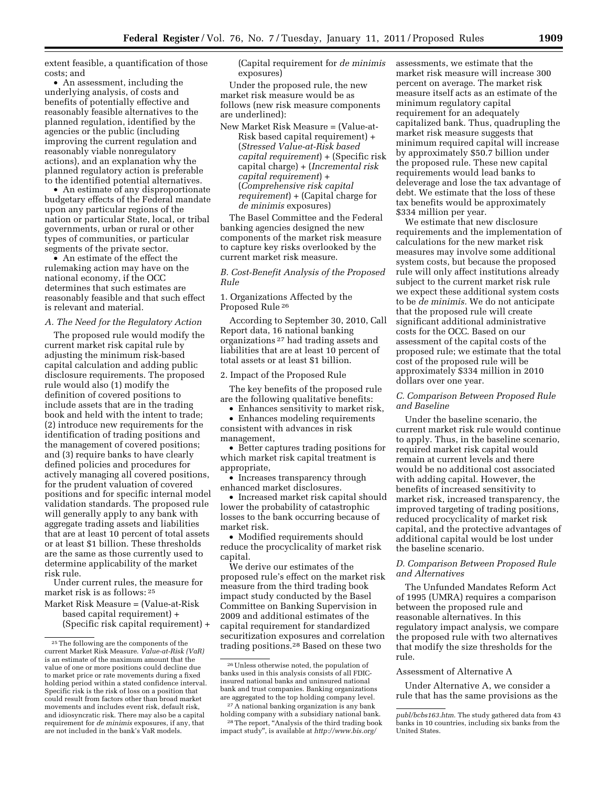extent feasible, a quantification of those costs; and

• An assessment, including the underlying analysis, of costs and benefits of potentially effective and reasonably feasible alternatives to the planned regulation, identified by the agencies or the public (including improving the current regulation and reasonably viable nonregulatory actions), and an explanation why the planned regulatory action is preferable to the identified potential alternatives.

• An estimate of any disproportionate budgetary effects of the Federal mandate upon any particular regions of the nation or particular State, local, or tribal governments, urban or rural or other types of communities, or particular segments of the private sector.

• An estimate of the effect the rulemaking action may have on the national economy, if the OCC determines that such estimates are reasonably feasible and that such effect is relevant and material.

#### *A. The Need for the Regulatory Action*

The proposed rule would modify the current market risk capital rule by adjusting the minimum risk-based capital calculation and adding public disclosure requirements. The proposed rule would also (1) modify the definition of covered positions to include assets that are in the trading book and held with the intent to trade; (2) introduce new requirements for the identification of trading positions and the management of covered positions; and (3) require banks to have clearly defined policies and procedures for actively managing all covered positions, for the prudent valuation of covered positions and for specific internal model validation standards. The proposed rule will generally apply to any bank with aggregate trading assets and liabilities that are at least 10 percent of total assets or at least \$1 billion. These thresholds are the same as those currently used to determine applicability of the market risk rule.

Under current rules, the measure for market risk is as follows: 25

Market Risk Measure = (Value-at-Risk based capital requirement) + (Specific risk capital requirement) + (Capital requirement for *de minimis*  exposures)

Under the proposed rule, the new market risk measure would be as follows (new risk measure components are underlined):

New Market Risk Measure = (Value-at-

Risk based capital requirement) + (*Stressed Value-at-Risk based capital requirement*) + (Specific risk capital charge) + (*Incremental risk capital requirement*) + (*Comprehensive risk capital requirement*) + (Capital charge for *de minimis* exposures)

The Basel Committee and the Federal banking agencies designed the new components of the market risk measure to capture key risks overlooked by the current market risk measure.

*B. Cost-Benefit Analysis of the Proposed Rule* 

1. Organizations Affected by the Proposed Rule 26

According to September 30, 2010, Call Report data, 16 national banking organizations 27 had trading assets and liabilities that are at least 10 percent of total assets or at least \$1 billion.

# 2. Impact of the Proposed Rule

The key benefits of the proposed rule are the following qualitative benefits:

• Enhances sensitivity to market risk,

• Enhances modeling requirements consistent with advances in risk management,

• Better captures trading positions for which market risk capital treatment is appropriate,

• Increases transparency through enhanced market disclosures.

• Increased market risk capital should lower the probability of catastrophic losses to the bank occurring because of market risk.

• Modified requirements should reduce the procyclicality of market risk capital.

We derive our estimates of the proposed rule's effect on the market risk measure from the third trading book impact study conducted by the Basel Committee on Banking Supervision in 2009 and additional estimates of the capital requirement for standardized securitization exposures and correlation trading positions.28 Based on these two

assessments, we estimate that the market risk measure will increase 300 percent on average. The market risk measure itself acts as an estimate of the minimum regulatory capital requirement for an adequately capitalized bank. Thus, quadrupling the market risk measure suggests that minimum required capital will increase by approximately \$50.7 billion under the proposed rule. These new capital requirements would lead banks to deleverage and lose the tax advantage of debt. We estimate that the loss of these tax benefits would be approximately \$334 million per year.

We estimate that new disclosure requirements and the implementation of calculations for the new market risk measures may involve some additional system costs, but because the proposed rule will only affect institutions already subject to the current market risk rule we expect these additional system costs to be *de minimis.* We do not anticipate that the proposed rule will create significant additional administrative costs for the OCC. Based on our assessment of the capital costs of the proposed rule; we estimate that the total cost of the proposed rule will be approximately \$334 million in 2010 dollars over one year.

#### *C. Comparison Between Proposed Rule and Baseline*

Under the baseline scenario, the current market risk rule would continue to apply. Thus, in the baseline scenario, required market risk capital would remain at current levels and there would be no additional cost associated with adding capital. However, the benefits of increased sensitivity to market risk, increased transparency, the improved targeting of trading positions, reduced procyclicality of market risk capital, and the protective advantages of additional capital would be lost under the baseline scenario.

# *D. Comparison Between Proposed Rule and Alternatives*

The Unfunded Mandates Reform Act of 1995 (UMRA) requires a comparison between the proposed rule and reasonable alternatives. In this regulatory impact analysis, we compare the proposed rule with two alternatives that modify the size thresholds for the rule.

#### Assessment of Alternative A

Under Alternative A, we consider a rule that has the same provisions as the

<sup>25</sup>The following are the components of the current Market Risk Measure. *Value-at-Risk (VaR)*  is an estimate of the maximum amount that the value of one or more positions could decline due to market price or rate movements during a fixed holding period within a stated confidence interval. Specific risk is the risk of loss on a position that could result from factors other than broad market movements and includes event risk, default risk, and idiosyncratic risk. There may also be a capital requirement for *de minimis* exposures, if any, that are not included in the bank's VaR models.

<sup>26</sup>Unless otherwise noted, the population of banks used in this analysis consists of all FDICinsured national banks and uninsured national bank and trust companies. Banking organizations are aggregated to the top holding company level.

<sup>27</sup>A national banking organization is any bank holding company with a subsidiary national bank.

<sup>&</sup>lt;sup>28</sup> The report, "Analysis of the third trading book impact study'', is available at *[http://www.bis.org/](http://www.bis.org/publ/bcbs163.htm)* 

*[publ/bcbs163.htm](http://www.bis.org/publ/bcbs163.htm)*. The study gathered data from 43 banks in 10 countries, including six banks from the United States.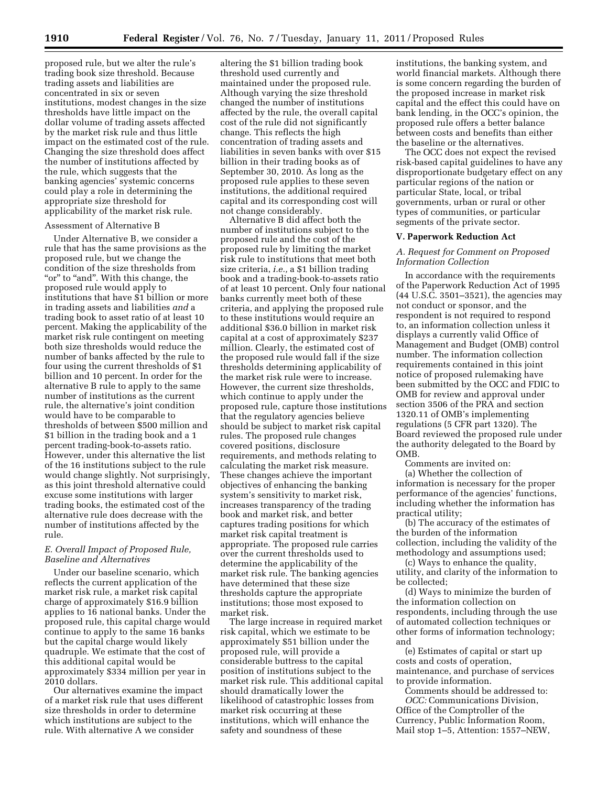proposed rule, but we alter the rule's trading book size threshold. Because trading assets and liabilities are concentrated in six or seven institutions, modest changes in the size thresholds have little impact on the dollar volume of trading assets affected by the market risk rule and thus little impact on the estimated cost of the rule. Changing the size threshold does affect the number of institutions affected by the rule, which suggests that the banking agencies' systemic concerns could play a role in determining the appropriate size threshold for applicability of the market risk rule.

#### Assessment of Alternative B

Under Alternative B, we consider a rule that has the same provisions as the proposed rule, but we change the condition of the size thresholds from "or" to "and". With this change, the proposed rule would apply to institutions that have \$1 billion or more in trading assets and liabilities *and* a trading book to asset ratio of at least 10 percent. Making the applicability of the market risk rule contingent on meeting both size thresholds would reduce the number of banks affected by the rule to four using the current thresholds of \$1 billion and 10 percent. In order for the alternative B rule to apply to the same number of institutions as the current rule, the alternative's joint condition would have to be comparable to thresholds of between \$500 million and \$1 billion in the trading book and a 1 percent trading-book-to-assets ratio. However, under this alternative the list of the 16 institutions subject to the rule would change slightly. Not surprisingly, as this joint threshold alternative could excuse some institutions with larger trading books, the estimated cost of the alternative rule does decrease with the number of institutions affected by the rule.

## *E. Overall Impact of Proposed Rule, Baseline and Alternatives*

Under our baseline scenario, which reflects the current application of the market risk rule, a market risk capital charge of approximately \$16.9 billion applies to 16 national banks. Under the proposed rule, this capital charge would continue to apply to the same 16 banks but the capital charge would likely quadruple. We estimate that the cost of this additional capital would be approximately \$334 million per year in 2010 dollars.

Our alternatives examine the impact of a market risk rule that uses different size thresholds in order to determine which institutions are subject to the rule. With alternative A we consider

altering the \$1 billion trading book threshold used currently and maintained under the proposed rule. Although varying the size threshold changed the number of institutions affected by the rule, the overall capital cost of the rule did not significantly change. This reflects the high concentration of trading assets and liabilities in seven banks with over \$15 billion in their trading books as of September 30, 2010. As long as the proposed rule applies to these seven institutions, the additional required capital and its corresponding cost will not change considerably.

Alternative B did affect both the number of institutions subject to the proposed rule and the cost of the proposed rule by limiting the market risk rule to institutions that meet both size criteria, *i.e.,* a \$1 billion trading book and a trading-book-to-assets ratio of at least 10 percent. Only four national banks currently meet both of these criteria, and applying the proposed rule to these institutions would require an additional \$36.0 billion in market risk capital at a cost of approximately \$237 million. Clearly, the estimated cost of the proposed rule would fall if the size thresholds determining applicability of the market risk rule were to increase. However, the current size thresholds, which continue to apply under the proposed rule, capture those institutions that the regulatory agencies believe should be subject to market risk capital rules. The proposed rule changes covered positions, disclosure requirements, and methods relating to calculating the market risk measure. These changes achieve the important objectives of enhancing the banking system's sensitivity to market risk, increases transparency of the trading book and market risk, and better captures trading positions for which market risk capital treatment is appropriate. The proposed rule carries over the current thresholds used to determine the applicability of the market risk rule. The banking agencies have determined that these size thresholds capture the appropriate institutions; those most exposed to market risk.

The large increase in required market risk capital, which we estimate to be approximately \$51 billion under the proposed rule, will provide a considerable buttress to the capital position of institutions subject to the market risk rule. This additional capital should dramatically lower the likelihood of catastrophic losses from market risk occurring at these institutions, which will enhance the safety and soundness of these

institutions, the banking system, and world financial markets. Although there is some concern regarding the burden of the proposed increase in market risk capital and the effect this could have on bank lending, in the OCC's opinion, the proposed rule offers a better balance between costs and benefits than either the baseline or the alternatives.

The OCC does not expect the revised risk-based capital guidelines to have any disproportionate budgetary effect on any particular regions of the nation or particular State, local, or tribal governments, urban or rural or other types of communities, or particular segments of the private sector.

#### **V. Paperwork Reduction Act**

# *A. Request for Comment on Proposed Information Collection*

In accordance with the requirements of the Paperwork Reduction Act of 1995 (44 U.S.C. 3501–3521), the agencies may not conduct or sponsor, and the respondent is not required to respond to, an information collection unless it displays a currently valid Office of Management and Budget (OMB) control number. The information collection requirements contained in this joint notice of proposed rulemaking have been submitted by the OCC and FDIC to OMB for review and approval under section 3506 of the PRA and section 1320.11 of OMB's implementing regulations (5 CFR part 1320). The Board reviewed the proposed rule under the authority delegated to the Board by OMB.

Comments are invited on: (a) Whether the collection of information is necessary for the proper performance of the agencies' functions, including whether the information has practical utility;

(b) The accuracy of the estimates of the burden of the information collection, including the validity of the methodology and assumptions used;

(c) Ways to enhance the quality, utility, and clarity of the information to be collected;

(d) Ways to minimize the burden of the information collection on respondents, including through the use of automated collection techniques or other forms of information technology; and

(e) Estimates of capital or start up costs and costs of operation, maintenance, and purchase of services to provide information.

Comments should be addressed to: *OCC:* Communications Division, Office of the Comptroller of the Currency, Public Information Room, Mail stop 1–5, Attention: 1557–NEW,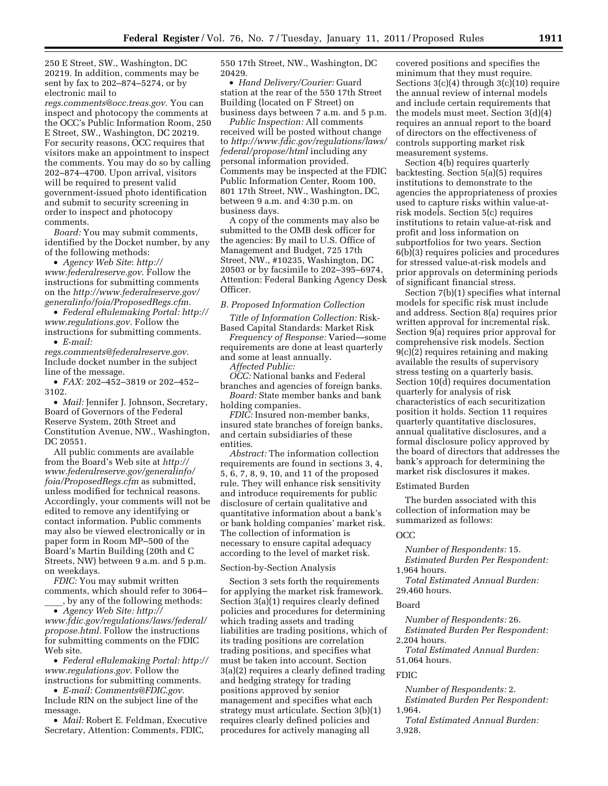250 E Street, SW., Washington, DC 20219. In addition, comments may be sent by fax to 202–874–5274, or by electronic mail to

*[regs.comments@occ.treas.gov.](mailto:regs.comments@occ.treas.gov)* You can inspect and photocopy the comments at the OCC's Public Information Room, 250 E Street, SW., Washington, DC 20219. For security reasons, OCC requires that visitors make an appointment to inspect the comments. You may do so by calling 202–874–4700. Upon arrival, visitors will be required to present valid government-issued photo identification and submit to security screening in order to inspect and photocopy comments.

*Board:* You may submit comments, identified by the Docket number, by any of the following methods:

• *Agency Web Site*: *[http://](http://www.federalreserve.gov)  [www.federalreserve.gov](http://www.federalreserve.gov)*. Follow the instructions for submitting comments on the *[http://www.federalreserve.gov/](http://www.federalreserve.gov/generalinfo/foia/ProposedRegs.cfm) [generalinfo/foia/ProposedRegs.cfm.](http://www.federalreserve.gov/generalinfo/foia/ProposedRegs.cfm)* 

• *Federal eRulemaking Portal: [http://](http://www.regulations.gov)  [www.regulations.gov.](http://www.regulations.gov)* Follow the instructions for submitting comments.

• *E-mail: [regs.comments@federalreserve.gov.](mailto:regs.comments@federalreserve.gov)*  Include docket number in the subject line of the message.

• *FAX:* 202–452–3819 or 202–452– 3102.

• *Mail:* Jennifer J. Johnson, Secretary, Board of Governors of the Federal Reserve System, 20th Street and Constitution Avenue, NW., Washington, DC 20551.

All public comments are available from the Board's Web site at *[http://](http://www.federalreserve.gov/generalinfo/foia/ProposedRegs.cfm) [www.federalreserve.gov/generalinfo/](http://www.federalreserve.gov/generalinfo/foia/ProposedRegs.cfm) [foia/ProposedRegs.cfm](http://www.federalreserve.gov/generalinfo/foia/ProposedRegs.cfm)* as submitted, unless modified for technical reasons. Accordingly, your comments will not be edited to remove any identifying or contact information. Public comments may also be viewed electronically or in paper form in Room MP–500 of the Board's Martin Building (20th and C Streets, NW) between 9 a.m. and 5 p.m. on weekdays.

*FDIC:* You may submit written comments, which should refer to 3064– \_\_\_\_, by any of the following methods:

• *Agency Web Site: [http://](http://www.fdic.gov/regulations/laws/federal/propose.html)  [www.fdic.gov/regulations/laws/federal/](http://www.fdic.gov/regulations/laws/federal/propose.html) [propose.html.](http://www.fdic.gov/regulations/laws/federal/propose.html)* Follow the instructions for submitting comments on the FDIC Web site.

• *Federal eRulemaking Portal: [http://](http://www.regulations.gov)  [www.regulations.gov.](http://www.regulations.gov)* Follow the instructions for submitting comments.

• *E-mail: [Comments@FDIC.gov.](mailto:Comments@FDIC.gov)*  Include RIN on the subject line of the message.

• *Mail:* Robert E. Feldman, Executive Secretary, Attention: Comments, FDIC,

550 17th Street, NW., Washington, DC 20429.

• *Hand Delivery/Courier:* Guard station at the rear of the 550 17th Street Building (located on F Street) on business days between 7 a.m. and 5 p.m.

*Public Inspection:* All comments received will be posted without change to *[http://www.fdic.gov/regulations/laws/](http://www.fdic.gov/regulations/laws/federal/propose/html)  [federal/propose/html](http://www.fdic.gov/regulations/laws/federal/propose/html)* including any personal information provided. Comments may be inspected at the FDIC Public Information Center, Room 100, 801 17th Street, NW., Washington, DC, between 9 a.m. and 4:30 p.m. on business days.

A copy of the comments may also be submitted to the OMB desk officer for the agencies: By mail to U.S. Office of Management and Budget, 725 17th Street, NW., #10235, Washington, DC 20503 or by facsimile to 202–395–6974, Attention: Federal Banking Agency Desk Officer.

# *B. Proposed Information Collection*

*Title of Information Collection:* Risk-Based Capital Standards: Market Risk

*Frequency of Response:* Varied—some requirements are done at least quarterly and some at least annually.

*Affected Public:* 

*OCC:* National banks and Federal branches and agencies of foreign banks. *Board:* State member banks and bank

holding companies.

*FDIC:* Insured non-member banks, insured state branches of foreign banks, and certain subsidiaries of these entities.

*Abstract:* The information collection requirements are found in sections 3, 4, 5, 6, 7, 8, 9, 10, and 11 of the proposed rule. They will enhance risk sensitivity and introduce requirements for public disclosure of certain qualitative and quantitative information about a bank's or bank holding companies' market risk. The collection of information is necessary to ensure capital adequacy according to the level of market risk.

#### Section-by-Section Analysis

Section 3 sets forth the requirements for applying the market risk framework. Section 3(a)(1) requires clearly defined policies and procedures for determining which trading assets and trading liabilities are trading positions, which of its trading positions are correlation trading positions, and specifies what must be taken into account. Section 3(a)(2) requires a clearly defined trading and hedging strategy for trading positions approved by senior management and specifies what each strategy must articulate. Section 3(b)(1) requires clearly defined policies and procedures for actively managing all

covered positions and specifies the minimum that they must require. Sections  $3(c)(4)$  through  $3(c)(10)$  require the annual review of internal models and include certain requirements that the models must meet. Section 3(d)(4) requires an annual report to the board of directors on the effectiveness of controls supporting market risk measurement systems.

Section 4(b) requires quarterly backtesting. Section 5(a)(5) requires institutions to demonstrate to the agencies the appropriateness of proxies used to capture risks within value-atrisk models. Section 5(c) requires institutions to retain value-at-risk and profit and loss information on subportfolios for two years. Section 6(b)(3) requires policies and procedures for stressed value-at-risk models and prior approvals on determining periods of significant financial stress.

Section 7(b)(1) specifies what internal models for specific risk must include and address. Section 8(a) requires prior written approval for incremental risk. Section 9(a) requires prior approval for comprehensive risk models. Section 9(c)(2) requires retaining and making available the results of supervisory stress testing on a quarterly basis. Section 10(d) requires documentation quarterly for analysis of risk characteristics of each securitization position it holds. Section 11 requires quarterly quantitative disclosures, annual qualitative disclosures, and a formal disclosure policy approved by the board of directors that addresses the bank's approach for determining the market risk disclosures it makes.

#### Estimated Burden

The burden associated with this collection of information may be summarized as follows:

#### OCC

*Number of Respondents:* 15. *Estimated Burden Per Respondent:*  1,964 hours.

*Total Estimated Annual Burden:*  29,460 hours.

#### Board

*Number of Respondents:* 26. *Estimated Burden Per Respondent:*  2,204 hours.

*Total Estimated Annual Burden:*  51,064 hours.

## FDIC

*Number of Respondents:* 2. *Estimated Burden Per Respondent:*  1,964.

*Total Estimated Annual Burden:*  3,928.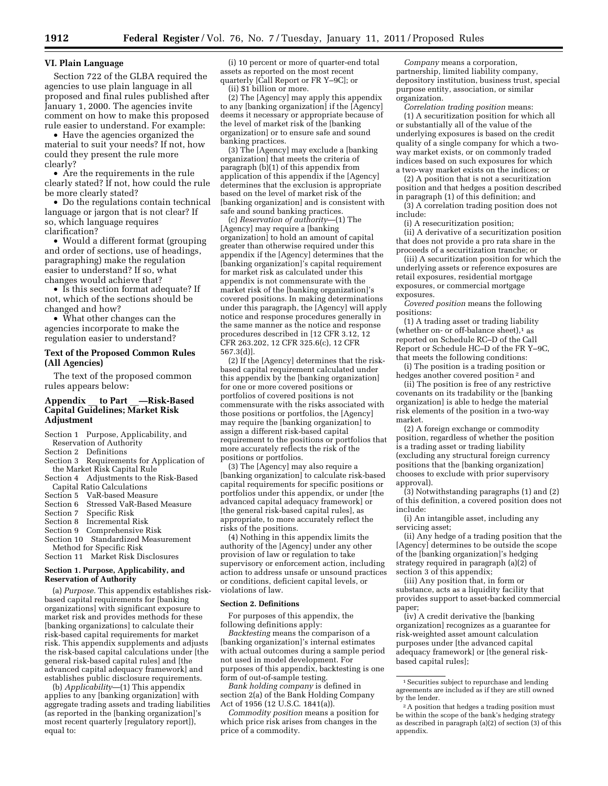# **VI. Plain Language**

Section 722 of the GLBA required the agencies to use plain language in all proposed and final rules published after January 1, 2000. The agencies invite comment on how to make this proposed rule easier to understand. For example:

• Have the agencies organized the material to suit your needs? If not, how could they present the rule more clearly?

• Are the requirements in the rule clearly stated? If not, how could the rule be more clearly stated?

• Do the regulations contain technical language or jargon that is not clear? If so, which language requires clarification?

• Would a different format (grouping and order of sections, use of headings, paragraphing) make the regulation easier to understand? If so, what changes would achieve that?

• Is this section format adequate? If not, which of the sections should be changed and how?

• What other changes can the agencies incorporate to make the regulation easier to understand?

# **Text of the Proposed Common Rules (All Agencies)**

The text of the proposed common rules appears below:

# **Appendix** \_\_ **to Part** \_\_**—Risk-Based Capital Guidelines; Market Risk Adjustment**

Section 1 Purpose, Applicability, and Reservation of Authority

Section 2 Definitions

- Section 3 Requirements for Application of the Market Risk Capital Rule
- Section 4 Adjustments to the Risk-Based Capital Ratio Calculations
- Section 5 VaR-based Measure
- Section 6 Stressed VaR-Based Measure
- Section 7 Specific Risk
- Section 8 Incremental Risk
- Section 9 Comprehensive Risk
- Section 10 Standardized Measurement
- Method for Specific Risk Section 11 Market Risk Disclosures

#### **Section 1. Purpose, Applicability, and Reservation of Authority**

(a) *Purpose.* This appendix establishes riskbased capital requirements for [banking organizations] with significant exposure to market risk and provides methods for these [banking organizations] to calculate their risk-based capital requirements for market risk. This appendix supplements and adjusts the risk-based capital calculations under [the general risk-based capital rules] and [the advanced capital adequacy framework] and establishes public disclosure requirements.

(b) *Applicability*—(1) This appendix applies to any [banking organization] with aggregate trading assets and trading liabilities (as reported in the [banking organization]'s most recent quarterly [regulatory report]), equal to:

(i) 10 percent or more of quarter-end total assets as reported on the most recent quarterly [Call Report or FR Y–9C]; or (ii) \$1 billion or more.

(2) The [Agency] may apply this appendix to any [banking organization] if the [Agency] deems it necessary or appropriate because of the level of market risk of the [banking organization] or to ensure safe and sound banking practices.

(3) The [Agency] may exclude a [banking organization] that meets the criteria of paragraph (b)(1) of this appendix from application of this appendix if the [Agency] determines that the exclusion is appropriate based on the level of market risk of the [banking organization] and is consistent with safe and sound banking practices.

(c) *Reservation of authority*—(1) The [Agency] may require a [banking organization] to hold an amount of capital greater than otherwise required under this appendix if the [Agency] determines that the [banking organization]'s capital requirement for market risk as calculated under this appendix is not commensurate with the market risk of the [banking organization]'s covered positions. In making determinations under this paragraph, the [Agency] will apply notice and response procedures generally in the same manner as the notice and response procedures described in [12 CFR 3.12, 12 CFR 263.202, 12 CFR 325.6(c), 12 CFR 567.3(d)].

(2) If the [Agency] determines that the riskbased capital requirement calculated under this appendix by the [banking organization] for one or more covered positions or portfolios of covered positions is not commensurate with the risks associated with those positions or portfolios, the [Agency] may require the [banking organization] to assign a different risk-based capital requirement to the positions or portfolios that more accurately reflects the risk of the positions or portfolios.

(3) The [Agency] may also require a [banking organization] to calculate risk-based capital requirements for specific positions or portfolios under this appendix, or under [the advanced capital adequacy framework] or [the general risk-based capital rules], as appropriate, to more accurately reflect the risks of the positions.

(4) Nothing in this appendix limits the authority of the [Agency] under any other provision of law or regulation to take supervisory or enforcement action, including action to address unsafe or unsound practices or conditions, deficient capital levels, or violations of law.

#### **Section 2. Definitions**

For purposes of this appendix, the following definitions apply:

*Backtesting* means the comparison of a [banking organization]'s internal estimates with actual outcomes during a sample period not used in model development. For purposes of this appendix, backtesting is one form of out-of-sample testing.

*Bank holding company* is defined in section 2(a) of the Bank Holding Company Act of 1956 (12 U.S.C. 1841(a)).

*Commodity position* means a position for which price risk arises from changes in the price of a commodity.

*Company* means a corporation, partnership, limited liability company, depository institution, business trust, special purpose entity, association, or similar organization.

*Correlation trading position* means: (1) A securitization position for which all or substantially all of the value of the underlying exposures is based on the credit quality of a single company for which a twoway market exists, or on commonly traded indices based on such exposures for which a two-way market exists on the indices; or

(2) A position that is not a securitization position and that hedges a position described in paragraph (1) of this definition; and

(3) A correlation trading position does not include:

(i) A resecuritization position;

(ii) A derivative of a securitization position that does not provide a pro rata share in the proceeds of a securitization tranche; or

(iii) A securitization position for which the underlying assets or reference exposures are retail exposures, residential mortgage exposures, or commercial mortgage exposures.

*Covered position* means the following positions:

(1) A trading asset or trading liability (whether on- or off-balance sheet), $1$  as reported on Schedule RC–D of the Call Report or Schedule HC–D of the FR Y–9C, that meets the following conditions:

(i) The position is a trading position or hedges another covered position 2 and

(ii) The position is free of any restrictive covenants on its tradability or the [banking organization] is able to hedge the material risk elements of the position in a two-way market.

(2) A foreign exchange or commodity position, regardless of whether the position is a trading asset or trading liability (excluding any structural foreign currency positions that the [banking organization] chooses to exclude with prior supervisory approval).

(3) Notwithstanding paragraphs (1) and (2) of this definition, a covered position does not include:

(i) An intangible asset, including any servicing asset;

(ii) Any hedge of a trading position that the [Agency] determines to be outside the scope of the [banking organization]'s hedging strategy required in paragraph (a)(2) of section 3 of this appendix;

(iii) Any position that, in form or substance, acts as a liquidity facility that provides support to asset-backed commercial paper;

(iv) A credit derivative the [banking organization] recognizes as a guarantee for risk-weighted asset amount calculation purposes under [the advanced capital adequacy framework] or [the general riskbased capital rules];

 $^{\rm 1}\!\!$  Securities subject to repurchase and lending agreements are included as if they are still owned by the lender.

<sup>2</sup>A position that hedges a trading position must be within the scope of the bank's hedging strategy as described in paragraph (a)(2) of section (3) of this appendix.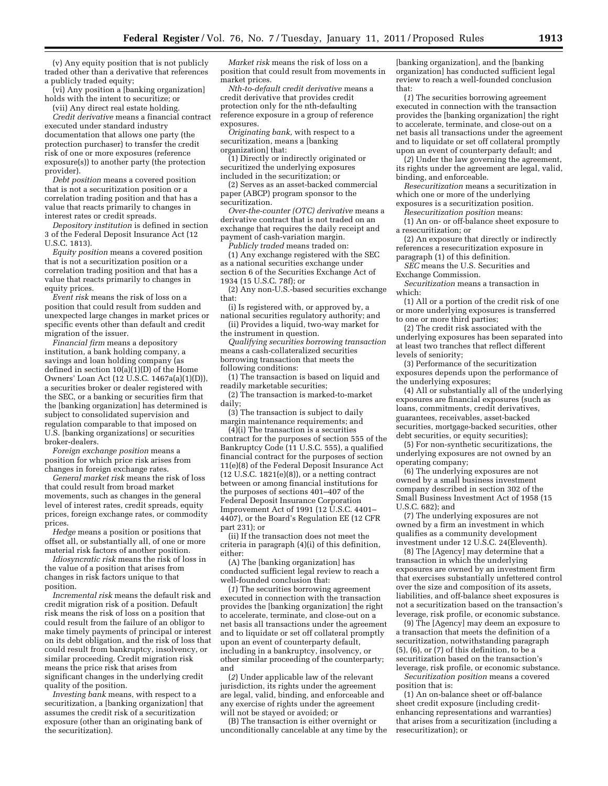(v) Any equity position that is not publicly traded other than a derivative that references a publicly traded equity;

(vi) Any position a [banking organization] holds with the intent to securitize; or (vii) Any direct real estate holding.

*Credit derivative* means a financial contract executed under standard industry documentation that allows one party (the protection purchaser) to transfer the credit risk of one or more exposures (reference exposure(s)) to another party (the protection provider).

*Debt position* means a covered position that is not a securitization position or a correlation trading position and that has a value that reacts primarily to changes in interest rates or credit spreads.

*Depository institution* is defined in section 3 of the Federal Deposit Insurance Act (12 U.S.C. 1813).

*Equity position* means a covered position that is not a securitization position or a correlation trading position and that has a value that reacts primarily to changes in equity prices.

*Event risk* means the risk of loss on a position that could result from sudden and unexpected large changes in market prices or specific events other than default and credit migration of the issuer.

*Financial firm* means a depository institution, a bank holding company, a savings and loan holding company (as defined in section  $10(a)(1)(D)$  of the Home Owners' Loan Act (12 U.S.C. 1467a(a)(1)(D)), a securities broker or dealer registered with the SEC, or a banking or securities firm that the [banking organization] has determined is subject to consolidated supervision and regulation comparable to that imposed on U.S. [banking organizations] or securities broker-dealers.

*Foreign exchange position* means a position for which price risk arises from changes in foreign exchange rates.

*General market risk* means the risk of loss that could result from broad market movements, such as changes in the general level of interest rates, credit spreads, equity prices, foreign exchange rates, or commodity prices.

*Hedge* means a position or positions that offset all, or substantially all, of one or more material risk factors of another position.

*Idiosyncratic risk* means the risk of loss in the value of a position that arises from changes in risk factors unique to that position.

*Incremental risk* means the default risk and credit migration risk of a position. Default risk means the risk of loss on a position that could result from the failure of an obligor to make timely payments of principal or interest on its debt obligation, and the risk of loss that could result from bankruptcy, insolvency, or similar proceeding. Credit migration risk means the price risk that arises from significant changes in the underlying credit quality of the position.

*Investing bank* means, with respect to a securitization, a [banking organization] that assumes the credit risk of a securitization exposure (other than an originating bank of the securitization).

*Market risk* means the risk of loss on a position that could result from movements in market prices.

*Nth-to-default credit derivative* means a credit derivative that provides credit protection only for the nth-defaulting reference exposure in a group of reference exposures.

*Originating bank,* with respect to a securitization, means a [banking organization] that:

(1) Directly or indirectly originated or securitized the underlying exposures included in the securitization; or

(2) Serves as an asset-backed commercial paper (ABCP) program sponsor to the securitization.

*Over-the-counter (OTC) derivative* means a derivative contract that is not traded on an exchange that requires the daily receipt and payment of cash-variation margin.

*Publicly traded* means traded on: (1) Any exchange registered with the SEC as a national securities exchange under section 6 of the Securities Exchange Act of 1934 (15 U.S.C. 78f); or

(2) Any non-U.S.-based securities exchange that:

(i) Is registered with, or approved by, a national securities regulatory authority; and

(ii) Provides a liquid, two-way market for the instrument in question.

*Qualifying securities borrowing transaction*  means a cash-collateralized securities borrowing transaction that meets the following conditions:

(1) The transaction is based on liquid and readily marketable securities;

(2) The transaction is marked-to-market daily;

(3) The transaction is subject to daily margin maintenance requirements; and

 $(4)(i)$  The transaction is a securities contract for the purposes of section 555 of the Bankruptcy Code (11 U.S.C. 555), a qualified financial contract for the purposes of section 11(e)(8) of the Federal Deposit Insurance Act  $(12 \text{ U.S.C. } 1821(e)(8))$ , or a netting contract between or among financial institutions for the purposes of sections 401–407 of the Federal Deposit Insurance Corporation Improvement Act of 1991 (12 U.S.C. 4401– 4407), or the Board's Regulation EE (12 CFR part 231); or

(ii) If the transaction does not meet the criteria in paragraph (4)(i) of this definition, either:

(A) The [banking organization] has conducted sufficient legal review to reach a well-founded conclusion that:

(*1*) The securities borrowing agreement executed in connection with the transaction provides the [banking organization] the right to accelerate, terminate, and close-out on a net basis all transactions under the agreement and to liquidate or set off collateral promptly upon an event of counterparty default, including in a bankruptcy, insolvency, or other similar proceeding of the counterparty; and

(*2*) Under applicable law of the relevant jurisdiction, its rights under the agreement are legal, valid, binding, and enforceable and any exercise of rights under the agreement will not be stayed or avoided; or

(B) The transaction is either overnight or unconditionally cancelable at any time by the

[banking organization], and the [banking organization] has conducted sufficient legal review to reach a well-founded conclusion that:

(*1*) The securities borrowing agreement executed in connection with the transaction provides the [banking organization] the right to accelerate, terminate, and close-out on a net basis all transactions under the agreement and to liquidate or set off collateral promptly upon an event of counterparty default; and

(*2*) Under the law governing the agreement, its rights under the agreement are legal, valid, binding, and enforceable.

*Resecuritization* means a securitization in which one or more of the underlying

exposures is a securitization position. *Resecuritization position* means:

(1) An on- or off-balance sheet exposure to a resecuritization; or

(2) An exposure that directly or indirectly references a resecuritization exposure in paragraph (1) of this definition.

*SEC* means the U.S. Securities and Exchange Commission.

*Securitization* means a transaction in which:

(1) All or a portion of the credit risk of one or more underlying exposures is transferred to one or more third parties;

(2) The credit risk associated with the underlying exposures has been separated into at least two tranches that reflect different levels of seniority;

(3) Performance of the securitization exposures depends upon the performance of the underlying exposures;

(4) All or substantially all of the underlying exposures are financial exposures (such as loans, commitments, credit derivatives, guarantees, receivables, asset-backed securities, mortgage-backed securities, other debt securities, or equity securities);

(5) For non-synthetic securitizations, the underlying exposures are not owned by an operating company;

(6) The underlying exposures are not owned by a small business investment company described in section 302 of the Small Business Investment Act of 1958 (15 U.S.C. 682); and

(7) The underlying exposures are not owned by a firm an investment in which qualifies as a community development investment under 12 U.S.C. 24(Eleventh).

(8) The [Agency] may determine that a transaction in which the underlying exposures are owned by an investment firm that exercises substantially unfettered control over the size and composition of its assets, liabilities, and off-balance sheet exposures is not a securitization based on the transaction's leverage, risk profile, or economic substance.

(9) The [Agency] may deem an exposure to a transaction that meets the definition of a securitization, notwithstanding paragraph (5), (6), or (7) of this definition, to be a securitization based on the transaction's leverage, risk profile, or economic substance.

*Securitization position* means a covered position that is:

(1) An on-balance sheet or off-balance sheet credit exposure (including creditenhancing representations and warranties) that arises from a securitization (including a resecuritization); or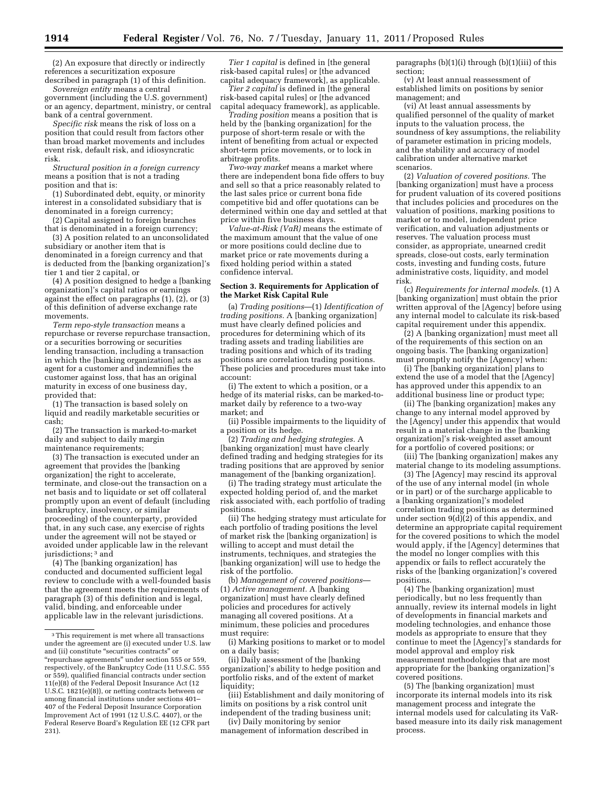(2) An exposure that directly or indirectly references a securitization exposure described in paragraph (1) of this definition.

*Sovereign entity* means a central government (including the U.S. government) or an agency, department, ministry, or central bank of a central government.

*Specific risk* means the risk of loss on a position that could result from factors other than broad market movements and includes event risk, default risk, and idiosyncratic risk.

*Structural position in a foreign currency*  means a position that is not a trading position and that is:

(1) Subordinated debt, equity, or minority interest in a consolidated subsidiary that is denominated in a foreign currency;

(2) Capital assigned to foreign branches that is denominated in a foreign currency;

(3) A position related to an unconsolidated subsidiary or another item that is denominated in a foreign currency and that is deducted from the [banking organization]'s tier 1 and tier 2 capital, or

(4) A position designed to hedge a [banking organization]'s capital ratios or earnings against the effect on paragraphs  $(1)$ ,  $(2)$ , or  $(3)$ of this definition of adverse exchange rate movements.

*Term repo-style transaction* means a repurchase or reverse repurchase transaction, or a securities borrowing or securities lending transaction, including a transaction in which the [banking organization] acts as agent for a customer and indemnifies the customer against loss, that has an original maturity in excess of one business day, provided that:

(1) The transaction is based solely on liquid and readily marketable securities or cash;

(2) The transaction is marked-to-market daily and subject to daily margin maintenance requirements;

(3) The transaction is executed under an agreement that provides the [banking organization] the right to accelerate, terminate, and close-out the transaction on a net basis and to liquidate or set off collateral promptly upon an event of default (including bankruptcy, insolvency, or similar proceeding) of the counterparty, provided that, in any such case, any exercise of rights under the agreement will not be stayed or avoided under applicable law in the relevant jurisdictions; 3 and

(4) The [banking organization] has conducted and documented sufficient legal review to conclude with a well-founded basis that the agreement meets the requirements of paragraph (3) of this definition and is legal, valid, binding, and enforceable under applicable law in the relevant jurisdictions.

*Tier 1 capital* is defined in [the general risk-based capital rules] or [the advanced capital adequacy framework], as applicable.

*Tier 2 capital* is defined in [the general risk-based capital rules] or [the advanced capital adequacy framework], as applicable.

*Trading position* means a position that is held by the [banking organization] for the purpose of short-term resale or with the intent of benefiting from actual or expected short-term price movements, or to lock in arbitrage profits.

*Two-way market* means a market where there are independent bona fide offers to buy and sell so that a price reasonably related to the last sales price or current bona fide competitive bid and offer quotations can be determined within one day and settled at that price within five business days.

*Value-at-Risk (VaR)* means the estimate of the maximum amount that the value of one or more positions could decline due to market price or rate movements during a fixed holding period within a stated confidence interval.

#### **Section 3. Requirements for Application of the Market Risk Capital Rule**

(a) *Trading positions*—(1) *Identification of trading positions.* A [banking organization] must have clearly defined policies and procedures for determining which of its trading assets and trading liabilities are trading positions and which of its trading positions are correlation trading positions. These policies and procedures must take into account:

(i) The extent to which a position, or a hedge of its material risks, can be marked-tomarket daily by reference to a two-way market; and

(ii) Possible impairments to the liquidity of a position or its hedge.

(2) *Trading and hedging strategies.* A [banking organization] must have clearly defined trading and hedging strategies for its trading positions that are approved by senior management of the [banking organization].

(i) The trading strategy must articulate the expected holding period of, and the market risk associated with, each portfolio of trading positions.

(ii) The hedging strategy must articulate for each portfolio of trading positions the level of market risk the [banking organization] is willing to accept and must detail the instruments, techniques, and strategies the [banking organization] will use to hedge the risk of the portfolio.

(b) *Management of covered positions*— (1) *Active management.* A [banking organization] must have clearly defined policies and procedures for actively managing all covered positions. At a minimum, these policies and procedures must require:

(i) Marking positions to market or to model on a daily basis;

(ii) Daily assessment of the [banking organization]'s ability to hedge position and portfolio risks, and of the extent of market liquidity;

(iii) Establishment and daily monitoring of limits on positions by a risk control unit independent of the trading business unit;

(iv) Daily monitoring by senior management of information described in paragraphs (b)(1)(i) through (b)(1)(iii) of this section;

(v) At least annual reassessment of established limits on positions by senior management; and

(vi) At least annual assessments by qualified personnel of the quality of market inputs to the valuation process, the soundness of key assumptions, the reliability of parameter estimation in pricing models, and the stability and accuracy of model calibration under alternative market scenarios.

(2) *Valuation of covered positions.* The [banking organization] must have a process for prudent valuation of its covered positions that includes policies and procedures on the valuation of positions, marking positions to market or to model, independent price verification, and valuation adjustments or reserves. The valuation process must consider, as appropriate, unearned credit spreads, close-out costs, early termination costs, investing and funding costs, future administrative costs, liquidity, and model risk.

(c) *Requirements for internal models.* (1) A [banking organization] must obtain the prior written approval of the [Agency] before using any internal model to calculate its risk-based capital requirement under this appendix.

(2) A [banking organization] must meet all of the requirements of this section on an ongoing basis. The [banking organization] must promptly notify the [Agency] when:

(i) The [banking organization] plans to extend the use of a model that the [Agency] has approved under this appendix to an additional business line or product type;

(ii) The [banking organization] makes any change to any internal model approved by the [Agency] under this appendix that would result in a material change in the [banking organization]'s risk-weighted asset amount for a portfolio of covered positions; or

(iii) The [banking organization] makes any material change to its modeling assumptions.

(3) The [Agency] may rescind its approval of the use of any internal model (in whole or in part) or of the surcharge applicable to a [banking organization]'s modeled correlation trading positions as determined under section  $9(d)(2)$  of this appendix, and determine an appropriate capital requirement for the covered positions to which the model would apply, if the [Agency] determines that the model no longer complies with this appendix or fails to reflect accurately the risks of the [banking organization]'s covered positions.

(4) The [banking organization] must periodically, but no less frequently than annually, review its internal models in light of developments in financial markets and modeling technologies, and enhance those models as appropriate to ensure that they continue to meet the [Agency]'s standards for model approval and employ risk measurement methodologies that are most appropriate for the [banking organization]'s covered positions.

(5) The [banking organization] must incorporate its internal models into its risk management process and integrate the internal models used for calculating its VaRbased measure into its daily risk management process.

<sup>3</sup>This requirement is met where all transactions under the agreement are (i) executed under U.S. law and (ii) constitute ''securities contracts'' or ''repurchase agreements'' under section 555 or 559, respectively, of the Bankruptcy Code (11 U.S.C. 555 or 559), qualified financial contracts under section 11(e)(8) of the Federal Deposit Insurance Act (12 U.S.C. 1821(e)(8)), or netting contracts between or among financial institutions under sections 401– 407 of the Federal Deposit Insurance Corporation Improvement Act of 1991 (12 U.S.C. 4407), or the Federal Reserve Board's Regulation EE (12 CFR part 231).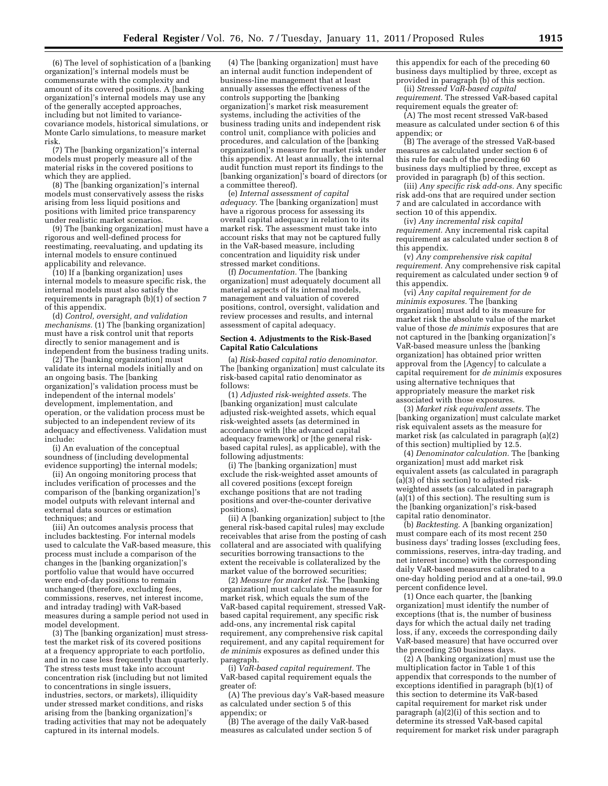(6) The level of sophistication of a [banking organization]'s internal models must be commensurate with the complexity and amount of its covered positions. A [banking organization]'s internal models may use any of the generally accepted approaches, including but not limited to variancecovariance models, historical simulations, or Monte Carlo simulations, to measure market risk.

(7) The [banking organization]'s internal models must properly measure all of the material risks in the covered positions to which they are applied.

(8) The [banking organization]'s internal models must conservatively assess the risks arising from less liquid positions and positions with limited price transparency under realistic market scenarios.

(9) The [banking organization] must have a rigorous and well-defined process for reestimating, reevaluating, and updating its internal models to ensure continued applicability and relevance.

(10) If a [banking organization] uses internal models to measure specific risk, the internal models must also satisfy the requirements in paragraph (b)(1) of section 7 of this appendix.

(d) *Control, oversight, and validation mechanisms.* (1) The [banking organization] must have a risk control unit that reports directly to senior management and is independent from the business trading units.

(2) The [banking organization] must validate its internal models initially and on an ongoing basis. The [banking organization]'s validation process must be independent of the internal models' development, implementation, and operation, or the validation process must be subjected to an independent review of its adequacy and effectiveness. Validation must include:

(i) An evaluation of the conceptual soundness of (including developmental evidence supporting) the internal models;

(ii) An ongoing monitoring process that includes verification of processes and the comparison of the [banking organization]'s model outputs with relevant internal and external data sources or estimation techniques; and

(iii) An outcomes analysis process that includes backtesting. For internal models used to calculate the VaR-based measure, this process must include a comparison of the changes in the [banking organization]'s portfolio value that would have occurred were end-of-day positions to remain unchanged (therefore, excluding fees, commissions, reserves, net interest income, and intraday trading) with VaR-based measures during a sample period not used in model development.

(3) The [banking organization] must stresstest the market risk of its covered positions at a frequency appropriate to each portfolio, and in no case less frequently than quarterly. The stress tests must take into account concentration risk (including but not limited to concentrations in single issuers, industries, sectors, or markets), illiquidity under stressed market conditions, and risks arising from the [banking organization]'s trading activities that may not be adequately captured in its internal models.

(4) The [banking organization] must have an internal audit function independent of business-line management that at least annually assesses the effectiveness of the controls supporting the [banking organization]'s market risk measurement systems, including the activities of the business trading units and independent risk control unit, compliance with policies and procedures, and calculation of the [banking organization]'s measure for market risk under this appendix. At least annually, the internal audit function must report its findings to the [banking organization]'s board of directors (or a committee thereof).

(e) *Internal assessment of capital adequacy.* The [banking organization] must have a rigorous process for assessing its overall capital adequacy in relation to its market risk. The assessment must take into account risks that may not be captured fully in the VaR-based measure, including concentration and liquidity risk under stressed market conditions.

(f) *Documentation.* The [banking organization] must adequately document all material aspects of its internal models, management and valuation of covered positions, control, oversight, validation and review processes and results, and internal assessment of capital adequacy.

#### **Section 4. Adjustments to the Risk-Based Capital Ratio Calculations**

(a) *Risk-based capital ratio denominator.*  The [banking organization] must calculate its risk-based capital ratio denominator as follows:

(1) *Adjusted risk-weighted assets.* The [banking organization] must calculate adjusted risk-weighted assets, which equal risk-weighted assets (as determined in accordance with [the advanced capital adequacy framework] or [the general riskbased capital rules], as applicable), with the following adjustments:

(i) The [banking organization] must exclude the risk-weighted asset amounts of all covered positions (except foreign exchange positions that are not trading positions and over-the-counter derivative positions).

(ii) A [banking organization] subject to [the general risk-based capital rules] may exclude receivables that arise from the posting of cash collateral and are associated with qualifying securities borrowing transactions to the extent the receivable is collateralized by the market value of the borrowed securities;

(2) *Measure for market risk.* The [banking organization] must calculate the measure for market risk, which equals the sum of the VaR-based capital requirement, stressed VaRbased capital requirement, any specific risk add-ons, any incremental risk capital requirement, any comprehensive risk capital requirement, and any capital requirement for *de minimis* exposures as defined under this paragraph.

(i) *VaR-based capital requirement.* The VaR-based capital requirement equals the greater of:

(A) The previous day's VaR-based measure as calculated under section 5 of this appendix; or

(B) The average of the daily VaR-based measures as calculated under section 5 of

this appendix for each of the preceding 60 business days multiplied by three, except as provided in paragraph (b) of this section.

(ii) *Stressed VaR-based capital requirement.* The stressed VaR-based capital requirement equals the greater of:

(A) The most recent stressed VaR-based measure as calculated under section 6 of this appendix; or

(B) The average of the stressed VaR-based measures as calculated under section 6 of this rule for each of the preceding 60 business days multiplied by three, except as provided in paragraph (b) of this section.

(iii) *Any specific risk add-ons.* Any specific risk add-ons that are required under section 7 and are calculated in accordance with section 10 of this appendix.

(iv) *Any incremental risk capital requirement.* Any incremental risk capital requirement as calculated under section 8 of this appendix.

(v) *Any comprehensive risk capital requirement.* Any comprehensive risk capital requirement as calculated under section 9 of this appendix.

(vi) *Any capital requirement for de minimis exposures.* The [banking organization] must add to its measure for market risk the absolute value of the market value of those *de minimis* exposures that are not captured in the [banking organization]'s VaR-based measure unless the [banking organization] has obtained prior written approval from the [Agency] to calculate a capital requirement for *de minimis* exposures using alternative techniques that appropriately measure the market risk associated with those exposures.

(3) *Market risk equivalent assets.* The [banking organization] must calculate market risk equivalent assets as the measure for market risk (as calculated in paragraph (a)(2) of this section) multiplied by 12.5.

(4) *Denominator calculation.* The [banking organization] must add market risk equivalent assets (as calculated in paragraph (a)(3) of this section) to adjusted riskweighted assets (as calculated in paragraph  $(a)(1)$  of this section). The resulting sum is the [banking organization]'s risk-based capital ratio denominator.

(b) *Backtesting.* A [banking organization] must compare each of its most recent 250 business days' trading losses (excluding fees, commissions, reserves, intra-day trading, and net interest income) with the corresponding daily VaR-based measures calibrated to a one-day holding period and at a one-tail, 99.0 percent confidence level.

(1) Once each quarter, the [banking organization] must identify the number of exceptions (that is, the number of business days for which the actual daily net trading loss, if any, exceeds the corresponding daily VaR-based measure) that have occurred over the preceding 250 business days.

(2) A [banking organization] must use the multiplication factor in Table 1 of this appendix that corresponds to the number of exceptions identified in paragraph (b)(1) of this section to determine its VaR-based capital requirement for market risk under paragraph (a)(2)(i) of this section and to determine its stressed VaR-based capital requirement for market risk under paragraph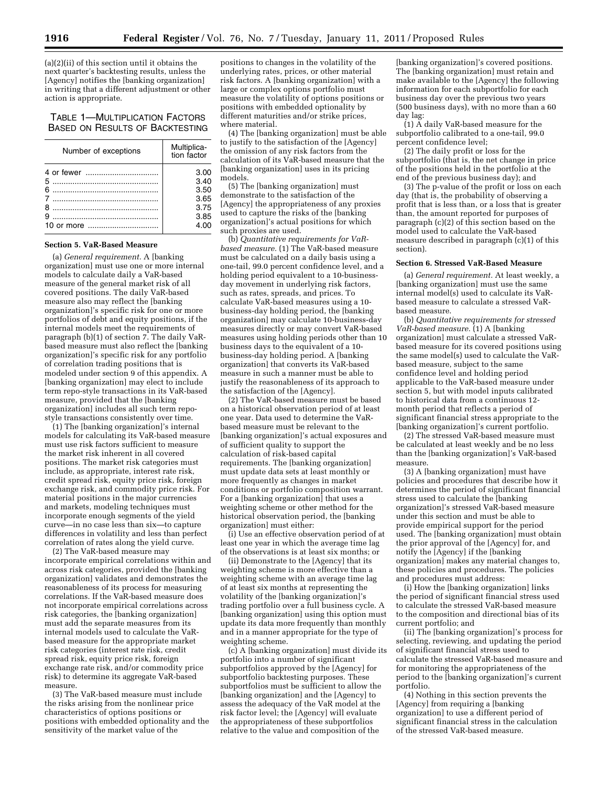(a)(2)(ii) of this section until it obtains the next quarter's backtesting results, unless the [Agency] notifies the [banking organization] in writing that a different adjustment or other action is appropriate.

# TABLE 1—MULTIPLICATION FACTORS BASED ON RESULTS OF BACKTESTING

| Number of exceptions | Multiplica-<br>tion factor |
|----------------------|----------------------------|
|                      | 3.00                       |
|                      | 3.40                       |
| $\epsilon$           | 3.50                       |
|                      | 3.65                       |
| 8                    | 3.75                       |
|                      | 3.85                       |
|                      | 4.00                       |

#### **Section 5. VaR-Based Measure**

(a) *General requirement.* A [banking organization] must use one or more internal models to calculate daily a VaR-based measure of the general market risk of all covered positions. The daily VaR-based measure also may reflect the [banking organization]'s specific risk for one or more portfolios of debt and equity positions, if the internal models meet the requirements of paragraph (b)(1) of section 7. The daily VaRbased measure must also reflect the [banking organization]'s specific risk for any portfolio of correlation trading positions that is modeled under section 9 of this appendix. A [banking organization] may elect to include term repo-style transactions in its VaR-based measure, provided that the [banking organization] includes all such term repostyle transactions consistently over time.

(1) The [banking organization]'s internal models for calculating its VaR-based measure must use risk factors sufficient to measure the market risk inherent in all covered positions. The market risk categories must include, as appropriate, interest rate risk, credit spread risk, equity price risk, foreign exchange risk, and commodity price risk. For material positions in the major currencies and markets, modeling techniques must incorporate enough segments of the yield curve—in no case less than six—to capture differences in volatility and less than perfect correlation of rates along the yield curve.

(2) The VaR-based measure may incorporate empirical correlations within and across risk categories, provided the [banking organization] validates and demonstrates the reasonableness of its process for measuring correlations. If the VaR-based measure does not incorporate empirical correlations across risk categories, the [banking organization] must add the separate measures from its internal models used to calculate the VaRbased measure for the appropriate market risk categories (interest rate risk, credit spread risk, equity price risk, foreign exchange rate risk, and/or commodity price risk) to determine its aggregate VaR-based measure.

(3) The VaR-based measure must include the risks arising from the nonlinear price characteristics of options positions or positions with embedded optionality and the sensitivity of the market value of the

positions to changes in the volatility of the underlying rates, prices, or other material risk factors. A [banking organization] with a large or complex options portfolio must measure the volatility of options positions or positions with embedded optionality by different maturities and/or strike prices, where material.

(4) The [banking organization] must be able to justify to the satisfaction of the [Agency] the omission of any risk factors from the calculation of its VaR-based measure that the [banking organization] uses in its pricing models.

(5) The [banking organization] must demonstrate to the satisfaction of the [Agency] the appropriateness of any proxies used to capture the risks of the [banking organization]'s actual positions for which such proxies are used.

(b) *Quantitative requirements for VaRbased measure.* (1) The VaR-based measure must be calculated on a daily basis using a one-tail, 99.0 percent confidence level, and a holding period equivalent to a 10-businessday movement in underlying risk factors, such as rates, spreads, and prices. To calculate VaR-based measures using a 10 business-day holding period, the [banking organization] may calculate 10-business-day measures directly or may convert VaR-based measures using holding periods other than 10 business days to the equivalent of a 10 business-day holding period. A [banking organization] that converts its VaR-based measure in such a manner must be able to justify the reasonableness of its approach to the satisfaction of the [Agency].

(2) The VaR-based measure must be based on a historical observation period of at least one year. Data used to determine the VaRbased measure must be relevant to the [banking organization]'s actual exposures and of sufficient quality to support the calculation of risk-based capital requirements. The [banking organization] must update data sets at least monthly or more frequently as changes in market conditions or portfolio composition warrant. For a [banking organization] that uses a weighting scheme or other method for the historical observation period, the [banking organization] must either:

(i) Use an effective observation period of at least one year in which the average time lag of the observations is at least six months; or

(ii) Demonstrate to the [Agency] that its weighting scheme is more effective than a weighting scheme with an average time lag of at least six months at representing the volatility of the [banking organization]'s trading portfolio over a full business cycle. A [banking organization] using this option must update its data more frequently than monthly and in a manner appropriate for the type of weighting scheme.

(c) A [banking organization] must divide its portfolio into a number of significant subportfolios approved by the [Agency] for subportfolio backtesting purposes. These subportfolios must be sufficient to allow the [banking organization] and the [Agency] to assess the adequacy of the VaR model at the risk factor level; the [Agency] will evaluate the appropriateness of these subportfolios relative to the value and composition of the

[banking organization]'s covered positions. The [banking organization] must retain and make available to the [Agency] the following information for each subportfolio for each business day over the previous two years (500 business days), with no more than a 60 day lag:

(1) A daily VaR-based measure for the subportfolio calibrated to a one-tail, 99.0 percent confidence level;

(2) The daily profit or loss for the subportfolio (that is, the net change in price of the positions held in the portfolio at the end of the previous business day); and

(3) The p-value of the profit or loss on each day (that is, the probability of observing a profit that is less than, or a loss that is greater than, the amount reported for purposes of paragraph (c)(2) of this section based on the model used to calculate the VaR-based measure described in paragraph (c)(1) of this section).

# **Section 6. Stressed VaR-Based Measure**

(a) *General requirement.* At least weekly, a [banking organization] must use the same internal model(s) used to calculate its VaRbased measure to calculate a stressed VaRbased measure.

(b) *Quantitative requirements for stressed VaR-based measure.* (1) A [banking organization] must calculate a stressed VaRbased measure for its covered positions using the same model(s) used to calculate the VaRbased measure, subject to the same confidence level and holding period applicable to the VaR-based measure under section 5, but with model inputs calibrated to historical data from a continuous 12 month period that reflects a period of significant financial stress appropriate to the [banking organization]'s current portfolio.

(2) The stressed VaR-based measure must be calculated at least weekly and be no less than the [banking organization]'s VaR-based measure.

(3) A [banking organization] must have policies and procedures that describe how it determines the period of significant financial stress used to calculate the [banking organization]'s stressed VaR-based measure under this section and must be able to provide empirical support for the period used. The [banking organization] must obtain the prior approval of the [Agency] for, and notify the [Agency] if the [banking organization] makes any material changes to, these policies and procedures. The policies and procedures must address:

(i) How the [banking organization] links the period of significant financial stress used to calculate the stressed VaR-based measure to the composition and directional bias of its current portfolio; and

(ii) The [banking organization]'s process for selecting, reviewing, and updating the period of significant financial stress used to calculate the stressed VaR-based measure and for monitoring the appropriateness of the period to the [banking organization]'s current portfolio.

(4) Nothing in this section prevents the [Agency] from requiring a [banking organization] to use a different period of significant financial stress in the calculation of the stressed VaR-based measure.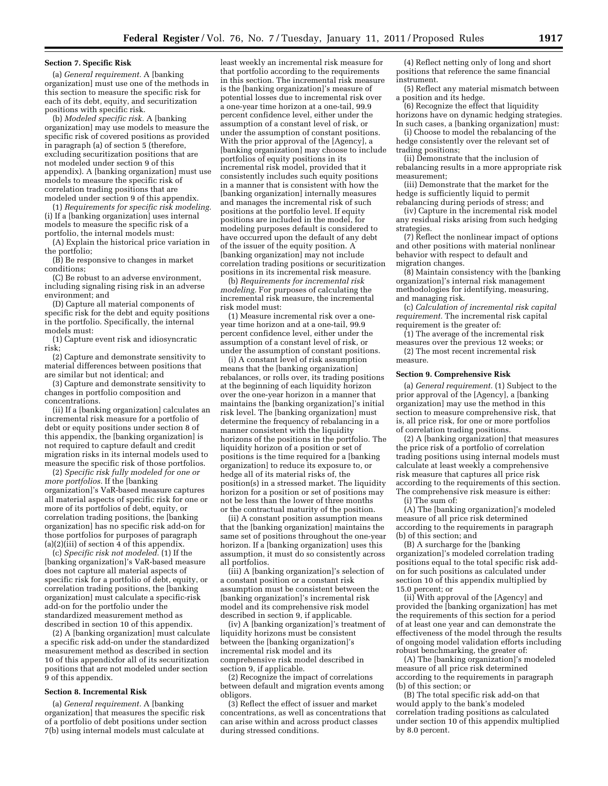#### **Section 7. Specific Risk**

(a) *General requirement.* A [banking organization] must use one of the methods in this section to measure the specific risk for each of its debt, equity, and securitization positions with specific risk.

(b) *Modeled specific risk.* A [banking organization] may use models to measure the specific risk of covered positions as provided in paragraph (a) of section 5 (therefore, excluding securitization positions that are not modeled under section 9 of this appendix). A [banking organization] must use models to measure the specific risk of correlation trading positions that are modeled under section 9 of this appendix.

(1) *Requirements for specific risk modeling.*  (i) If a [banking organization] uses internal models to measure the specific risk of a portfolio, the internal models must:

(A) Explain the historical price variation in the portfolio;

(B) Be responsive to changes in market conditions;

(C) Be robust to an adverse environment, including signaling rising risk in an adverse environment; and

(D) Capture all material components of specific risk for the debt and equity positions in the portfolio. Specifically, the internal models must:

(1) Capture event risk and idiosyncratic risk;

(2) Capture and demonstrate sensitivity to material differences between positions that are similar but not identical; and

(3) Capture and demonstrate sensitivity to changes in portfolio composition and concentrations.

(ii) If a [banking organization] calculates an incremental risk measure for a portfolio of debt or equity positions under section 8 of this appendix, the [banking organization] is not required to capture default and credit migration risks in its internal models used to measure the specific risk of those portfolios.

(2) *Specific risk fully modeled for one or more portfolios.* If the [banking organization]'s VaR-based measure captures all material aspects of specific risk for one or more of its portfolios of debt, equity, or correlation trading positions, the [banking organization] has no specific risk add-on for those portfolios for purposes of paragraph  $(a)(2)(iii)$  of section 4 of this appendix.

(c) *Specific risk not modeled.* (1) If the [banking organization]'s VaR-based measure does not capture all material aspects of specific risk for a portfolio of debt, equity, or correlation trading positions, the [banking organization] must calculate a specific-risk add-on for the portfolio under the standardized measurement method as described in section 10 of this appendix.

(2) A [banking organization] must calculate a specific risk add-on under the standardized measurement method as described in section 10 of this appendixfor all of its securitization positions that are not modeled under section 9 of this appendix.

#### **Section 8. Incremental Risk**

(a) *General requirement.* A [banking organization] that measures the specific risk of a portfolio of debt positions under section 7(b) using internal models must calculate at

least weekly an incremental risk measure for that portfolio according to the requirements in this section. The incremental risk measure is the [banking organization]'s measure of potential losses due to incremental risk over a one-year time horizon at a one-tail, 99.9 percent confidence level, either under the assumption of a constant level of risk, or under the assumption of constant positions. With the prior approval of the [Agency], a [banking organization] may choose to include portfolios of equity positions in its incremental risk model, provided that it consistently includes such equity positions in a manner that is consistent with how the [banking organization] internally measures and manages the incremental risk of such positions at the portfolio level. If equity positions are included in the model, for modeling purposes default is considered to have occurred upon the default of any debt of the issuer of the equity position. A [banking organization] may not include correlation trading positions or securitization positions in its incremental risk measure.

(b) *Requirements for incremental risk modeling.* For purposes of calculating the incremental risk measure, the incremental risk model must:

(1) Measure incremental risk over a oneyear time horizon and at a one-tail, 99.9 percent confidence level, either under the assumption of a constant level of risk, or under the assumption of constant positions.

(i) A constant level of risk assumption means that the [banking organization] rebalances, or rolls over, its trading positions at the beginning of each liquidity horizon over the one-year horizon in a manner that maintains the [banking organization]'s initial risk level. The [banking organization] must determine the frequency of rebalancing in a manner consistent with the liquidity horizons of the positions in the portfolio. The liquidity horizon of a position or set of positions is the time required for a [banking organization] to reduce its exposure to, or hedge all of its material risks of, the position(s) in a stressed market. The liquidity horizon for a position or set of positions may not be less than the lower of three months or the contractual maturity of the position.

(ii) A constant position assumption means that the [banking organization] maintains the same set of positions throughout the one-year horizon. If a [banking organization] uses this assumption, it must do so consistently across all portfolios.

(iii) A [banking organization]'s selection of a constant position or a constant risk assumption must be consistent between the [banking organization]'s incremental risk model and its comprehensive risk model described in section 9, if applicable.

(iv) A [banking organization]'s treatment of liquidity horizons must be consistent between the [banking organization]'s incremental risk model and its comprehensive risk model described in section 9, if applicable.

(2) Recognize the impact of correlations between default and migration events among obligors.

(3) Reflect the effect of issuer and market concentrations, as well as concentrations that can arise within and across product classes during stressed conditions.

(4) Reflect netting only of long and short positions that reference the same financial instrument.

(5) Reflect any material mismatch between a position and its hedge.

(6) Recognize the effect that liquidity horizons have on dynamic hedging strategies. In such cases, a [banking organization] must:

(i) Choose to model the rebalancing of the hedge consistently over the relevant set of trading positions;

(ii) Demonstrate that the inclusion of rebalancing results in a more appropriate risk measurement;

(iii) Demonstrate that the market for the hedge is sufficiently liquid to permit rebalancing during periods of stress; and

(iv) Capture in the incremental risk model any residual risks arising from such hedging strategies.

(7) Reflect the nonlinear impact of options and other positions with material nonlinear behavior with respect to default and migration changes.

(8) Maintain consistency with the [banking organization]'s internal risk management methodologies for identifying, measuring, and managing risk.

(c) *Calculation of incremental risk capital requirement.* The incremental risk capital requirement is the greater of:

(1) The average of the incremental risk measures over the previous 12 weeks; or

(2) The most recent incremental risk measure.

#### **Section 9. Comprehensive Risk**

(a) *General requirement.* (1) Subject to the prior approval of the [Agency], a [banking organization] may use the method in this section to measure comprehensive risk, that is, all price risk, for one or more portfolios of correlation trading positions.

(2) A [banking organization] that measures the price risk of a portfolio of correlation trading positions using internal models must calculate at least weekly a comprehensive risk measure that captures all price risk according to the requirements of this section. The comprehensive risk measure is either: (i) The sum of:

(A) The [banking organization]'s modeled measure of all price risk determined according to the requirements in paragraph (b) of this section; and

(B) A surcharge for the [banking organization]'s modeled correlation trading positions equal to the total specific risk addon for such positions as calculated under section 10 of this appendix multiplied by 15.0 percent; or

(ii) With approval of the [Agency] and provided the [banking organization] has met the requirements of this section for a period of at least one year and can demonstrate the effectiveness of the model through the results of ongoing model validation efforts including robust benchmarking, the greater of:

(A) The [banking organization]'s modeled measure of all price risk determined according to the requirements in paragraph (b) of this section; or

(B) The total specific risk add-on that would apply to the bank's modeled correlation trading positions as calculated under section 10 of this appendix multiplied by 8.0 percent.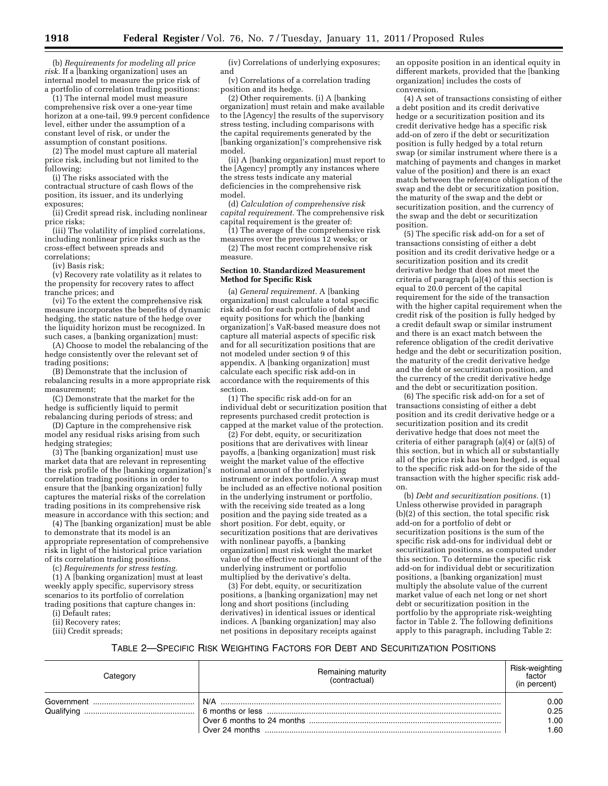(b) *Requirements for modeling all price risk.* If a [banking organization] uses an internal model to measure the price risk of a portfolio of correlation trading positions:

(1) The internal model must measure comprehensive risk over a one-year time horizon at a one-tail, 99.9 percent confidence level, either under the assumption of a constant level of risk, or under the assumption of constant positions.

(2) The model must capture all material price risk, including but not limited to the following:

(i) The risks associated with the contractual structure of cash flows of the position, its issuer, and its underlying exposures;

(ii) Credit spread risk, including nonlinear price risks;

(iii) The volatility of implied correlations, including nonlinear price risks such as the cross-effect between spreads and correlations;

(iv) Basis risk;

(v) Recovery rate volatility as it relates to the propensity for recovery rates to affect tranche prices; and

(vi) To the extent the comprehensive risk measure incorporates the benefits of dynamic hedging, the static nature of the hedge over the liquidity horizon must be recognized. In such cases, a [banking organization] must:

(A) Choose to model the rebalancing of the hedge consistently over the relevant set of trading positions;

(B) Demonstrate that the inclusion of rebalancing results in a more appropriate risk measurement;

(C) Demonstrate that the market for the hedge is sufficiently liquid to permit rebalancing during periods of stress; and

(D) Capture in the comprehensive risk model any residual risks arising from such hedging strategies;

(3) The [banking organization] must use market data that are relevant in representing the risk profile of the [banking organization]'s correlation trading positions in order to ensure that the [banking organization] fully captures the material risks of the correlation trading positions in its comprehensive risk measure in accordance with this section; and

(4) The [banking organization] must be able to demonstrate that its model is an appropriate representation of comprehensive risk in light of the historical price variation of its correlation trading positions.

(c) *Requirements for stress testing.* 

(1) A [banking organization] must at least weekly apply specific, supervisory stress scenarios to its portfolio of correlation trading positions that capture changes in:

(i) Default rates;

(ii) Recovery rates;

(iii) Credit spreads;

(iv) Correlations of underlying exposures; and

(v) Correlations of a correlation trading position and its hedge.

(2) Other requirements. (i) A [banking organization] must retain and make available to the [Agency] the results of the supervisory stress testing, including comparisons with the capital requirements generated by the [banking organization]'s comprehensive risk model.

(ii) A [banking organization] must report to the [Agency] promptly any instances where the stress tests indicate any material deficiencies in the comprehensive risk model.

(d) *Calculation of comprehensive risk capital requirement.* The comprehensive risk capital requirement is the greater of:

(1) The average of the comprehensive risk measures over the previous 12 weeks; or (2) The most recent comprehensive risk measure.

#### **Section 10. Standardized Measurement Method for Specific Risk**

(a) *General requirement.* A [banking organization] must calculate a total specific risk add-on for each portfolio of debt and equity positions for which the [banking organization]'s VaR-based measure does not capture all material aspects of specific risk and for all securitization positions that are not modeled under section 9 of this appendix. A [banking organization] must calculate each specific risk add-on in accordance with the requirements of this section.

(1) The specific risk add-on for an individual debt or securitization position that represents purchased credit protection is capped at the market value of the protection.

(2) For debt, equity, or securitization positions that are derivatives with linear payoffs, a [banking organization] must risk weight the market value of the effective notional amount of the underlying instrument or index portfolio. A swap must be included as an effective notional position in the underlying instrument or portfolio, with the receiving side treated as a long position and the paying side treated as a short position. For debt, equity, or securitization positions that are derivatives with nonlinear payoffs, a [banking organization] must risk weight the market value of the effective notional amount of the underlying instrument or portfolio multiplied by the derivative's delta.

(3) For debt, equity, or securitization positions, a [banking organization] may net long and short positions (including derivatives) in identical issues or identical indices. A [banking organization] may also net positions in depositary receipts against

an opposite position in an identical equity in different markets, provided that the [banking organization] includes the costs of conversion.

(4) A set of transactions consisting of either a debt position and its credit derivative hedge or a securitization position and its credit derivative hedge has a specific risk add-on of zero if the debt or securitization position is fully hedged by a total return swap (or similar instrument where there is a matching of payments and changes in market value of the position) and there is an exact match between the reference obligation of the swap and the debt or securitization position, the maturity of the swap and the debt or securitization position, and the currency of the swap and the debt or securitization position.

(5) The specific risk add-on for a set of transactions consisting of either a debt position and its credit derivative hedge or a securitization position and its credit derivative hedge that does not meet the criteria of paragraph (a)(4) of this section is equal to 20.0 percent of the capital requirement for the side of the transaction with the higher capital requirement when the credit risk of the position is fully hedged by a credit default swap or similar instrument and there is an exact match between the reference obligation of the credit derivative hedge and the debt or securitization position, the maturity of the credit derivative hedge and the debt or securitization position, and the currency of the credit derivative hedge and the debt or securitization position.

(6) The specific risk add-on for a set of transactions consisting of either a debt position and its credit derivative hedge or a securitization position and its credit derivative hedge that does not meet the criteria of either paragraph (a)(4) or (a)(5) of this section, but in which all or substantially all of the price risk has been hedged, is equal to the specific risk add-on for the side of the transaction with the higher specific risk addon.

(b) *Debt and securitization positions.* (1) Unless otherwise provided in paragraph (b)(2) of this section, the total specific risk add-on for a portfolio of debt or securitization positions is the sum of the specific risk add-ons for individual debt or securitization positions, as computed under this section. To determine the specific risk add-on for individual debt or securitization positions, a [banking organization] must multiply the absolute value of the current market value of each net long or net short debt or securitization position in the portfolio by the appropriate risk-weighting factor in Table 2. The following definitions apply to this paragraph, including Table 2:

#### TABLE 2—SPECIFIC RISK WEIGHTING FACTORS FOR DEBT AND SECURITIZATION POSITIONS

| Category | Remaining maturity<br>(contractual) | Risk-weighting<br>factor<br>(in percent) |
|----------|-------------------------------------|------------------------------------------|
|          | N/A                                 | 0.00                                     |
|          |                                     | 0.25                                     |
|          |                                     | 1.00                                     |
|          |                                     | 1.60                                     |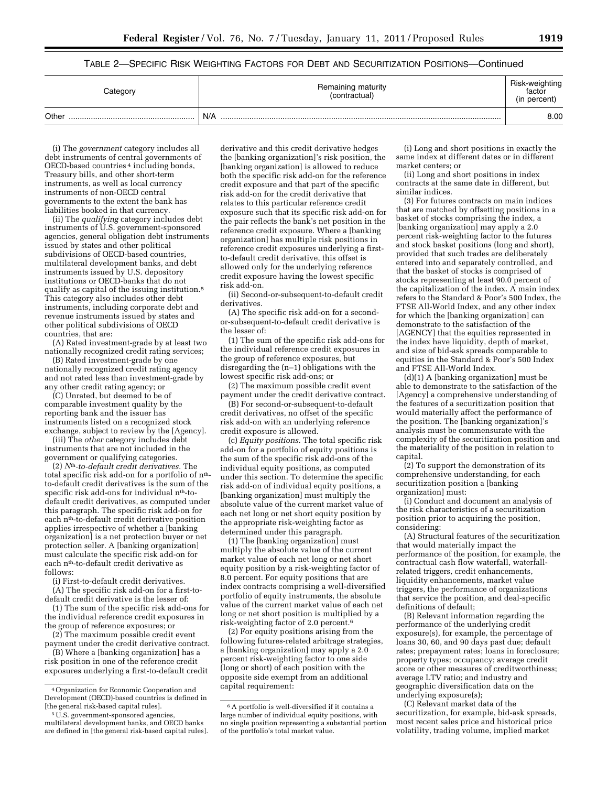# TABLE 2—SPECIFIC RISK WEIGHTING FACTORS FOR DEBT AND SECURITIZATION POSITIONS—Continued

| Category | Remaining maturity<br>(contractual) | Risk-weighting<br>factor<br>(in percent) |
|----------|-------------------------------------|------------------------------------------|
| Other    | N/A                                 | 8.00                                     |

(i) The *government* category includes all debt instruments of central governments of OECD-based countries 4 including bonds, Treasury bills, and other short-term instruments, as well as local currency instruments of non-OECD central governments to the extent the bank has liabilities booked in that currency.

(ii) The *qualifying* category includes debt instruments of U.S. government-sponsored agencies, general obligation debt instruments issued by states and other political subdivisions of OECD-based countries, multilateral development banks, and debt instruments issued by U.S. depository institutions or OECD-banks that do not qualify as capital of the issuing institution.5 This category also includes other debt instruments, including corporate debt and revenue instruments issued by states and other political subdivisions of OECD countries, that are:

(A) Rated investment-grade by at least two nationally recognized credit rating services;

(B) Rated investment-grade by one nationally recognized credit rating agency and not rated less than investment-grade by any other credit rating agency; or

(C) Unrated, but deemed to be of comparable investment quality by the reporting bank and the issuer has instruments listed on a recognized stock exchange, subject to review by the [Agency].

(iii) The *other* category includes debt instruments that are not included in the government or qualifying categories.

(2) *N*th*-to-default credit derivatives.* The total specific risk add-on for a portfolio of n<sup>th</sup>to-default credit derivatives is the sum of the specific risk add-ons for individual n<sup>th-to-</sup> default credit derivatives, as computed under this paragraph. The specific risk add-on for each nth-to-default credit derivative position applies irrespective of whether a [banking organization] is a net protection buyer or net protection seller. A [banking organization] must calculate the specific risk add-on for each nth-to-default credit derivative as follows:

(i) First-to-default credit derivatives. (A) The specific risk add-on for a first-to-

default credit derivative is the lesser of: (1) The sum of the specific risk add-ons for

the individual reference credit exposures in the group of reference exposures; or (2) The maximum possible credit event

payment under the credit derivative contract. (B) Where a [banking organization] has a

risk position in one of the reference credit exposures underlying a first-to-default credit

derivative and this credit derivative hedges the [banking organization]'s risk position, the [banking organization] is allowed to reduce both the specific risk add-on for the reference credit exposure and that part of the specific risk add-on for the credit derivative that relates to this particular reference credit exposure such that its specific risk add-on for the pair reflects the bank's net position in the reference credit exposure. Where a [banking organization] has multiple risk positions in reference credit exposures underlying a firstto-default credit derivative, this offset is allowed only for the underlying reference credit exposure having the lowest specific risk add-on.

(ii) Second-or-subsequent-to-default credit derivatives.

(A) The specific risk add-on for a secondor-subsequent-to-default credit derivative is the lesser of:

(1) The sum of the specific risk add-ons for the individual reference credit exposures in the group of reference exposures, but disregarding the (n–1) obligations with the lowest specific risk add-ons; or

(2) The maximum possible credit event payment under the credit derivative contract.

(B) For second-or-subsequent-to-default credit derivatives, no offset of the specific risk add-on with an underlying reference credit exposure is allowed.

(c) *Equity positions.* The total specific risk add-on for a portfolio of equity positions is the sum of the specific risk add-ons of the individual equity positions, as computed under this section. To determine the specific risk add-on of individual equity positions, a [banking organization] must multiply the absolute value of the current market value of each net long or net short equity position by the appropriate risk-weighting factor as determined under this paragraph.

(1) The [banking organization] must multiply the absolute value of the current market value of each net long or net short equity position by a risk-weighting factor of 8.0 percent. For equity positions that are index contracts comprising a well-diversified portfolio of equity instruments, the absolute value of the current market value of each net long or net short position is multiplied by a risk-weighting factor of 2.0 percent.6

(2) For equity positions arising from the following futures-related arbitrage strategies, a [banking organization] may apply a 2.0 percent risk-weighting factor to one side (long or short) of each position with the opposite side exempt from an additional capital requirement:

(i) Long and short positions in exactly the same index at different dates or in different market centers; or

(ii) Long and short positions in index contracts at the same date in different, but similar indices.

(3) For futures contracts on main indices that are matched by offsetting positions in a basket of stocks comprising the index, a [banking organization] may apply a 2.0 percent risk-weighting factor to the futures and stock basket positions (long and short), provided that such trades are deliberately entered into and separately controlled, and that the basket of stocks is comprised of stocks representing at least 90.0 percent of the capitalization of the index. A main index refers to the Standard & Poor's 500 Index, the FTSE All-World Index, and any other index for which the [banking organization] can demonstrate to the satisfaction of the [AGENCY] that the equities represented in the index have liquidity, depth of market, and size of bid-ask spreads comparable to equities in the Standard & Poor's 500 Index and FTSE All-World Index.

(d)(1) A [banking organization] must be able to demonstrate to the satisfaction of the [Agency] a comprehensive understanding of the features of a securitization position that would materially affect the performance of the position. The [banking organization]'s analysis must be commensurate with the complexity of the securitization position and the materiality of the position in relation to capital.

(2) To support the demonstration of its comprehensive understanding, for each securitization position a [banking organization] must:

(i) Conduct and document an analysis of the risk characteristics of a securitization position prior to acquiring the position, considering:

(A) Structural features of the securitization that would materially impact the performance of the position, for example, the contractual cash flow waterfall, waterfallrelated triggers, credit enhancements, liquidity enhancements, market value triggers, the performance of organizations that service the position, and deal-specific definitions of default;

(B) Relevant information regarding the performance of the underlying credit exposure(s), for example, the percentage of loans 30, 60, and 90 days past due; default rates; prepayment rates; loans in foreclosure; property types; occupancy; average credit score or other measures of creditworthiness; average LTV ratio; and industry and geographic diversification data on the underlying exposure(s);

(C) Relevant market data of the securitization, for example, bid-ask spreads, most recent sales price and historical price volatility, trading volume, implied market

<sup>4</sup>Organization for Economic Cooperation and Development (OECD)-based countries is defined in [the general risk-based capital rules].

<sup>5</sup>U.S. government-sponsored agencies, multilateral development banks, and OECD banks are defined in [the general risk-based capital rules].

<sup>6</sup>A portfolio is well-diversified if it contains a large number of individual equity positions, with no single position representing a substantial portion of the portfolio's total market value.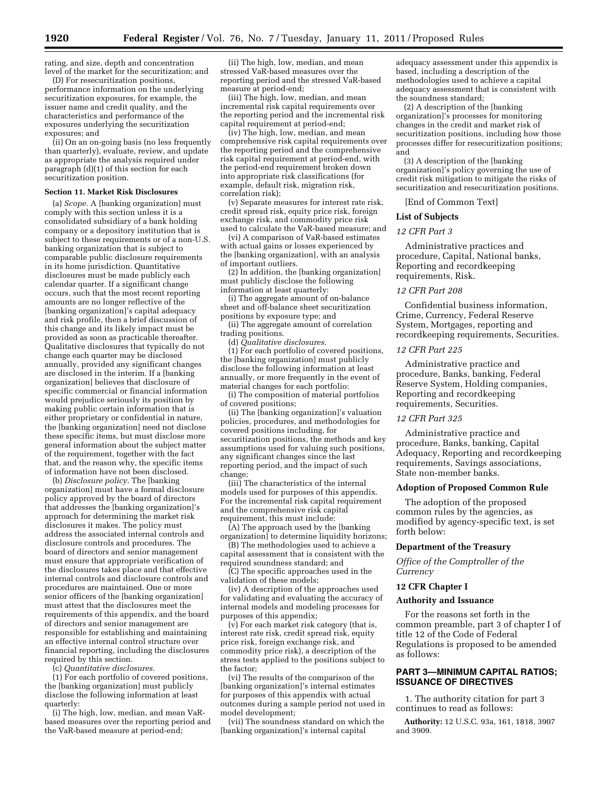rating, and size, depth and concentration level of the market for the securitization; and

(D) For resecuritization positions, performance information on the underlying securitization exposures, for example, the issuer name and credit quality, and the characteristics and performance of the exposures underlying the securitization exposures; and

(ii) On an on-going basis (no less frequently than quarterly), evaluate, review, and update as appropriate the analysis required under paragraph (d)(1) of this section for each securitization position.

#### **Section 11. Market Risk Disclosures**

(a) *Scope.* A [banking organization] must comply with this section unless it is a consolidated subsidiary of a bank holding company or a depository institution that is subject to these requirements or of a non-U.S. banking organization that is subject to comparable public disclosure requirements in its home jurisdiction. Quantitative disclosures must be made publicly each calendar quarter. If a significant change occurs, such that the most recent reporting amounts are no longer reflective of the [banking organization]'s capital adequacy and risk profile, then a brief discussion of this change and its likely impact must be provided as soon as practicable thereafter. Qualitative disclosures that typically do not change each quarter may be disclosed annually, provided any significant changes are disclosed in the interim. If a [banking organization] believes that disclosure of specific commercial or financial information would prejudice seriously its position by making public certain information that is either proprietary or confidential in nature, the [banking organization] need not disclose these specific items, but must disclose more general information about the subject matter of the requirement, together with the fact that, and the reason why, the specific items of information have not been disclosed.

(b) *Disclosure policy.* The [banking organization] must have a formal disclosure policy approved by the board of directors that addresses the [banking organization]'s approach for determining the market risk disclosures it makes. The policy must address the associated internal controls and disclosure controls and procedures. The board of directors and senior management must ensure that appropriate verification of the disclosures takes place and that effective internal controls and disclosure controls and procedures are maintained. One or more senior officers of the [banking organization] must attest that the disclosures meet the requirements of this appendix, and the board of directors and senior management are responsible for establishing and maintaining an effective internal control structure over financial reporting, including the disclosures required by this section.

(c) *Quantitative disclosures.* 

(1) For each portfolio of covered positions, the [banking organization] must publicly disclose the following information at least quarterly:

(i) The high, low, median, and mean VaRbased measures over the reporting period and the VaR-based measure at period-end;

(ii) The high, low, median, and mean stressed VaR-based measures over the reporting period and the stressed VaR-based measure at period-end;

(iii) The high, low, median, and mean incremental risk capital requirements over the reporting period and the incremental risk capital requirement at period-end;

(iv) The high, low, median, and mean comprehensive risk capital requirements over the reporting period and the comprehensive risk capital requirement at period-end, with the period-end requirement broken down into appropriate risk classifications (for example, default risk, migration risk, correlation risk);

(v) Separate measures for interest rate risk, credit spread risk, equity price risk, foreign exchange risk, and commodity price risk used to calculate the VaR-based measure; and

(vi) A comparison of VaR-based estimates with actual gains or losses experienced by the [banking organization], with an analysis of important outliers.

(2) In addition, the [banking organization] must publicly disclose the following information at least quarterly:

(i) The aggregate amount of on-balance sheet and off-balance sheet securitization positions by exposure type; and

(ii) The aggregate amount of correlation

trading positions. (d) *Qualitative disclosures.* 

(1) For each portfolio of covered positions, the [banking organization] must publicly disclose the following information at least annually, or more frequently in the event of material changes for each portfolio:

(i) The composition of material portfolios of covered positions;

(ii) The [banking organization]'s valuation policies, procedures, and methodologies for covered positions including, for securitization positions, the methods and key assumptions used for valuing such positions, any significant changes since the last reporting period, and the impact of such change;

(iii) The characteristics of the internal models used for purposes of this appendix. For the incremental risk capital requirement and the comprehensive risk capital requirement, this must include:

(A) The approach used by the [banking organization] to determine liquidity horizons;

(B) The methodologies used to achieve a capital assessment that is consistent with the

required soundness standard; and (C) The specific approaches used in the

validation of these models; (iv) A description of the approaches used

for validating and evaluating the accuracy of internal models and modeling processes for purposes of this appendix;

(v) For each market risk category (that is, interest rate risk, credit spread risk, equity price risk, foreign exchange risk, and commodity price risk), a description of the stress tests applied to the positions subject to the factor;

(vi) The results of the comparison of the [banking organization]'s internal estimates for purposes of this appendix with actual outcomes during a sample period not used in model development;

(vii) The soundness standard on which the [banking organization]'s internal capital

adequacy assessment under this appendix is based, including a description of the methodologies used to achieve a capital adequacy assessment that is consistent with the soundness standard;

(2) A description of the [banking organization]'s processes for monitoring changes in the credit and market risk of securitization positions, including how those processes differ for resecuritization positions; and

(3) A description of the [banking organization]'s policy governing the use of credit risk mitigation to mitigate the risks of securitization and resecuritization positions.

[End of Common Text]

#### **List of Subjects**

#### *12 CFR Part 3*

Administrative practices and procedure, Capital, National banks, Reporting and recordkeeping requirements, Risk.

#### *12 CFR Part 208*

Confidential business information, Crime, Currency, Federal Reserve System, Mortgages, reporting and recordkeeping requirements, Securities.

#### *12 CFR Part 225*

Administrative practice and procedure, Banks, banking, Federal Reserve System, Holding companies, Reporting and recordkeeping requirements, Securities.

# *12 CFR Part 325*

Administrative practice and procedure, Banks, banking, Capital Adequacy, Reporting and recordkeeping requirements, Savings associations, State non-member banks.

#### **Adoption of Proposed Common Rule**

The adoption of the proposed common rules by the agencies, as modified by agency-specific text, is set forth below:

#### **Department of the Treasury**

*Office of the Comptroller of the Currency* 

# **12 CFR Chapter I**

#### **Authority and Issuance**

For the reasons set forth in the common preamble, part 3 of chapter I of title 12 of the Code of Federal Regulations is proposed to be amended as follows:

# **PART 3—MINIMUM CAPITAL RATIOS; ISSUANCE OF DIRECTIVES**

1. The authority citation for part 3 continues to read as follows:

**Authority:** 12 U.S.C. 93a, 161, 1818, 3907 and 3909.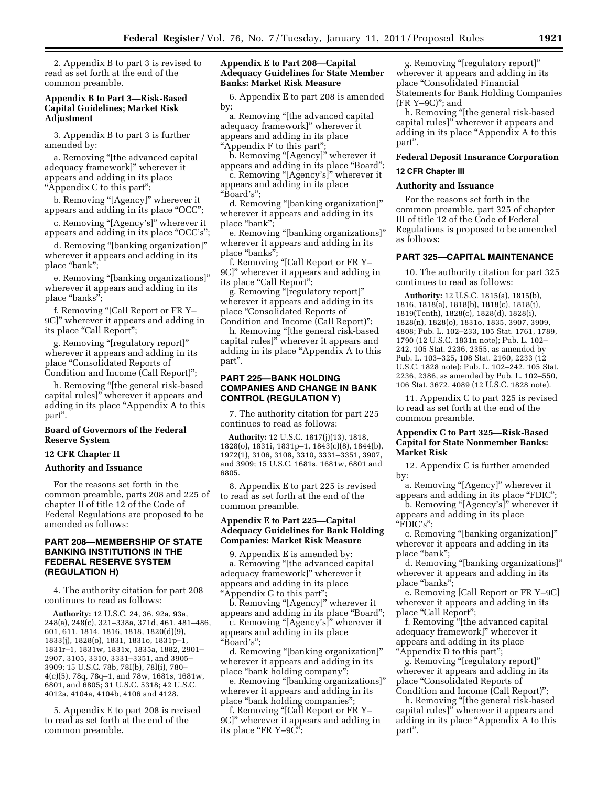2. Appendix B to part 3 is revised to read as set forth at the end of the common preamble.

## **Appendix B to Part 3—Risk-Based Capital Guidelines; Market Risk Adjustment**

3. Appendix B to part 3 is further amended by:

a. Removing ''[the advanced capital adequacy framework]'' wherever it appears and adding in its place ''Appendix C to this part'';

b. Removing "[Agency]" wherever it appears and adding in its place "OCC";

c. Removing ''[Agency's]'' wherever it appears and adding in its place "OCC's";

d. Removing ''[banking organization]'' wherever it appears and adding in its place "bank";

e. Removing ''[banking organizations]'' wherever it appears and adding in its place ''banks'';

f. Removing ''[Call Report or FR Y– 9C]'' wherever it appears and adding in its place "Call Report";

g. Removing ''[regulatory report]'' wherever it appears and adding in its place ''Consolidated Reports of Condition and Income (Call Report)'';

h. Removing ''[the general risk-based capital rules]'' wherever it appears and adding in its place ''Appendix A to this part''.

# **Board of Governors of the Federal Reserve System**

#### **12 CFR Chapter II**

## **Authority and Issuance**

For the reasons set forth in the common preamble, parts 208 and 225 of chapter II of title 12 of the Code of Federal Regulations are proposed to be amended as follows:

# **PART 208—MEMBERSHIP OF STATE BANKING INSTITUTIONS IN THE FEDERAL RESERVE SYSTEM (REGULATION H)**

4. The authority citation for part 208 continues to read as follows:

**Authority:** 12 U.S.C. 24, 36, 92a, 93a, 248(a), 248(c), 321–338a, 371d, 461, 481–486, 601, 611, 1814, 1816, 1818, 1820(d)(9), 1833(j), 1828(o), 1831, 1831o, 1831p–1, 1831r–1, 1831w, 1831x, 1835a, 1882, 2901– 2907, 3105, 3310, 3331–3351, and 3905– 3909; 15 U.S.C. 78b, 78I(b), 78l(i), 780– 4(c)(5), 78q, 78q–1, and 78w, 1681s, 1681w, 6801, and 6805; 31 U.S.C. 5318; 42 U.S.C. 4012a, 4104a, 4104b, 4106 and 4128.

5. Appendix E to part 208 is revised to read as set forth at the end of the common preamble.

# **Appendix E to Part 208—Capital Adequacy Guidelines for State Member Banks: Market Risk Measure**

6. Appendix E to part 208 is amended by:

a. Removing ''[the advanced capital adequacy framework]'' wherever it appears and adding in its place

''Appendix F to this part'';

b. Removing "[Agency]" wherever it appears and adding in its place "Board";

c. Removing ''[Agency's]'' wherever it appears and adding in its place ''Board's'';

d. Removing ''[banking organization]'' wherever it appears and adding in its place ''bank'';

e. Removing ''[banking organizations]'' wherever it appears and adding in its place "banks";

f. Removing ''[Call Report or FR Y– 9C]'' wherever it appears and adding in its place "Call Report";

g. Removing ''[regulatory report]'' wherever it appears and adding in its place ''Consolidated Reports of Condition and Income (Call Report)'';

h. Removing ''[the general risk-based capital rules]'' wherever it appears and adding in its place ''Appendix A to this part''.

## **PART 225—BANK HOLDING COMPANIES AND CHANGE IN BANK CONTROL (REGULATION Y)**

7. The authority citation for part 225 continues to read as follows:

**Authority:** 12 U.S.C. 1817(j)(13), 1818, 1828(o), 1831i, 1831p–1, 1843(c)(8), 1844(b), 1972(1), 3106, 3108, 3310, 3331–3351, 3907, and 3909; 15 U.S.C. 1681s, 1681w, 6801 and 6805.

8. Appendix E to part 225 is revised to read as set forth at the end of the common preamble.

# **Appendix E to Part 225—Capital Adequacy Guidelines for Bank Holding Companies: Market Risk Measure**

9. Appendix E is amended by: a. Removing ''[the advanced capital adequacy framework]'' wherever it appears and adding in its place ''Appendix G to this part'';

b. Removing "[Agency]" wherever it appears and adding in its place "Board";

c. Removing ''[Agency's]'' wherever it appears and adding in its place ''Board's'';

d. Removing ''[banking organization]'' wherever it appears and adding in its place ''bank holding company'';

e. Removing ''[banking organizations]'' wherever it appears and adding in its place ''bank holding companies'';

f. Removing ''[Call Report or FR Y– 9C]'' wherever it appears and adding in its place "FR Y-9C";

g. Removing ''[regulatory report]'' wherever it appears and adding in its place ''Consolidated Financial Statements for Bank Holding Companies (FR Y–9C)''; and

h. Removing "[the general risk-based capital rules]'' wherever it appears and adding in its place ''Appendix A to this part''.

#### **Federal Deposit Insurance Corporation**

# **12 CFR Chapter III**

# **Authority and Issuance**

For the reasons set forth in the common preamble, part 325 of chapter III of title 12 of the Code of Federal Regulations is proposed to be amended as follows:

#### **PART 325—CAPITAL MAINTENANCE**

10. The authority citation for part 325 continues to read as follows:

**Authority:** 12 U.S.C. 1815(a), 1815(b), 1816, 1818(a), 1818(b), 1818(c), 1818(t), 1819(Tenth), 1828(c), 1828(d), 1828(i), 1828(n), 1828(o), 1831o, 1835, 3907, 3909, 4808; Pub. L. 102–233, 105 Stat. 1761, 1789, 1790 (12 U.S.C. 1831n note); Pub. L. 102– 242, 105 Stat. 2236, 2355, as amended by Pub. L. 103–325, 108 Stat. 2160, 2233 (12 U.S.C. 1828 note); Pub. L. 102–242, 105 Stat. 2236, 2386, as amended by Pub. L. 102–550, 106 Stat. 3672, 4089 (12 U.S.C. 1828 note).

11. Appendix C to part 325 is revised to read as set forth at the end of the common preamble.

# **Appendix C to Part 325—Risk-Based Capital for State Nonmember Banks: Market Risk**

12. Appendix C is further amended by:

a. Removing "[Agency]" wherever it appears and adding in its place ''FDIC'';

b. Removing "[Agency's]" wherever it appears and adding in its place

''FDIC's'';

c. Removing ''[banking organization]'' wherever it appears and adding in its place "bank";

d. Removing ''[banking organizations]'' wherever it appears and adding in its place "banks";

e. Removing [Call Report or FR Y–9C] wherever it appears and adding in its place "Call Report";

f. Removing ''[the advanced capital adequacy framework]'' wherever it appears and adding in its place ''Appendix D to this part'';

g. Removing ''[regulatory report]'' wherever it appears and adding in its place ''Consolidated Reports of Condition and Income (Call Report)'';

h. Removing ''[the general risk-based capital rules]'' wherever it appears and adding in its place ''Appendix A to this part''.